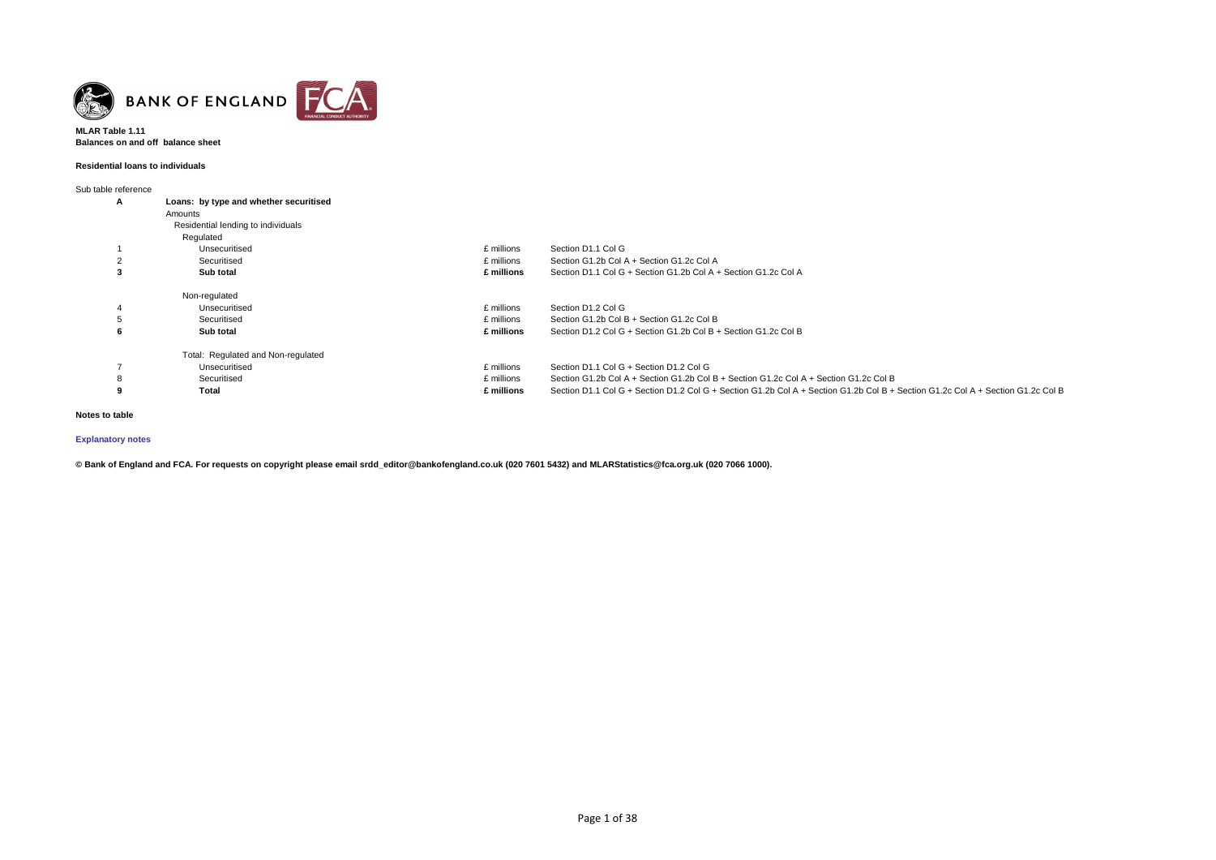

### **MLAR Table 1.11 Balances on and off balance sheet**

#### **Residential loans to individuals**

Sub table reference

| $\sim$ 10010 1010101100 |                                        |            |                                                                                                                                 |
|-------------------------|----------------------------------------|------------|---------------------------------------------------------------------------------------------------------------------------------|
| A                       | Loans: by type and whether securitised |            |                                                                                                                                 |
|                         | Amounts                                |            |                                                                                                                                 |
|                         | Residential lending to individuals     |            |                                                                                                                                 |
|                         | Regulated                              |            |                                                                                                                                 |
|                         | Unsecuritised                          | £ millions | Section D1.1 Col G                                                                                                              |
|                         | Securitised                            | £ millions | Section G1.2b Col A + Section G1.2c Col A                                                                                       |
| -3                      | Sub total                              | £ millions | Section D1.1 Col G + Section G1.2b Col A + Section G1.2c Col A                                                                  |
|                         | Non-regulated                          |            |                                                                                                                                 |
| 4                       | Unsecuritised                          | £ millions | Section D1.2 Col G                                                                                                              |
|                         | Securitised                            | £ millions | Section G1.2b Col B + Section G1.2c Col B                                                                                       |
| O                       | Sub total                              | £ millions | Section D1.2 Col G + Section G1.2b Col B + Section G1.2c Col B                                                                  |
|                         | Total: Regulated and Non-regulated     |            |                                                                                                                                 |
|                         | Unsecuritised                          | £ millions | Section D1.1 Col G + Section D1.2 Col G                                                                                         |
| 8                       | Securitised                            | £ millions | Section G1.2b Col A + Section G1.2b Col B + Section G1.2c Col A + Section G1.2c Col B                                           |
| 9                       | Total                                  | £ millions | Section D1.1 Col G + Section D1.2 Col G + Section G1.2b Col A + Section G1.2b Col B + Section G1.2c Col A + Section G1.2c Col B |
|                         |                                        |            |                                                                                                                                 |

### **Notes to table**

# **[Explanatory notes](http://www.bankofengland.co.uk/statistics/Pages/iadb/notesiadb/capital_issues.aspx)**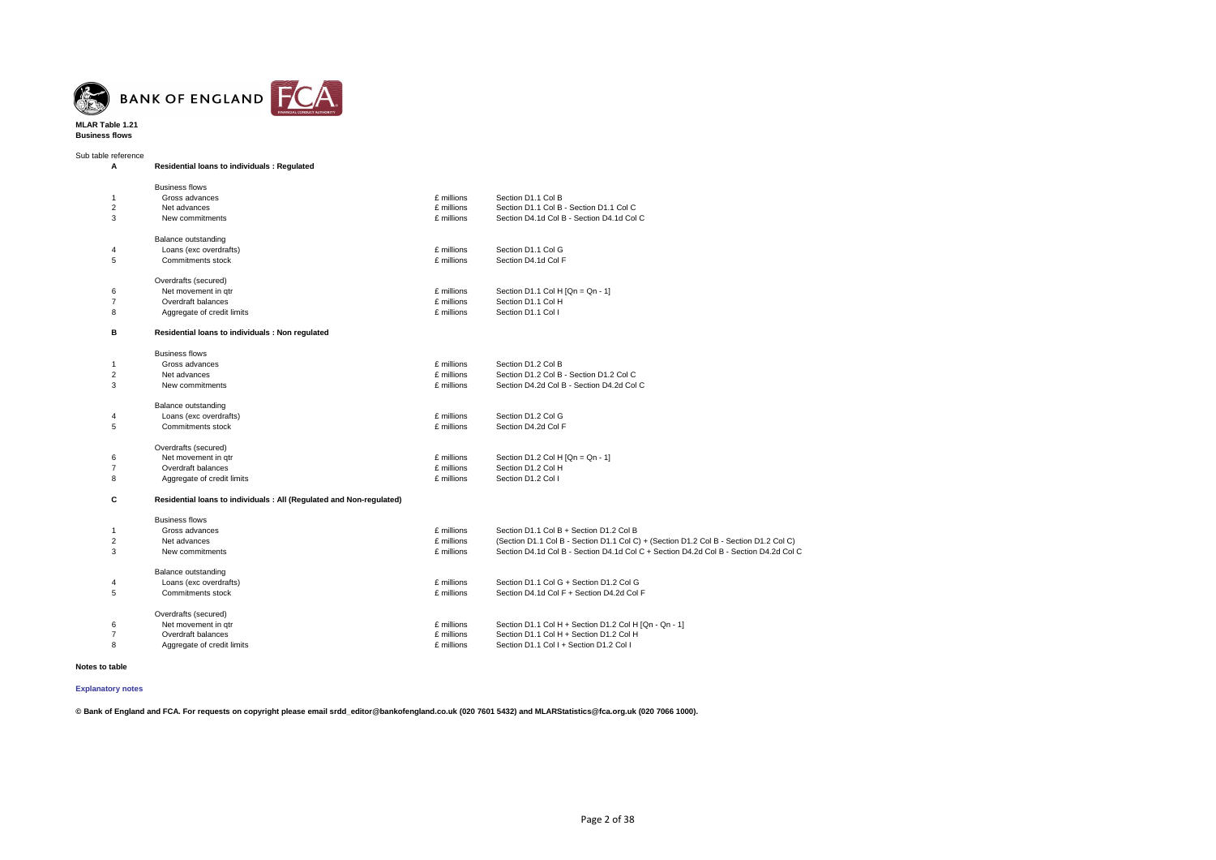

**MLAR Table 1.21 Business flows**

Sub table reference **A Residential loans to individuals : Regulated** Business flows 1 Gross advances £ millions Section D1.1 Col B 2 Net advances £ millions Section D1.1 Col B - Section D1.1 Col C 3 New commitments £ millions Section D4.1d Col B - Section D4.1d Col C Balance outstanding 4 Loans (exc overdrafts) £ millions Section D1.1 Col G 5 Commitments stock £ millions Section D4.1d Col F Overdrafts (secured) 6 Net movement in qtr **Example 2018** of the movement in qtr and the section Section D1.1 Col H [Qn = Qn - 1]<br>6 Thillions Section D1.1 Col H 7 **Overdraft balances** 8 Aggregate of credit limits **Example 20 Aggregate of credit limits Example 20 Aggregate of credit limits Example 20 Aggregate** of credit limits **Aggregate Aggregate** of credit limits **Aggregate Aggregate Aggrega B Residential loans to individuals : Non regulated** Business flows 1 Gross advances £ millions Section D1.2 Col B 2 Net advances £ millions Section D1.2 Col B - Section D1.2 Col C 3 New commitments £ millions Section D4.2d Col B - Section D4.2d Col C Balance outstanding 4 Loans (exc overdrafts) £ millions Section D1.2 Col G 5 Commitments stock £ millions Section D4.2d Col F Overdrafts (secured) 6 Net movement in qtr **E** millions Section D1.2 Col H [Qn = Qn - 1]<br>
7 Dverdraft balances **E** millions Section D1.2 Col H 7 Overdraft balances £ millions Section D1.2 Col H 8 Aggregate of credit limits **Example 2018** Aggregate of credit limits **Example 2018** Aggregate of credit limits **Aggregate** of credit limits **Aggregate Aggregate** of credit limits **Aggregate Aggregate Aggregate Ag C Residential loans to individuals : All (Regulated and Non-regulated)** Business flows<br>Gross advances £ millions Section D1.1 Col B + Section D1.2 Col B 2 Net advances £ millions (Section D1.1 Col B - Section D1.1 Col C) + (Section D1.2 Col B - Section D1.2 Col C) 3 New commitments £ millions Section D4.1d Col B - Section D4.1d Col C + Section D4.2d Col B - Section D4.2d Col C Balance outstanding 4 Loans (exc overdrafts) £ millions Section D1.1 Col G + Section D1.2 Col G 5 Commitments stock £ millions Section D4.1d Col F + Section D4.2d Col F Overdrafts (secured) 6 Net movement in qtr £ millions Section D1.1 Col H + Section D1.2 Col H [Qn - Qn - 1] Section D1.1 Col H + Section D1.2 Col H 8 Aggregate of credit limits £ millions Section D1.1 Col I + Section D1.2 Col I

**Notes to table**

**© Bank of England and FCA. For requests on copyright please email srdd\_editor@bankofengland.co.uk (020 7601 5432) and MLARStatistics@fca.org.uk (020 7066 1000).**

**[Explanatory notes](http://www.bankofengland.co.uk/statistics/Pages/iadb/notesiadb/capital_issues.aspx)**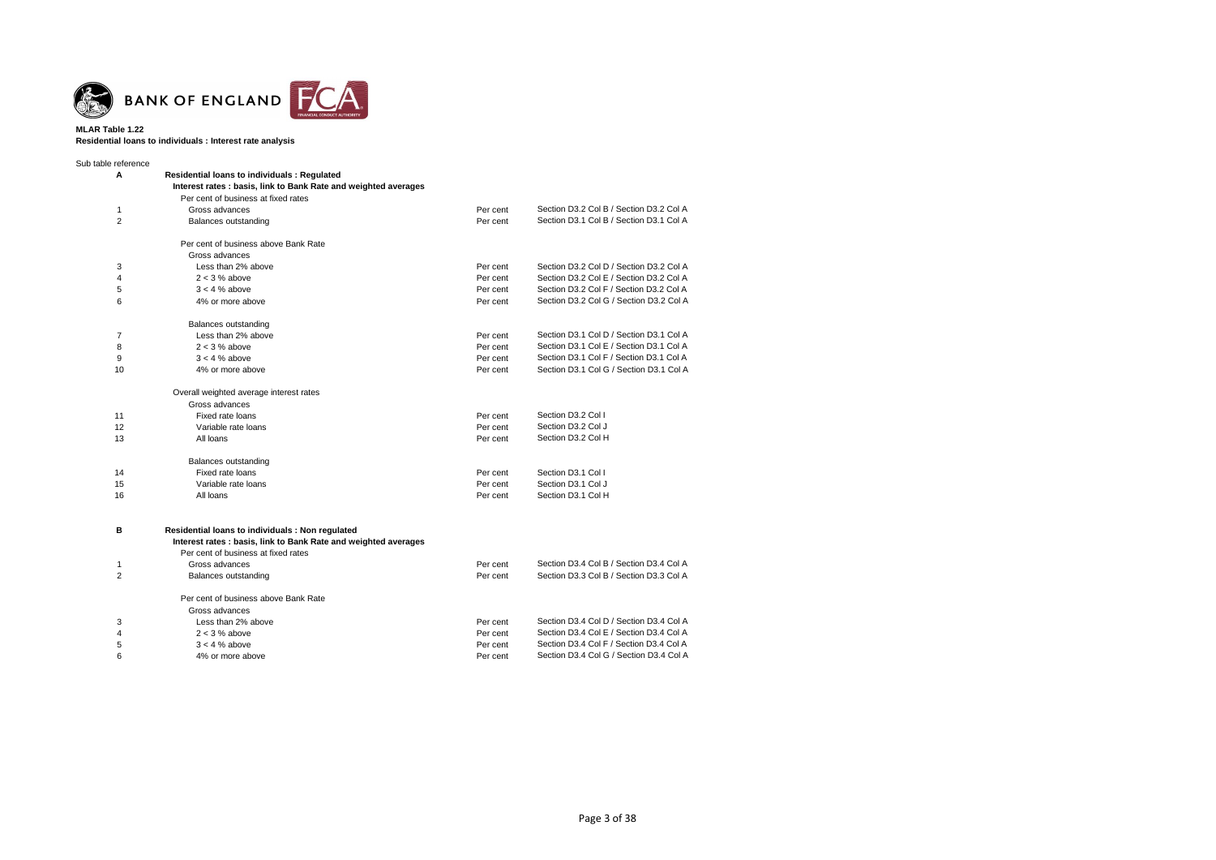

**MLAR Table 1.22 Residential loans to individuals : Interest rate analysis**

| Sub table reference |                                                                 |          |                                         |
|---------------------|-----------------------------------------------------------------|----------|-----------------------------------------|
| A                   | <b>Residential loans to individuals: Regulated</b>              |          |                                         |
|                     | Interest rates: basis, link to Bank Rate and weighted averages  |          |                                         |
|                     | Per cent of business at fixed rates                             |          |                                         |
| 1                   | Gross advances                                                  | Per cent | Section D3.2 Col B / Section D3.2 Col A |
| $\overline{2}$      | Balances outstanding                                            | Per cent | Section D3.1 Col B / Section D3.1 Col A |
|                     | Per cent of business above Bank Rate                            |          |                                         |
|                     | Gross advances                                                  |          |                                         |
| 3                   | Less than 2% above                                              | Per cent | Section D3.2 Col D / Section D3.2 Col A |
| $\overline{4}$      | $2 < 3$ % above                                                 | Per cent | Section D3.2 Col E / Section D3.2 Col A |
| 5                   | $3 < 4$ % above                                                 | Per cent | Section D3.2 Col F / Section D3.2 Col A |
| 6                   | 4% or more above                                                | Per cent | Section D3.2 Col G / Section D3.2 Col A |
|                     |                                                                 |          |                                         |
|                     | Balances outstanding                                            |          |                                         |
| 7                   | Less than 2% above                                              | Per cent | Section D3.1 Col D / Section D3.1 Col A |
| 8                   | $2 < 3$ % above                                                 | Per cent | Section D3.1 Col E / Section D3.1 Col A |
| 9                   | $3 < 4$ % above                                                 | Per cent | Section D3.1 Col F / Section D3.1 Col A |
| 10                  | 4% or more above                                                | Per cent | Section D3.1 Col G / Section D3.1 Col A |
|                     | Overall weighted average interest rates                         |          |                                         |
|                     | Gross advances                                                  |          |                                         |
| 11                  | Fixed rate loans                                                | Per cent | Section D3.2 Col I                      |
| 12                  | Variable rate loans                                             | Per cent | Section D3.2 Col J                      |
| 13                  | All loans                                                       | Per cent | Section D3.2 Col H                      |
|                     | Balances outstanding                                            |          |                                         |
| 14                  | Fixed rate loans                                                | Per cent | Section D3.1 Col I                      |
| 15                  | Variable rate loans                                             | Per cent | Section D3.1 Col J                      |
| 16                  | All loans                                                       | Per cent | Section D3.1 Col H                      |
|                     |                                                                 |          |                                         |
| в                   | Residential loans to individuals : Non regulated                |          |                                         |
|                     | Interest rates : basis, link to Bank Rate and weighted averages |          |                                         |
|                     | Per cent of business at fixed rates                             |          |                                         |
| 1                   | Gross advances                                                  | Per cent | Section D3.4 Col B / Section D3.4 Col A |
| $\overline{2}$      | Balances outstanding                                            | Per cent | Section D3.3 Col B / Section D3.3 Col A |
|                     |                                                                 |          |                                         |
|                     | Per cent of business above Bank Rate                            |          |                                         |
|                     | Gross advances                                                  |          |                                         |
| 3                   | Less than 2% above                                              | Per cent | Section D3.4 Col D / Section D3.4 Col A |
| $\overline{4}$      | $2 < 3$ % above                                                 | Per cent | Section D3.4 Col E / Section D3.4 Col A |
| 5                   | $3 < 4$ % above                                                 | Per cent | Section D3.4 Col F / Section D3.4 Col A |
| 6                   | 4% or more above                                                | Per cent | Section D3.4 Col G / Section D3.4 Col A |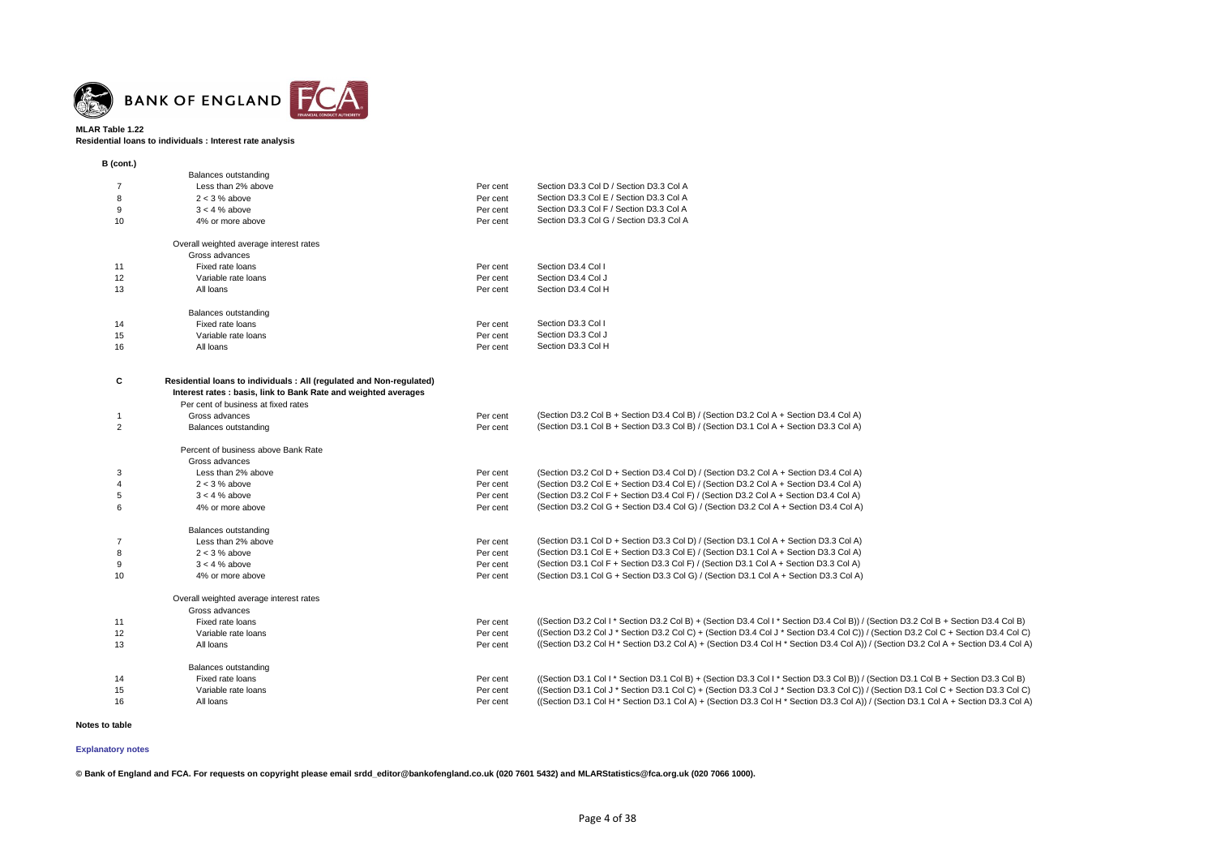

**Residential loans to individuals : Interest rate analysis**

| B (cont.)      |                                                                      |          |                                                                                                                                     |
|----------------|----------------------------------------------------------------------|----------|-------------------------------------------------------------------------------------------------------------------------------------|
|                | <b>Balances outstanding</b>                                          |          |                                                                                                                                     |
| 7              | Less than 2% above                                                   | Per cent | Section D3.3 Col D / Section D3.3 Col A                                                                                             |
| 8              | $2 < 3$ % above                                                      | Per cent | Section D3.3 Col E / Section D3.3 Col A                                                                                             |
| 9              | $3 < 4$ % above                                                      | Per cent | Section D3.3 Col F / Section D3.3 Col A                                                                                             |
| 10             | 4% or more above                                                     | Per cent | Section D3.3 Col G / Section D3.3 Col A                                                                                             |
|                | Overall weighted average interest rates                              |          |                                                                                                                                     |
|                | Gross advances                                                       |          |                                                                                                                                     |
| 11             | Fixed rate loans                                                     | Per cent | Section D3.4 Col I                                                                                                                  |
| 12             | Variable rate loans                                                  | Per cent | Section D3.4 Col J                                                                                                                  |
| 13             | All loans                                                            | Per cent | Section D3.4 Col H                                                                                                                  |
|                | <b>Balances outstanding</b>                                          |          |                                                                                                                                     |
| 14             | Fixed rate loans                                                     | Per cent | Section D3.3 Col I                                                                                                                  |
| 15             | Variable rate loans                                                  | Per cent | Section D3.3 Col J                                                                                                                  |
| 16             | All loans                                                            | Per cent | Section D3.3 Col H                                                                                                                  |
| C              | Residential loans to individuals : All (regulated and Non-regulated) |          |                                                                                                                                     |
|                | Interest rates : basis, link to Bank Rate and weighted averages      |          |                                                                                                                                     |
|                | Per cent of business at fixed rates                                  |          |                                                                                                                                     |
| -1             | Gross advances                                                       | Per cent | (Section D3.2 Col B + Section D3.4 Col B) / (Section D3.2 Col A + Section D3.4 Col A)                                               |
| $\overline{2}$ | <b>Balances outstanding</b>                                          | Per cent | (Section D3.1 Col B + Section D3.3 Col B) / (Section D3.1 Col A + Section D3.3 Col A)                                               |
|                | Percent of business above Bank Rate                                  |          |                                                                                                                                     |
|                | Gross advances                                                       |          |                                                                                                                                     |
| 3              | Less than 2% above                                                   | Per cent | (Section D3.2 Col D + Section D3.4 Col D) / (Section D3.2 Col A + Section D3.4 Col A)                                               |
|                | $2 < 3$ % above                                                      | Per cent | (Section D3.2 Col E + Section D3.4 Col E) / (Section D3.2 Col A + Section D3.4 Col A)                                               |
| 5              | $3 < 4$ % above                                                      | Per cent | (Section D3.2 Col F + Section D3.4 Col F) / (Section D3.2 Col A + Section D3.4 Col A)                                               |
| 6              | 4% or more above                                                     | Per cent | (Section D3.2 Col G + Section D3.4 Col G) / (Section D3.2 Col A + Section D3.4 Col A)                                               |
|                | <b>Balances outstanding</b>                                          |          |                                                                                                                                     |
| 7              | Less than 2% above                                                   | Per cent | (Section D3.1 Col D + Section D3.3 Col D) / (Section D3.1 Col A + Section D3.3 Col A)                                               |
| 8              | $2 < 3$ % above                                                      | Per cent | (Section D3.1 Col E + Section D3.3 Col E) / (Section D3.1 Col A + Section D3.3 Col A)                                               |
| 9              | $3 < 4$ % above                                                      | Per cent | (Section D3.1 Col F + Section D3.3 Col F) / (Section D3.1 Col A + Section D3.3 Col A)                                               |
| 10             | 4% or more above                                                     | Per cent | (Section D3.1 Col G + Section D3.3 Col G) / (Section D3.1 Col A + Section D3.3 Col A)                                               |
|                | Overall weighted average interest rates                              |          |                                                                                                                                     |
|                | Gross advances                                                       |          |                                                                                                                                     |
| 11             | Fixed rate loans                                                     | Per cent | ((Section D3.2 Col I * Section D3.2 Col B) + (Section D3.4 Col I * Section D3.4 Col B)) / (Section D3.2 Col B + Section D3.4 Col B) |
| 12             | Variable rate loans                                                  | Per cent | ((Section D3.2 Col J * Section D3.2 Col C) + (Section D3.4 Col J * Section D3.4 Col C)) / (Section D3.2 Col C + Section D3.4 Col C) |
| 13             | All loans                                                            | Per cent | ((Section D3.2 Col H * Section D3.2 Col A) + (Section D3.4 Col H * Section D3.4 Col A)) / (Section D3.2 Col A + Section D3.4 Col A) |
|                | <b>Balances outstanding</b>                                          |          | ((Section D3.1 Col I * Section D3.1 Col B) + (Section D3.3 Col I * Section D3.3 Col B)) / (Section D3.1 Col B + Section D3.3 Col B) |
| 14             | Fixed rate loans                                                     | Per cent | ((Section D3.1 Col J * Section D3.1 Col C) + (Section D3.3 Col J * Section D3.3 Col C)) / (Section D3.1 Col C + Section D3.3 Col C) |
| 15             | Variable rate loans                                                  | Per cent | ((Section D3.1 Col H * Section D3.1 Col A) + (Section D3.3 Col H * Section D3.3 Col A)) / (Section D3.1 Col A + Section D3.3 Col A) |
| 16             | All loans                                                            | Per cent |                                                                                                                                     |

**Notes to table**

**© Bank of England and FCA. For requests on copyright please email srdd\_editor@bankofengland.co.uk (020 7601 5432) and MLARStatistics@fca.org.uk (020 7066 1000).**

**[Explanatory notes](http://www.bankofengland.co.uk/statistics/Pages/iadb/notesiadb/capital_issues.aspx)**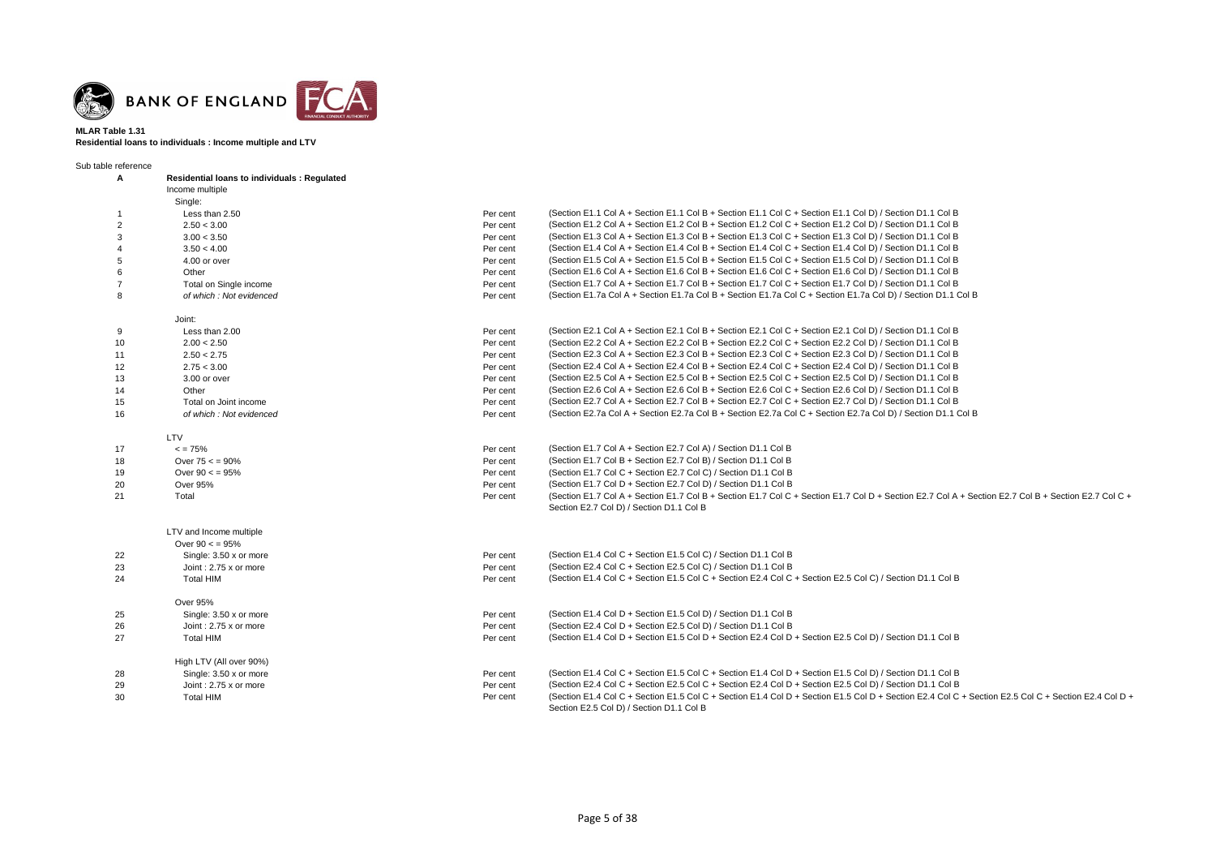

### **MLAR Table 1.31 Residential loans to individuals : Income multiple and LTV**

Sub table reference

| ,,,,,,,,,,,,,<br>Α    | <b>Residential loans to individuals: Requlated</b> |          |                                                                                                                                                                                                 |
|-----------------------|----------------------------------------------------|----------|-------------------------------------------------------------------------------------------------------------------------------------------------------------------------------------------------|
|                       | Income multiple                                    |          |                                                                                                                                                                                                 |
|                       | Single:                                            |          |                                                                                                                                                                                                 |
| -1                    | Less than 2.50                                     | Per cent | (Section E1.1 Col A + Section E1.1 Col B + Section E1.1 Col C + Section E1.1 Col D) / Section D1.1 Col B                                                                                        |
| 2                     | 2.50 < 3.00                                        | Per cent | (Section E1.2 Col A + Section E1.2 Col B + Section E1.2 Col C + Section E1.2 Col D) / Section D1.1 Col B                                                                                        |
| 3                     | 3.00 < 3.50                                        | Per cent | (Section E1.3 Col A + Section E1.3 Col B + Section E1.3 Col C + Section E1.3 Col D) / Section D1.1 Col B                                                                                        |
| $\boldsymbol{\Delta}$ | 3.50 < 4.00                                        | Per cent | (Section E1.4 Col A + Section E1.4 Col B + Section E1.4 Col C + Section E1.4 Col D) / Section D1.1 Col B                                                                                        |
| 5                     | 4.00 or over                                       | Per cent | (Section E1.5 Col A + Section E1.5 Col B + Section E1.5 Col C + Section E1.5 Col D) / Section D1.1 Col B                                                                                        |
| 6                     | Other                                              | Per cent | (Section E1.6 Col A + Section E1.6 Col B + Section E1.6 Col C + Section E1.6 Col D) / Section D1.1 Col B                                                                                        |
| $\overline{7}$        | Total on Single income                             | Per cent | (Section E1.7 Col A + Section E1.7 Col B + Section E1.7 Col C + Section E1.7 Col D) / Section D1.1 Col B                                                                                        |
| 8                     | of which: Not evidenced                            | Per cent | (Section E1.7a Col A + Section E1.7a Col B + Section E1.7a Col C + Section E1.7a Col D) / Section D1.1 Col B                                                                                    |
|                       |                                                    |          |                                                                                                                                                                                                 |
|                       | Joint:<br>Less than 2.00                           |          | (Section E2.1 Col A + Section E2.1 Col B + Section E2.1 Col C + Section E2.1 Col D) / Section D1.1 Col B                                                                                        |
| 9                     |                                                    | Per cent |                                                                                                                                                                                                 |
| 10                    | 2.00 < 2.50                                        | Per cent | (Section E2.2 Col A + Section E2.2 Col B + Section E2.2 Col C + Section E2.2 Col D) / Section D1.1 Col B                                                                                        |
| 11                    | 2.50 < 2.75                                        | Per cent | (Section E2.3 Col A + Section E2.3 Col B + Section E2.3 Col C + Section E2.3 Col D) / Section D1.1 Col B                                                                                        |
| 12                    | 2.75 < 3.00                                        | Per cent | (Section E2.4 Col A + Section E2.4 Col B + Section E2.4 Col C + Section E2.4 Col D) / Section D1.1 Col B                                                                                        |
| 13                    | 3.00 or over                                       | Per cent | (Section E2.5 Col A + Section E2.5 Col B + Section E2.5 Col C + Section E2.5 Col D) / Section D1.1 Col B                                                                                        |
| 14                    | Other                                              | Per cent | (Section E2.6 Col A + Section E2.6 Col B + Section E2.6 Col C + Section E2.6 Col D) / Section D1.1 Col B                                                                                        |
| 15                    | Total on Joint income                              | Per cent | (Section E2.7 Col A + Section E2.7 Col B + Section E2.7 Col C + Section E2.7 Col D) / Section D1.1 Col B                                                                                        |
| 16                    | of which: Not evidenced                            | Per cent | (Section E2.7a Col A + Section E2.7a Col B + Section E2.7a Col C + Section E2.7a Col D) / Section D1.1 Col B                                                                                    |
|                       | LTV                                                |          |                                                                                                                                                                                                 |
| 17                    | $\leq$ = 75%                                       | Per cent | (Section E1.7 Col A + Section E2.7 Col A) / Section D1.1 Col B                                                                                                                                  |
| 18                    | Over $75 < 90\%$                                   | Per cent | (Section E1.7 Col B + Section E2.7 Col B) / Section D1.1 Col B                                                                                                                                  |
| 19                    | Over $90 < 95\%$                                   | Per cent | (Section E1.7 Col C + Section E2.7 Col C) / Section D1.1 Col B                                                                                                                                  |
| 20                    | <b>Over 95%</b>                                    | Per cent | (Section E1.7 Col D + Section E2.7 Col D) / Section D1.1 Col B                                                                                                                                  |
| 21                    | Total                                              | Per cent | (Section E1.7 Col A + Section E1.7 Col B + Section E1.7 Col C + Section E1.7 Col D + Section E2.7 Col A + Section E2.7 Col B + Section E2.7 Col C +<br>Section E2.7 Col D) / Section D1.1 Col B |
|                       |                                                    |          |                                                                                                                                                                                                 |
|                       | LTV and Income multiple                            |          |                                                                                                                                                                                                 |
|                       | Over $90 < 95\%$                                   |          |                                                                                                                                                                                                 |
| 22                    | Single: 3.50 x or more                             | Per cent | (Section E1.4 Col C + Section E1.5 Col C) / Section D1.1 Col B                                                                                                                                  |
| 23                    | Joint: 2.75 x or more                              | Per cent | (Section E2.4 Col C + Section E2.5 Col C) / Section D1.1 Col B                                                                                                                                  |
| 24                    | <b>Total HIM</b>                                   | Per cent | (Section E1.4 Col C + Section E1.5 Col C + Section E2.4 Col C + Section E2.5 Col C) / Section D1.1 Col B                                                                                        |
|                       | <b>Over 95%</b>                                    |          |                                                                                                                                                                                                 |
| 25                    | Single: 3.50 x or more                             | Per cent | (Section E1.4 Col D + Section E1.5 Col D) / Section D1.1 Col B                                                                                                                                  |
| 26                    | Joint: 2.75 x or more                              | Per cent | (Section E2.4 Col D + Section E2.5 Col D) / Section D1.1 Col B                                                                                                                                  |
| 27                    | <b>Total HIM</b>                                   | Per cent | (Section E1.4 Col D + Section E1.5 Col D + Section E2.4 Col D + Section E2.5 Col D) / Section D1.1 Col B                                                                                        |
|                       | High LTV (All over 90%)                            |          |                                                                                                                                                                                                 |
| 28                    | Single: 3.50 x or more                             | Per cent | (Section E1.4 Col C + Section E1.5 Col C + Section E1.4 Col D + Section E1.5 Col D) / Section D1.1 Col B                                                                                        |
| 29                    | Joint: 2.75 x or more                              | Per cent | (Section E2.4 Col C + Section E2.5 Col C + Section E2.4 Col D + Section E2.5 Col D) / Section D1.1 Col B                                                                                        |
| 30                    | <b>Total HIM</b>                                   | Per cent | (Section E1.4 Col C + Section E1.5 Col C + Section E1.4 Col D + Section E1.5 Col D + Section E2.4 Col C + Section E2.5 Col C + Section E2.4 Col D +                                             |
|                       |                                                    |          | Section E2.5 Col D) / Section D1.1 Col B                                                                                                                                                        |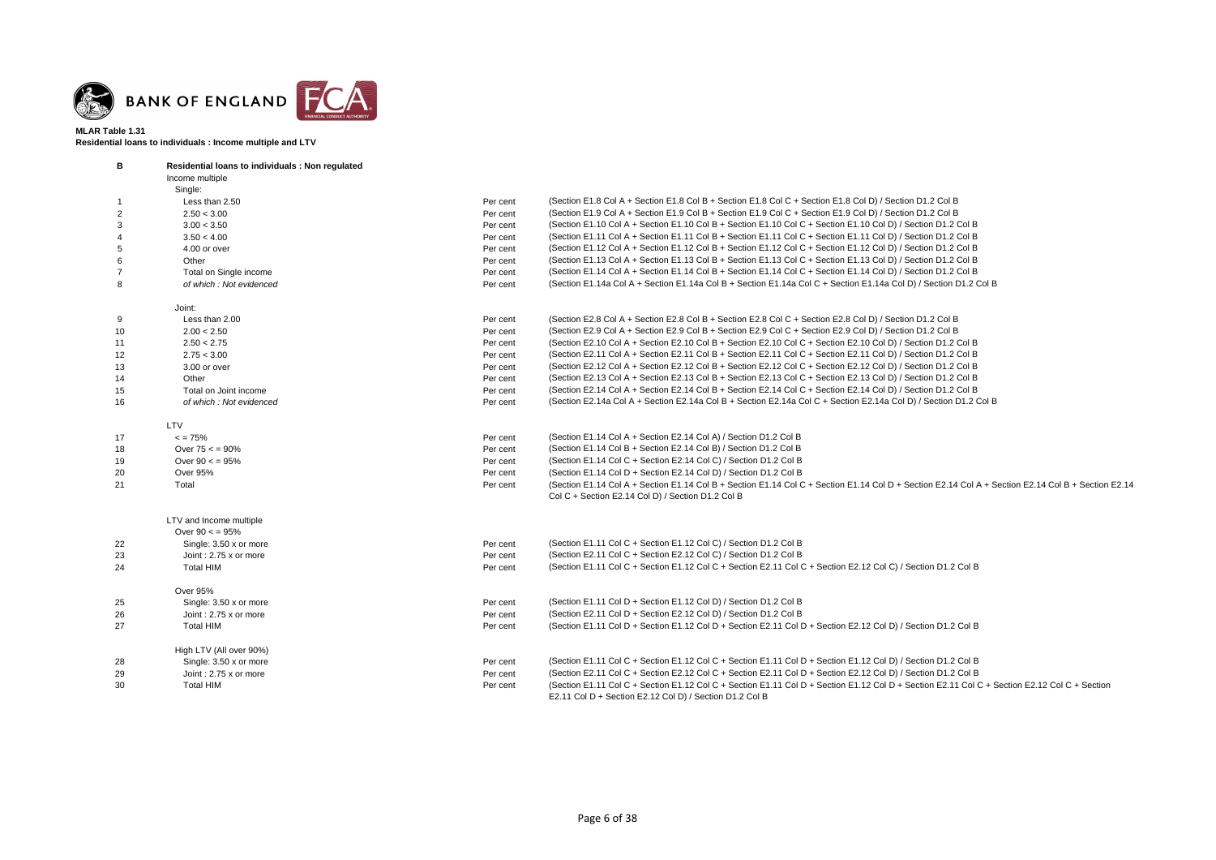

**Residential loans to individuals : Income multiple and LTV**

| В              | Residential loans to individuals : Non regulated |          |                                                                                                                                                                                                         |
|----------------|--------------------------------------------------|----------|---------------------------------------------------------------------------------------------------------------------------------------------------------------------------------------------------------|
|                | Income multiple                                  |          |                                                                                                                                                                                                         |
|                | Single:                                          |          |                                                                                                                                                                                                         |
|                | Less than 2.50                                   | Per cent | (Section E1.8 Col A + Section E1.8 Col B + Section E1.8 Col C + Section E1.8 Col D) / Section D1.2 Col B                                                                                                |
| 2              | 2.50 < 3.00                                      | Per cent | (Section E1.9 Col A + Section E1.9 Col B + Section E1.9 Col C + Section E1.9 Col D) / Section D1.2 Col B                                                                                                |
| 3              | 3.00 < 3.50                                      | Per cent | (Section E1.10 Col A + Section E1.10 Col B + Section E1.10 Col C + Section E1.10 Col D) / Section D1.2 Col B                                                                                            |
|                | 3.50 < 4.00                                      | Per cent | (Section E1.11 Col A + Section E1.11 Col B + Section E1.11 Col C + Section E1.11 Col D) / Section D1.2 Col B                                                                                            |
| 5              | 4.00 or over                                     | Per cent | (Section E1.12 Col A + Section E1.12 Col B + Section E1.12 Col C + Section E1.12 Col D) / Section D1.2 Col B                                                                                            |
| 6              | Other                                            | Per cent | (Section E1.13 Col A + Section E1.13 Col B + Section E1.13 Col C + Section E1.13 Col D) / Section D1.2 Col B                                                                                            |
| $\overline{7}$ | Total on Single income                           | Per cent | (Section E1.14 Col A + Section E1.14 Col B + Section E1.14 Col C + Section E1.14 Col D) / Section D1.2 Col B                                                                                            |
| 8              | of which: Not evidenced                          | Per cent | (Section E1.14a Col A + Section E1.14a Col B + Section E1.14a Col C + Section E1.14a Col D) / Section D1.2 Col B                                                                                        |
|                | Joint:                                           |          |                                                                                                                                                                                                         |
| 9              | Less than 2.00                                   | Per cent | (Section E2.8 Col A + Section E2.8 Col B + Section E2.8 Col C + Section E2.8 Col D) / Section D1.2 Col B                                                                                                |
| 10             | 2.00 < 2.50                                      | Per cent | (Section E2.9 Col A + Section E2.9 Col B + Section E2.9 Col C + Section E2.9 Col D) / Section D1.2 Col B                                                                                                |
| 11             | 2.50 < 2.75                                      | Per cent | (Section E2.10 Col A + Section E2.10 Col B + Section E2.10 Col C + Section E2.10 Col D) / Section D1.2 Col B                                                                                            |
| 12             | 2.75 < 3.00                                      | Per cent | (Section E2.11 Col A + Section E2.11 Col B + Section E2.11 Col C + Section E2.11 Col D) / Section D1.2 Col B                                                                                            |
| 13             | 3.00 or over                                     | Per cent | (Section E2.12 Col A + Section E2.12 Col B + Section E2.12 Col C + Section E2.12 Col D) / Section D1.2 Col B                                                                                            |
| 14             | Other                                            | Per cent | (Section E2.13 Col A + Section E2.13 Col B + Section E2.13 Col C + Section E2.13 Col D) / Section D1.2 Col B                                                                                            |
| 15             | Total on Joint income                            | Per cent | (Section E2.14 Col A + Section E2.14 Col B + Section E2.14 Col C + Section E2.14 Col D) / Section D1.2 Col B                                                                                            |
| 16             | of which : Not evidenced                         | Per cent | (Section E2.14a Col A + Section E2.14a Col B + Section E2.14a Col C + Section E2.14a Col D) / Section D1.2 Col B                                                                                        |
|                | LTV                                              |          |                                                                                                                                                                                                         |
| 17             | $\leq$ = 75%                                     | Per cent | (Section E1.14 Col A + Section E2.14 Col A) / Section D1.2 Col B                                                                                                                                        |
| 18             | Over $75 < 90\%$                                 | Per cent | (Section E1.14 Col B + Section E2.14 Col B) / Section D1.2 Col B                                                                                                                                        |
| 19             | Over $90 < 95\%$                                 | Per cent | (Section E1.14 Col C + Section E2.14 Col C) / Section D1.2 Col B                                                                                                                                        |
| 20             | Over 95%                                         | Per cent | (Section E1.14 Col D + Section E2.14 Col D) / Section D1.2 Col B                                                                                                                                        |
| 21             | Total                                            | Per cent | (Section E1.14 Col A + Section E1.14 Col B + Section E1.14 Col C + Section E1.14 Col D + Section E2.14 Col A + Section E2.14 Col B + Section E2.14<br>Col C + Section E2.14 Col D) / Section D1.2 Col B |
|                | LTV and Income multiple                          |          |                                                                                                                                                                                                         |
|                | Over $90 < 95\%$                                 |          |                                                                                                                                                                                                         |
| 22             | Single: 3.50 x or more                           | Per cent | (Section E1.11 Col C + Section E1.12 Col C) / Section D1.2 Col B                                                                                                                                        |
| 23             | Joint: 2.75 x or more                            | Per cent | (Section E2.11 Col C + Section E2.12 Col C) / Section D1.2 Col B                                                                                                                                        |
| 24             | <b>Total HIM</b>                                 | Per cent | (Section E1.11 Col C + Section E1.12 Col C + Section E2.11 Col C + Section E2.12 Col C) / Section D1.2 Col B                                                                                            |
|                | Over 95%                                         |          |                                                                                                                                                                                                         |
| 25             | Single: 3.50 x or more                           | Per cent | (Section E1.11 Col D + Section E1.12 Col D) / Section D1.2 Col B                                                                                                                                        |
| 26             | Joint: 2.75 x or more                            | Per cent | (Section E2.11 Col D + Section E2.12 Col D) / Section D1.2 Col B                                                                                                                                        |
| 27             | <b>Total HIM</b>                                 | Per cent | (Section E1.11 Col D + Section E1.12 Col D + Section E2.11 Col D + Section E2.12 Col D) / Section D1.2 Col B                                                                                            |
|                | High LTV (All over 90%)                          |          |                                                                                                                                                                                                         |
| 28             | Single: 3.50 x or more                           | Per cent | (Section E1.11 Col C + Section E1.12 Col C + Section E1.11 Col D + Section E1.12 Col D) / Section D1.2 Col B                                                                                            |
| 29             | Joint: 2.75 x or more                            | Per cent | (Section E2.11 Col C + Section E2.12 Col C + Section E2.11 Col D + Section E2.12 Col D) / Section D1.2 Col B                                                                                            |
| 30             | <b>Total HIM</b>                                 | Per cent | (Section E1.11 Col C + Section E1.12 Col C + Section E1.11 Col D + Section E1.12 Col D + Section E2.11 Col C + Section E2.12 Col C + Section<br>E2.11 Col D + Section E2.12 Col D) / Section D1.2 Col B |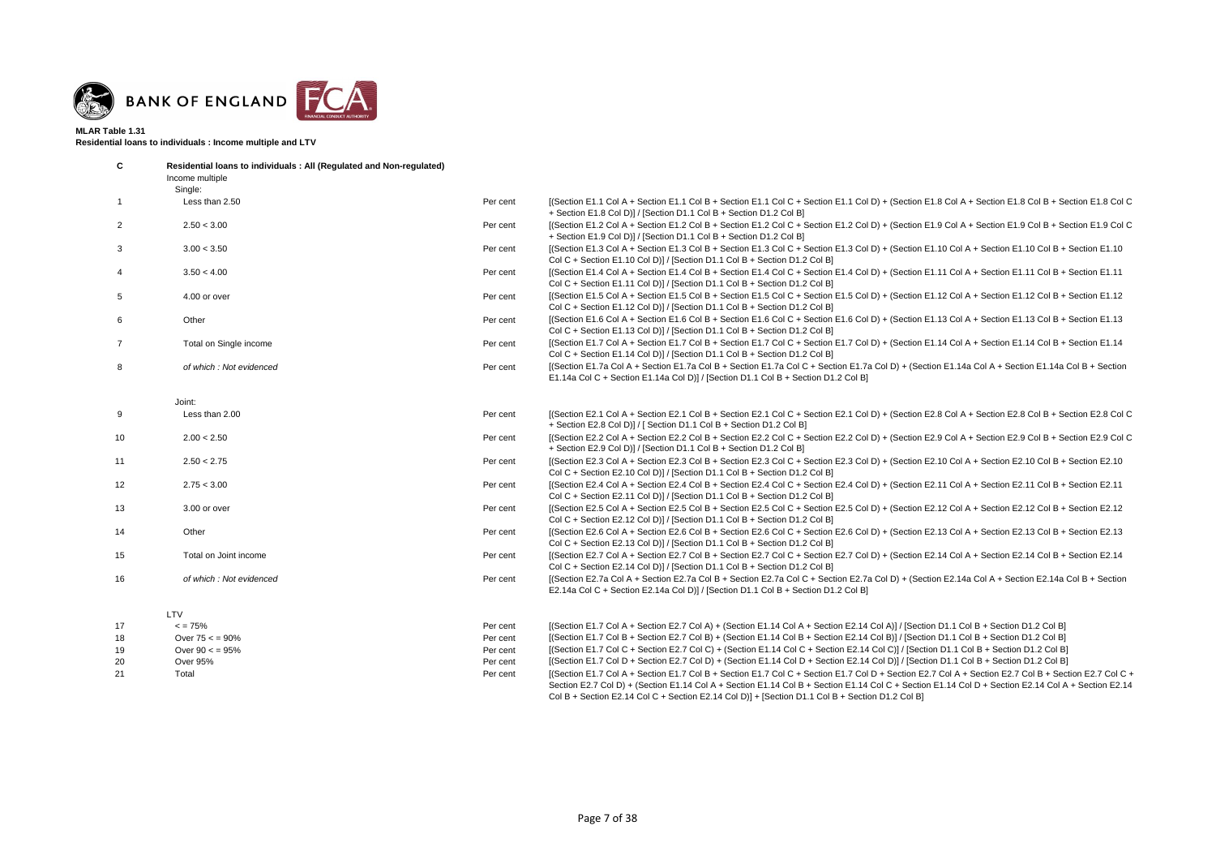

**Residential loans to individuals : Income multiple and LTV**

| C              | Residential loans to individuals: All (Regulated and Non-regulated)<br>Income multiple |          |                                                                                                                                                                                                                                                                                                                                                                                                               |
|----------------|----------------------------------------------------------------------------------------|----------|---------------------------------------------------------------------------------------------------------------------------------------------------------------------------------------------------------------------------------------------------------------------------------------------------------------------------------------------------------------------------------------------------------------|
|                | Single:                                                                                |          |                                                                                                                                                                                                                                                                                                                                                                                                               |
| $\mathbf{1}$   | Less than 2.50                                                                         | Per cent | [(Section E1.1 Col A + Section E1.1 Col B + Section E1.1 Col C + Section E1.1 Col D) + (Section E1.8 Col A + Section E1.8 Col B + Section E1.8 Col C<br>+ Section E1.8 Col D)] / [Section D1.1 Col B + Section D1.2 Col B]                                                                                                                                                                                    |
| $\overline{2}$ | 2.50 < 3.00                                                                            | Per cent | [(Section E1.2 Col A + Section E1.2 Col B + Section E1.2 Col C + Section E1.2 Col D) + (Section E1.9 Col A + Section E1.9 Col B + Section E1.9 Col C<br>+ Section E1.9 Col D)] / [Section D1.1 Col B + Section D1.2 Col B]                                                                                                                                                                                    |
| $\mathbf{3}$   | 3.00 < 3.50                                                                            | Per cent | [(Section E1.3 Col A + Section E1.3 Col B + Section E1.3 Col C + Section E1.3 Col D) + (Section E1.10 Col A + Section E1.10 Col B + Section E1.10<br>Col C + Section E1.10 Col D)] / [Section D1.1 Col B + Section D1.2 Col B]                                                                                                                                                                                |
| $\overline{4}$ | 3.50 < 4.00                                                                            | Per cent | [(Section E1.4 Col A + Section E1.4 Col B + Section E1.4 Col C + Section E1.4 Col D) + (Section E1.11 Col A + Section E1.11 Col B + Section E1.11<br>Col C + Section E1.11 Col D)] / [Section D1.1 Col B + Section D1.2 Col B]                                                                                                                                                                                |
| 5              | 4.00 or over                                                                           | Per cent | [(Section E1.5 Col A + Section E1.5 Col B + Section E1.5 Col C + Section E1.5 Col D) + (Section E1.12 Col A + Section E1.12 Col B + Section E1.12<br>Col C + Section E1.12 Col D)] / [Section D1.1 Col B + Section D1.2 Col B]                                                                                                                                                                                |
| 6              | Other                                                                                  | Per cent | [(Section E1.6 Col A + Section E1.6 Col B + Section E1.6 Col C + Section E1.6 Col D) + (Section E1.13 Col A + Section E1.13 Col B + Section E1.13<br>Col C + Section E1.13 Col D)] / [Section D1.1 Col B + Section D1.2 Col B]                                                                                                                                                                                |
| $\overline{7}$ | Total on Single income                                                                 | Per cent | [(Section E1.7 Col A + Section E1.7 Col B + Section E1.7 Col C + Section E1.7 Col D) + (Section E1.14 Col A + Section E1.14 Col B + Section E1.14<br>Col C + Section E1.14 Col D)] / [Section D1.1 Col B + Section D1.2 Col B]                                                                                                                                                                                |
| 8              | of which : Not evidenced                                                               | Per cent | [(Section E1.7a Col A + Section E1.7a Col B + Section E1.7a Col C + Section E1.7a Col D) + (Section E1.14a Col A + Section E1.14a Col B + Section<br>E1.14a Col C + Section E1.14a Col D)] / [Section D1.1 Col B + Section D1.2 Col B]                                                                                                                                                                        |
|                | Joint:                                                                                 |          |                                                                                                                                                                                                                                                                                                                                                                                                               |
| 9              | Less than 2.00                                                                         | Per cent | [(Section E2.1 Col A + Section E2.1 Col B + Section E2.1 Col C + Section E2.1 Col D) + (Section E2.8 Col A + Section E2.8 Col B + Section E2.8 Col C<br>+ Section E2.8 Col D)] / [ Section D1.1 Col B + Section D1.2 Col B]                                                                                                                                                                                   |
| 10             | 2.00 < 2.50                                                                            | Per cent | [(Section E2.2 Col A + Section E2.2 Col B + Section E2.2 Col C + Section E2.2 Col D) + (Section E2.9 Col A + Section E2.9 Col B + Section E2.9 Col C<br>+ Section E2.9 Col D)] / [Section D1.1 Col B + Section D1.2 Col B]                                                                                                                                                                                    |
| 11             | 2.50 < 2.75                                                                            | Per cent | [(Section E2.3 Col A + Section E2.3 Col B + Section E2.3 Col C + Section E2.3 Col D) + (Section E2.10 Col A + Section E2.10 Col B + Section E2.10<br>Col C + Section E2.10 Col D)] / [Section D1.1 Col B + Section D1.2 Col B]                                                                                                                                                                                |
| 12             | 2.75 < 3.00                                                                            | Per cent | [(Section E2.4 Col A + Section E2.4 Col B + Section E2.4 Col C + Section E2.4 Col D) + (Section E2.11 Col A + Section E2.11 Col B + Section E2.11<br>Col C + Section E2.11 Col D)] / [Section D1.1 Col B + Section D1.2 Col B]                                                                                                                                                                                |
| 13             | 3.00 or over                                                                           | Per cent | [(Section E2.5 Col A + Section E2.5 Col B + Section E2.5 Col C + Section E2.5 Col D) + (Section E2.12 Col A + Section E2.12 Col B + Section E2.12<br>Col C + Section E2.12 Col D)] / [Section D1.1 Col B + Section D1.2 Col B]                                                                                                                                                                                |
| 14             | Other                                                                                  | Per cent | [(Section E2.6 Col A + Section E2.6 Col B + Section E2.6 Col C + Section E2.6 Col D) + (Section E2.13 Col A + Section E2.13 Col B + Section E2.13<br>Col C + Section E2.13 Col D)] / [Section D1.1 Col B + Section D1.2 Col B]                                                                                                                                                                                |
| 15             | Total on Joint income                                                                  | Per cent | [(Section E2.7 Col A + Section E2.7 Col B + Section E2.7 Col C + Section E2.7 Col D) + (Section E2.14 Col A + Section E2.14 Col B + Section E2.14<br>Col C + Section E2.14 Col D)] / [Section D1.1 Col B + Section D1.2 Col B]                                                                                                                                                                                |
| 16             | of which : Not evidenced                                                               | Per cent | [(Section E2.7a Col A + Section E2.7a Col B + Section E2.7a Col C + Section E2.7a Col D) + (Section E2.14a Col A + Section E2.14a Col B + Section<br>E2.14a Col C + Section E2.14a Col D)] / [Section D1.1 Col B + Section D1.2 Col B]                                                                                                                                                                        |
|                | LTV                                                                                    |          |                                                                                                                                                                                                                                                                                                                                                                                                               |
| 17             | $\epsilon$ = 75%                                                                       | Per cent | [(Section E1.7 Col A + Section E2.7 Col A) + (Section E1.14 Col A + Section E2.14 Col A)] / [Section D1.1 Col B + Section D1.2 Col B]                                                                                                                                                                                                                                                                         |
| 18             | Over $75 < 90\%$                                                                       | Per cent | [(Section E1.7 Col B + Section E2.7 Col B) + (Section E1.14 Col B + Section E2.14 Col B)] / [Section D1.1 Col B + Section D1.2 Col B]                                                                                                                                                                                                                                                                         |
| 19             | Over $90 < 95\%$                                                                       | Per cent | [(Section E1.7 Col C + Section E2.7 Col C) + (Section E1.14 Col C + Section E2.14 Col C)] / [Section D1.1 Col B + Section D1.2 Col B]                                                                                                                                                                                                                                                                         |
| 20             | Over 95%                                                                               | Per cent | [(Section E1.7 Col D + Section E2.7 Col D) + (Section E1.14 Col D + Section E2.14 Col D)] / [Section D1.1 Col B + Section D1.2 Col B]                                                                                                                                                                                                                                                                         |
| 21             | Total                                                                                  | Per cent | I(Section E1.7 Col A + Section E1.7 Col B + Section E1.7 Col C + Section E1.7 Col D + Section E2.7 Col A + Section E2.7 Col B + Section E2.7 Col C +<br>Section E2.7 Col D) + (Section E1.14 Col A + Section E1.14 Col B + Section E1.14 Col C + Section E1.14 Col D + Section E2.14 Col A + Section E2.14<br>Col B + Section E2.14 Col C + Section E2.14 Col D)] + [Section D1.1 Col B + Section D1.2 Col B] |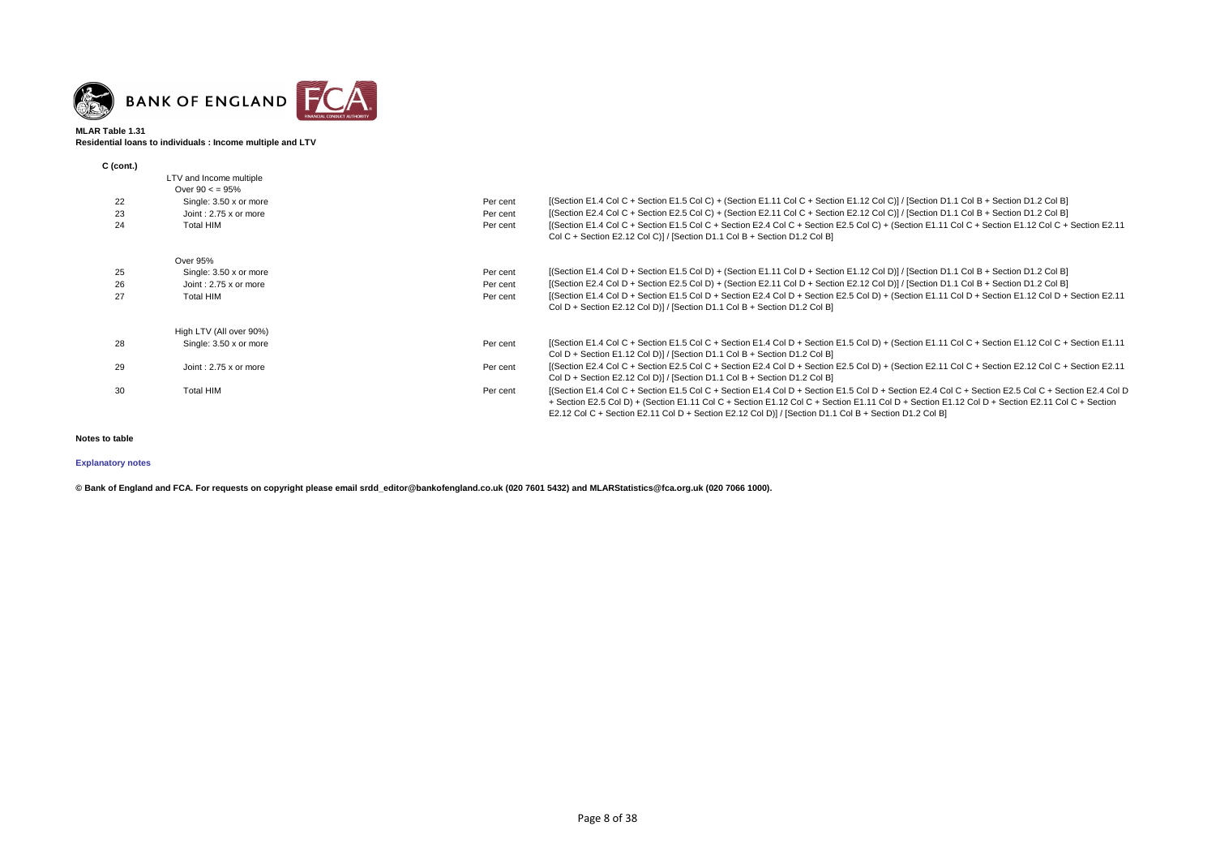

### **MLAR Table 1.31 Residential loans to individuals : Income multiple and LTV**

| $C$ (cont.) |                              |          |                                                                                                                                                                                                                                |
|-------------|------------------------------|----------|--------------------------------------------------------------------------------------------------------------------------------------------------------------------------------------------------------------------------------|
|             | LTV and Income multiple      |          |                                                                                                                                                                                                                                |
|             | Over $90 \leq x 95\%$        |          |                                                                                                                                                                                                                                |
| 22          | Single: 3.50 x or more       | Per cent | [(Section E1.4 Col C + Section E1.5 Col C) + (Section E1.11 Col C + Section E1.12 Col C)] / [Section D1.1 Col B + Section D1.2 Col B]                                                                                          |
| 23          | Joint: 2.75 x or more        | Per cent | [(Section E2.4 Col C + Section E2.5 Col C) + (Section E2.11 Col C + Section E2.12 Col C)] / [Section D1.1 Col B + Section D1.2 Col B]                                                                                          |
| 24          | <b>Total HIM</b>             | Per cent | [(Section E1.4 Col C + Section E1.5 Col C + Section E2.4 Col C + Section E2.5 Col C) + (Section E1.11 Col C + Section E1.12 Col C + Section E2.11<br>Col C + Section E2.12 Col C)] / [Section D1.1 Col B + Section D1.2 Col B] |
|             | Over 95%                     |          |                                                                                                                                                                                                                                |
| 25          | Single: 3.50 x or more       | Per cent | [Gection E1.4 Col D + Section E1.5 Col D) + (Section E1.11 Col D + Section E1.12 Col D)] / [Section D1.1 Col B + Section D1.2 Col B]                                                                                           |
| 26          | Joint: $2.75 \times$ or more | Per cent | [(Section E2.4 Col D + Section E2.5 Col D) + (Section E2.11 Col D + Section E2.12 Col D)] / [Section D1.1 Col B + Section D1.2 Col B]                                                                                          |
| 27          | Total HIM                    | Per cent | I(Section E1.4 Col D + Section E1.5 Col D + Section E2.4 Col D + Section E2.5 Col D) + (Section E1.11 Col D + Section E1.12 Col D + Section E2.11                                                                              |
|             |                              |          | Col D + Section E2.12 Col D)] / [Section D1.1 Col B + Section D1.2 Col B]                                                                                                                                                      |
|             | High LTV (All over 90%)      |          |                                                                                                                                                                                                                                |
| 28          | Single: 3.50 x or more       | Per cent | I(Section E1.4 Col C + Section E1.5 Col C + Section E1.4 Col D + Section E1.5 Col D) + (Section E1.11 Col C + Section E1.12 Col C + Section E1.11                                                                              |
|             |                              |          | Col D + Section E1.12 Col D)] / [Section D1.1 Col B + Section D1.2 Col B]                                                                                                                                                      |
| 29          | Joint: 2.75 x or more        | Per cent | [(Section E2.4 Col C + Section E2.5 Col C + Section E2.4 Col D + Section E2.5 Col D) + (Section E2.11 Col C + Section E2.12 Col C + Section E2.11                                                                              |
|             |                              |          | Col D + Section E2.12 Col D)] / [Section D1.1 Col B + Section D1.2 Col B]                                                                                                                                                      |
| 30          | <b>Total HIM</b>             | Per cent | [(Section E1.4 Col C + Section E1.5 Col C + Section E1.4 Col D + Section E1.5 Col D + Section E2.4 Col C + Section E2.5 Col C + Section E2.4 Col D                                                                             |
|             |                              |          | + Section E2.5 Col D) + (Section E1.11 Col C + Section E1.12 Col C + Section E1.11 Col D + Section E1.12 Col D + Section E2.11 Col C + Section                                                                                 |
|             |                              |          | E2.12 Col C + Section E2.11 Col D + Section E2.12 Col D)] / [Section D1.1 Col B + Section D1.2 Col B]                                                                                                                          |

### **Notes to table**

# **[Explanatory notes](http://www.bankofengland.co.uk/statistics/Pages/iadb/notesiadb/capital_issues.aspx)**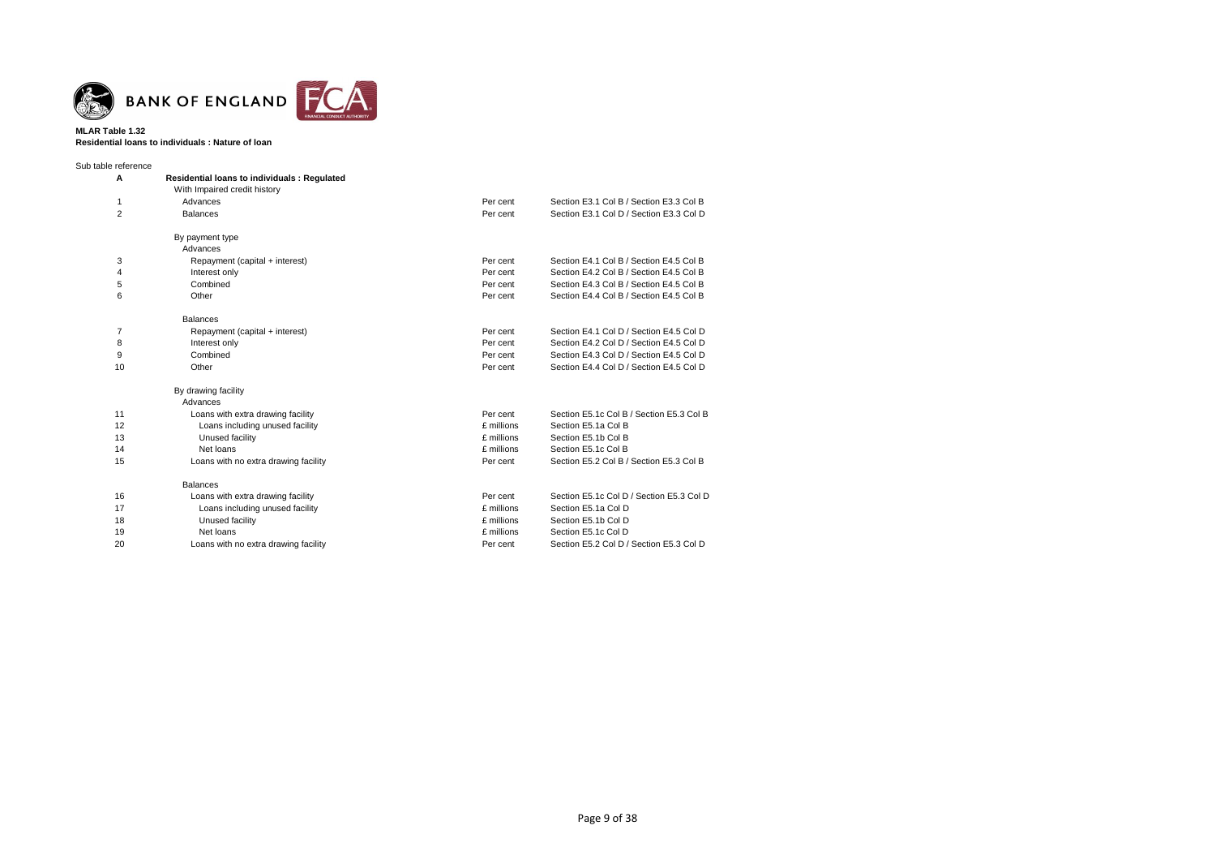

### **MLAR Table 1.32 Residential loans to individuals : Nature of loan**

Sub table reference

| A              | <b>Residential loans to individuals: Regulated</b> |            |                                          |  |  |  |
|----------------|----------------------------------------------------|------------|------------------------------------------|--|--|--|
|                | With Impaired credit history                       |            |                                          |  |  |  |
| 1              | Advances                                           | Per cent   | Section E3.1 Col B / Section E3.3 Col B  |  |  |  |
| $\overline{2}$ | <b>Balances</b>                                    | Per cent   | Section E3.1 Col D / Section E3.3 Col D  |  |  |  |
|                | By payment type                                    |            |                                          |  |  |  |
|                | Advances                                           |            |                                          |  |  |  |
| 3              | Repayment (capital + interest)                     | Per cent   | Section E4.1 Col B / Section E4.5 Col B  |  |  |  |
| 4              | Interest only                                      | Per cent   | Section E4.2 Col B / Section E4.5 Col B  |  |  |  |
| 5              | Combined                                           | Per cent   | Section E4.3 Col B / Section E4.5 Col B  |  |  |  |
| 6              | Other                                              | Per cent   | Section E4.4 Col B / Section E4.5 Col B  |  |  |  |
|                | <b>Balances</b>                                    |            |                                          |  |  |  |
| 7              | Repayment (capital + interest)                     | Per cent   | Section E4.1 Col D / Section E4.5 Col D  |  |  |  |
| 8              | Interest only                                      | Per cent   | Section E4.2 Col D / Section E4.5 Col D  |  |  |  |
| 9              | Combined                                           | Per cent   | Section E4.3 Col D / Section E4.5 Col D  |  |  |  |
| 10             | Other                                              | Per cent   | Section E4.4 Col D / Section E4.5 Col D  |  |  |  |
|                | By drawing facility                                |            |                                          |  |  |  |
|                | Advances                                           |            |                                          |  |  |  |
| 11             | Loans with extra drawing facility                  | Per cent   | Section E5.1c Col B / Section E5.3 Col B |  |  |  |
| 12             | Loans including unused facility                    | £ millions | Section E5.1a Col B                      |  |  |  |
| 13             | Unused facility                                    | £ millions | Section E5.1b Col B                      |  |  |  |
| 14             | Net loans                                          | £ millions | Section E5.1c Col B                      |  |  |  |
| 15             | Loans with no extra drawing facility               | Per cent   | Section E5.2 Col B / Section E5.3 Col B  |  |  |  |
|                | <b>Balances</b>                                    |            |                                          |  |  |  |
| 16             | Loans with extra drawing facility                  | Per cent   | Section E5.1c Col D / Section E5.3 Col D |  |  |  |
| 17             | Loans including unused facility                    | £ millions | Section E5.1a Col D                      |  |  |  |
| 18             | Unused facility                                    | £ millions | Section E5.1b Col D                      |  |  |  |
| 19             | Net loans                                          | £ millions | Section E5.1c Col D                      |  |  |  |
| 20             | Loans with no extra drawing facility               | Per cent   | Section E5.2 Col D / Section E5.3 Col D  |  |  |  |
|                |                                                    |            |                                          |  |  |  |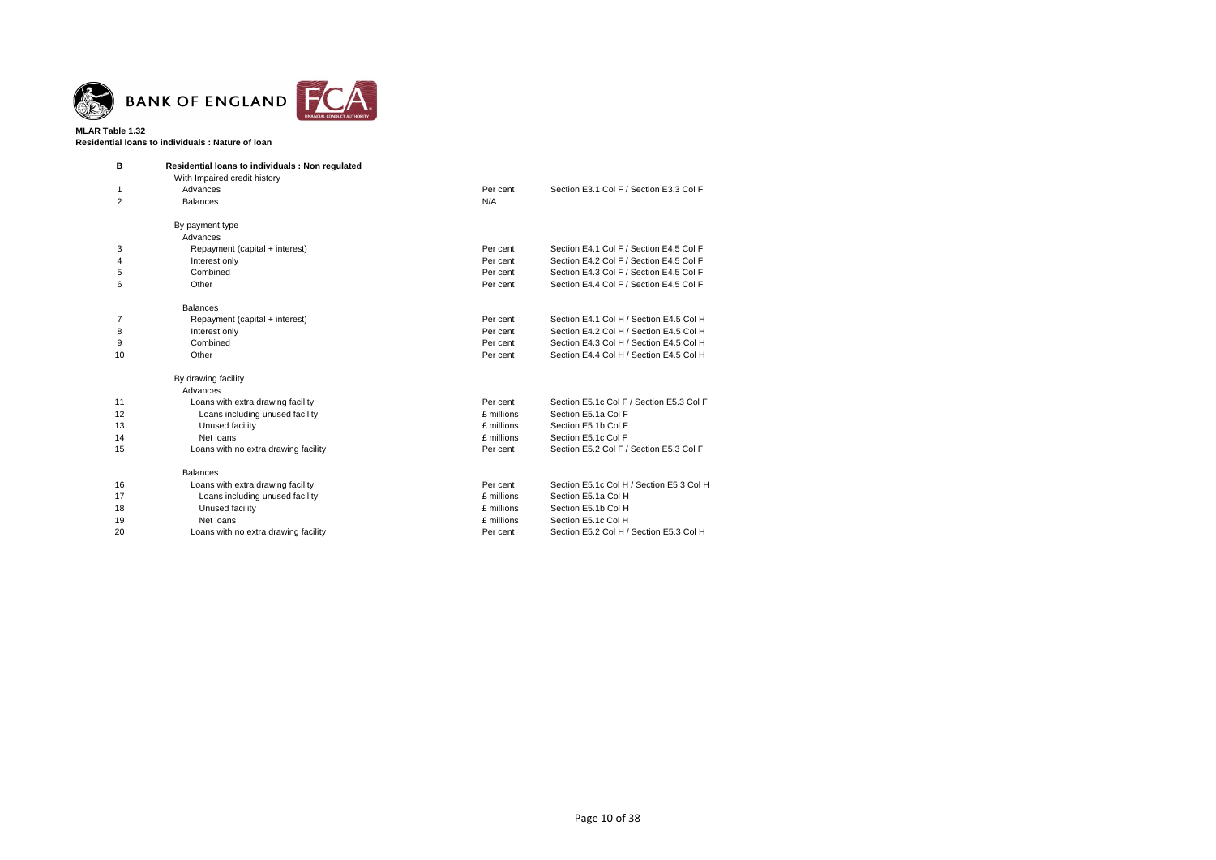

### **MLAR Table 1.32 Residential loans to individuals : Nature of loan**

| в  | Residential loans to individuals: Non regulated |            |                                          |
|----|-------------------------------------------------|------------|------------------------------------------|
|    | With Impaired credit history                    |            |                                          |
| 1  | Advances                                        | Per cent   | Section E3.1 Col F / Section E3.3 Col F  |
| 2  | <b>Balances</b>                                 | N/A        |                                          |
|    | By payment type                                 |            |                                          |
|    | Advances                                        |            |                                          |
| 3  | Repayment (capital + interest)                  | Per cent   | Section E4.1 Col F / Section E4.5 Col F  |
| 4  | Interest only                                   | Per cent   | Section E4.2 Col F / Section E4.5 Col F  |
| 5  | Combined                                        | Per cent   | Section E4.3 Col F / Section E4.5 Col F  |
| 6  | Other                                           | Per cent   | Section E4.4 Col F / Section E4.5 Col F  |
|    | <b>Balances</b>                                 |            |                                          |
| 7  | Repayment (capital + interest)                  | Per cent   | Section E4.1 Col H / Section E4.5 Col H  |
| 8  | Interest only                                   | Per cent   | Section E4.2 Col H / Section E4.5 Col H  |
| 9  | Combined                                        | Per cent   | Section E4.3 Col H / Section E4.5 Col H  |
| 10 | Other                                           | Per cent   | Section E4.4 Col H / Section E4.5 Col H  |
|    | By drawing facility                             |            |                                          |
|    | Advances                                        |            |                                          |
| 11 | Loans with extra drawing facility               | Per cent   | Section E5.1c Col F / Section E5.3 Col F |
| 12 | Loans including unused facility                 | £ millions | Section E5.1a Col F                      |
| 13 | Unused facility                                 | £ millions | Section E5.1b Col F                      |
| 14 | Net loans                                       | £ millions | Section E5.1c Col F                      |
| 15 | Loans with no extra drawing facility            | Per cent   | Section E5.2 Col F / Section E5.3 Col F  |
|    | <b>Balances</b>                                 |            |                                          |
| 16 | Loans with extra drawing facility               | Per cent   | Section E5.1c Col H / Section E5.3 Col H |
| 17 | Loans including unused facility                 | £ millions | Section E5.1a Col H                      |
| 18 | Unused facility                                 | £ millions | Section E5.1b Col H                      |
| 19 | Net loans                                       | £ millions | Section E5.1c Col H                      |
| 20 | Loans with no extra drawing facility            | Per cent   | Section E5.2 Col H / Section E5.3 Col H  |
|    |                                                 |            |                                          |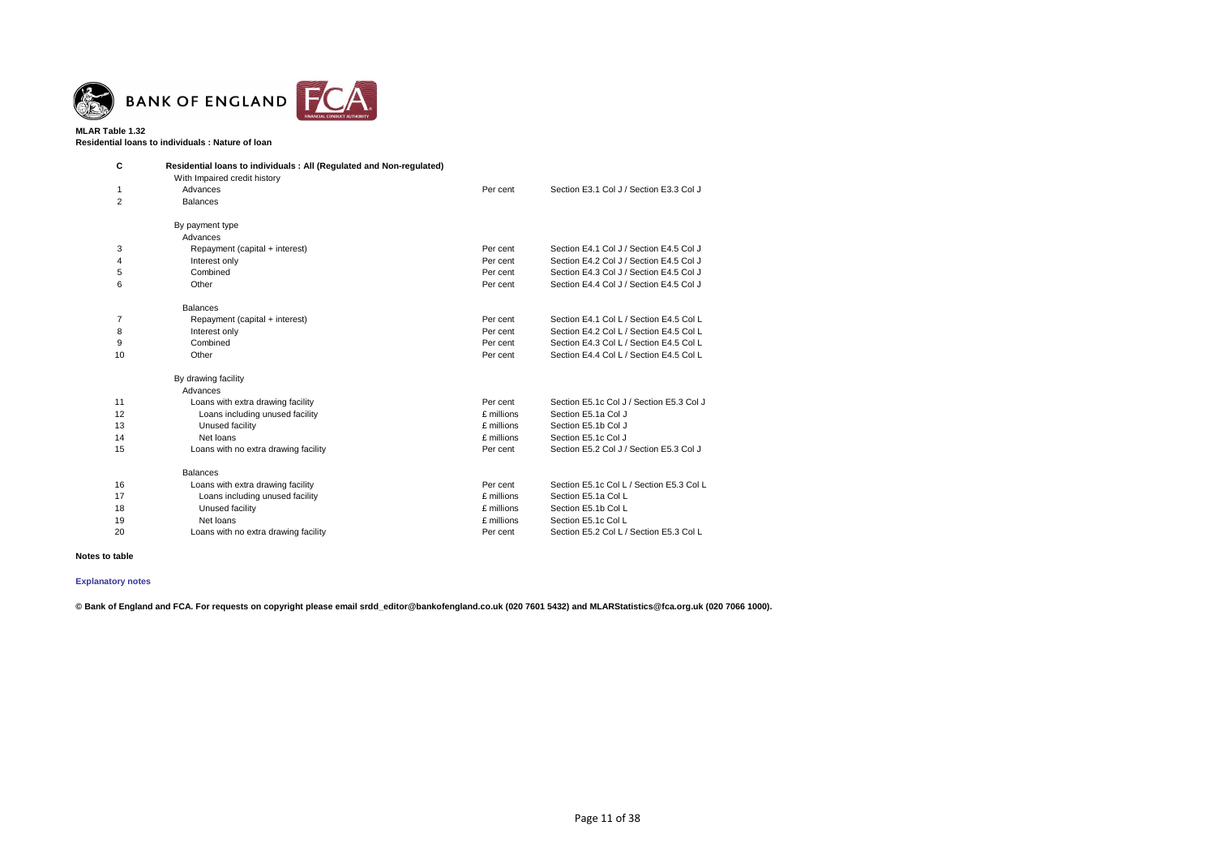

**Residential loans to individuals : Nature of loan**

| С              | Residential loans to individuals : All (Regulated and Non-regulated) |            |                                          |
|----------------|----------------------------------------------------------------------|------------|------------------------------------------|
|                | With Impaired credit history                                         |            |                                          |
|                | Advances                                                             | Per cent   | Section E3.1 Col J / Section E3.3 Col J  |
| $\overline{2}$ | <b>Balances</b>                                                      |            |                                          |
|                | By payment type                                                      |            |                                          |
|                | Advances                                                             |            |                                          |
| 3              | Repayment (capital + interest)                                       | Per cent   | Section E4.1 Col J / Section E4.5 Col J  |
| 4              | Interest only                                                        | Per cent   | Section E4.2 Col J / Section E4.5 Col J  |
| 5              | Combined                                                             | Per cent   | Section E4.3 Col J / Section E4.5 Col J  |
| 6              | Other                                                                | Per cent   | Section E4.4 Col J / Section E4.5 Col J  |
|                | <b>Balances</b>                                                      |            |                                          |
| 7              | Repayment (capital + interest)                                       | Per cent   | Section E4.1 Col L / Section E4.5 Col L  |
| 8              | Interest only                                                        | Per cent   | Section E4.2 Col L / Section E4.5 Col L  |
| 9              | Combined                                                             | Per cent   | Section E4.3 Col L / Section E4.5 Col L  |
| 10             | Other                                                                | Per cent   | Section E4.4 Col L / Section E4.5 Col L  |
|                | By drawing facility                                                  |            |                                          |
|                | Advances                                                             |            |                                          |
| 11             | Loans with extra drawing facility                                    | Per cent   | Section E5.1c Col J / Section E5.3 Col J |
| 12             | Loans including unused facility                                      | £ millions | Section E5.1a Col J                      |
| 13             | Unused facility                                                      | £ millions | Section E5.1b Col J                      |
| 14             | Net loans                                                            | £ millions | Section E5.1c Col J                      |
| 15             | Loans with no extra drawing facility                                 | Per cent   | Section E5.2 Col J / Section E5.3 Col J  |
|                | <b>Balances</b>                                                      |            |                                          |
| 16             | Loans with extra drawing facility                                    | Per cent   | Section E5.1c Col L / Section E5.3 Col L |
| 17             | Loans including unused facility                                      | £ millions | Section E5.1a Col L                      |
| 18             | Unused facility                                                      | £ millions | Section E5.1b Col L                      |
| 19             | Net loans                                                            | £ millions | Section E5.1c Col L                      |
| 20             | Loans with no extra drawing facility                                 | Per cent   | Section E5.2 Col L / Section E5.3 Col L  |

#### **Notes to table**

# **[Explanatory notes](http://www.bankofengland.co.uk/statistics/Pages/iadb/notesiadb/capital_issues.aspx)**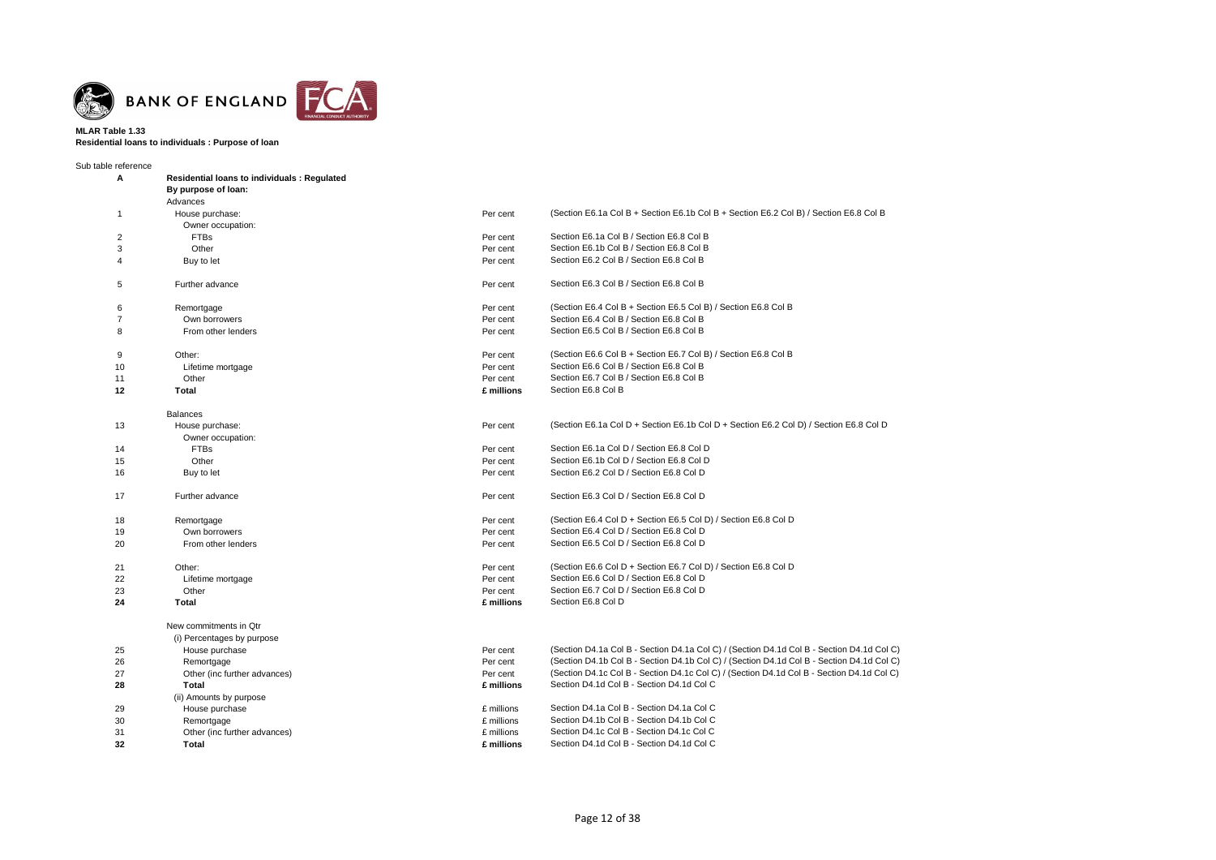

#### **MLAR Table 1.33 Residential loans to individuals : Purpose of loan**

Sub table reference **A Residential loans to individuals : Regulated By purpose of loan:** Advances 1 House purchase: Per cent (Section E6.1a Col B + Section E6.1b Col B + Section E6.2 Col B) / Section E6.8 Col B Owner occupation: 2 FTBs Per cent Section E6.1a Col B / Section E6.8 Col B 3 Other Per cent Section E6.1b Col B / Section E6.8 Col B 4 Buy to let Per cent Section E6.2 Col B / Section E6.8 Col B 5 Further advance Per cent Section E6.3 Col B / Section E6.8 Col B 6 Remortgage Per cent (Section E6.4 Col B + Section E6.5 Col B) / Section E6.8 Col B 7 Own borrowers Per cent Section E6.4 Col B / Section E6.8 Col B 8 **From other lenders** Per cent Section E6.5 Col B / Section E6.8 Col B / Section E6.8 Col B / Section E6.8 Col B 9 Other: Change of the Color Bigger of the Color Ber cent (Section E6.6 Col B + Section E6.7 Col B) / Section E6.8 Col B 10 Lifetime mortgage **Per cent** Section E6.6 Col B / Section E6.8 Col B / Section E6.8 Col B 11 Other Charles Col B / Section E6.7 Col B / Section E6.8 Col B / Section E6.8 Col B / Section E6.8 Col B **12 Total £ millions** Section E6.8 Col B Balances 13 House purchase: Per cent (Section E6.1a Col D + Section E6.1b Col D + Section E6.2 Col D) / Section E6.8 Col D Owner occupation: 14 FTBs Per cent Section E6.1a Col D / Section E6.8 Col D 15 Other Per cent Section E6.1b Col D / Section E6.8 Col D 16 Buy to let **Buy to let Per cent** Per cent Section E6.2 Col D / Section E6.8 Col D **Per cent** Section E6.2 Col D / Section E6.8 Col D 17 Further advance **Per cent** Section E6.3 Col D / Section E6.8 Col D **Per cent** Section E6.3 Col D / Section E6.8 Col D 18 Remortgage Remortgage Per cent (Section E6.4 Col D + Section E6.5 Col D) / Section E6.8 Col D 19 Own borrowers Per cent Section E6.4 Col D / Section E6.8 Col D 20 From other lenders Per cent Section E6.5 Col D / Section E6.8 Col D 21 Other: Chercent (Section E6.6 Col D + Section E6.7 Col D) / Section E6.8 Col D + Section E6.7 Col D) / Section E6.8 Col D 22 Lifetime mortgage **Per cent** Section E6.6 Col D / Section E6.8 Col D / Section E6.8 Col D 23 Other Per cent Section E6.7 Col D / Section E6.8 Col D / Section E6.8 Col D **24 Total £ millions** Section E6.8 Col D New commitments in Qtr (i) Percentages by purpose 25 House purchase Per cent (Section D4.1a Col B - Section D4.1a Col C) / (Section D4.1d Col B - Section D4.1d Col C) 26 Remortgage Per cent (Section D4.1b Col B - Section D4.1b Col C) / (Section D4.1d Col B - Section D4.1d Col C) 27 Other (inc further advances) 27 Der cent (Section D4.1c Col B - Section D4.1c Col C) / (Section D4.1d Col B - Section D4.1d Col C) **28 Total £ millions** Section D4.1d Col B - Section D4.1d Col C (ii) Amounts by purpose 29 House purchase £ millions Section D4.1a Col B - Section D4.1a Col C 30 Remortgage **Example 30** Remortgage **E** millions Section D4.1b Col B - Section D4.1b Col C 31 Other (inc further advances) **Example 20 Section D4.1c Col B** - Section D4.1c Col C **32 Total £ millions** Section D4.1d Col B - Section D4.1d Col C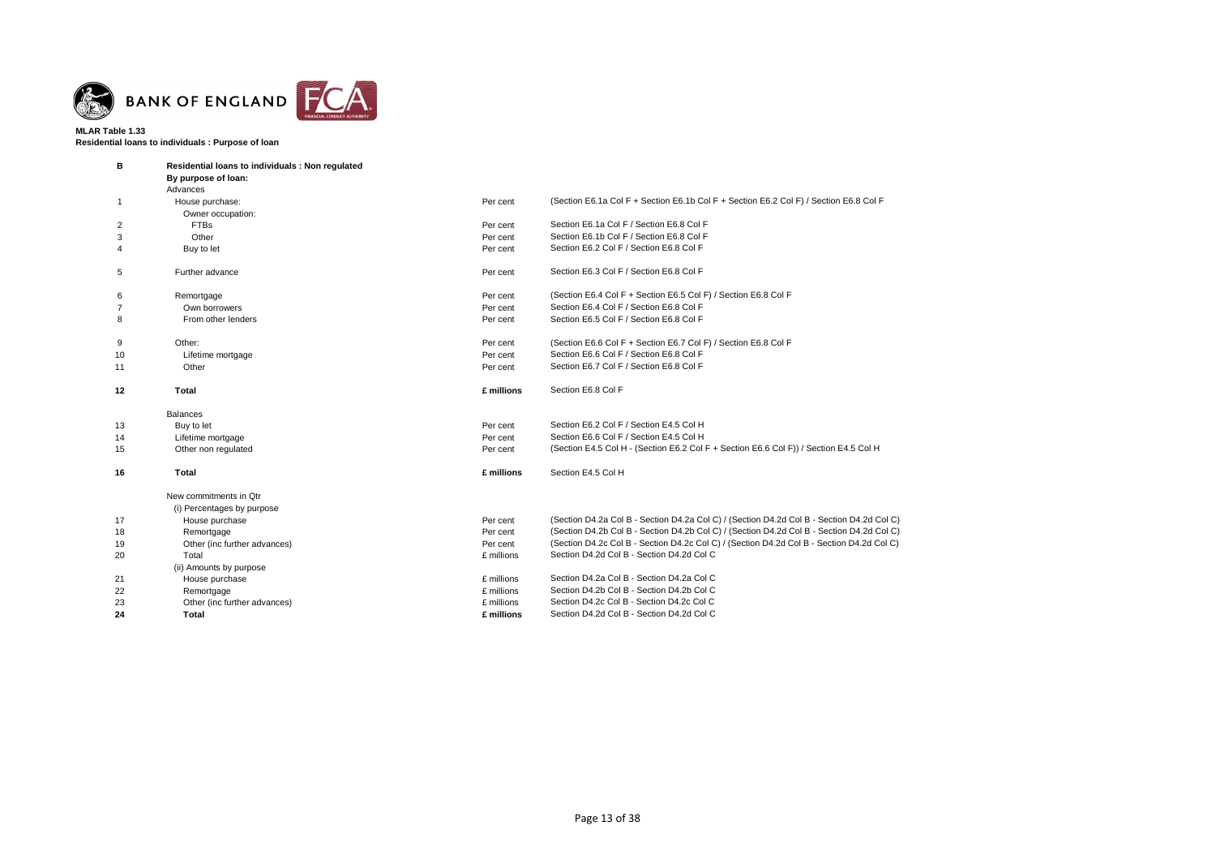

### **MLAR Table 1.33 Residential loans to individuals : Purpose of loan**

| B            | Residential loans to individuals: Non regulated |            |                                                                                           |
|--------------|-------------------------------------------------|------------|-------------------------------------------------------------------------------------------|
|              | By purpose of loan:                             |            |                                                                                           |
|              | Advances                                        |            |                                                                                           |
| $\mathbf{1}$ | House purchase:                                 | Per cent   | (Section E6.1a Col F + Section E6.1b Col F + Section E6.2 Col F) / Section E6.8 Col F     |
|              | Owner occupation:                               |            |                                                                                           |
| 2            | <b>FTBs</b>                                     | Per cent   | Section E6.1a Col F / Section E6.8 Col F                                                  |
| 3            | Other                                           | Per cent   | Section E6.1b Col F / Section E6.8 Col F                                                  |
| 4            | Buy to let                                      | Per cent   | Section E6.2 Col F / Section E6.8 Col F                                                   |
| 5            | Further advance                                 | Per cent   | Section E6.3 Col F / Section E6.8 Col F                                                   |
| 6            | Remortgage                                      | Per cent   | (Section E6.4 Col F + Section E6.5 Col F) / Section E6.8 Col F                            |
| 7            | Own borrowers                                   | Per cent   | Section E6.4 Col F / Section E6.8 Col F                                                   |
| 8            | From other lenders                              | Per cent   | Section E6.5 Col F / Section E6.8 Col F                                                   |
| 9            | Other:                                          | Per cent   | (Section E6.6 Col F + Section E6.7 Col F) / Section E6.8 Col F                            |
| 10           | Lifetime mortgage                               | Per cent   | Section E6.6 Col F / Section E6.8 Col F                                                   |
| 11           | Other                                           | Per cent   | Section E6.7 Col F / Section E6.8 Col F                                                   |
| 12           | Total                                           | £ millions | Section E6.8 Col F                                                                        |
|              | <b>Balances</b>                                 |            |                                                                                           |
| 13           | Buy to let                                      | Per cent   | Section E6.2 Col F / Section E4.5 Col H                                                   |
| 14           | Lifetime mortgage                               | Per cent   | Section E6.6 Col F / Section E4.5 Col H                                                   |
| 15           | Other non regulated                             | Per cent   | (Section E4.5 Col H - (Section E6.2 Col F + Section E6.6 Col F)) / Section E4.5 Col H     |
| 16           | Total                                           | £ millions | Section E4.5 Col H                                                                        |
|              | New commitments in Qtr                          |            |                                                                                           |
|              | (i) Percentages by purpose                      |            |                                                                                           |
| 17           | House purchase                                  | Per cent   | (Section D4.2a Col B - Section D4.2a Col C) / (Section D4.2d Col B - Section D4.2d Col C) |
| 18           | Remortgage                                      | Per cent   | (Section D4.2b Col B - Section D4.2b Col C) / (Section D4.2d Col B - Section D4.2d Col C) |
| 19           | Other (inc further advances)                    | Per cent   | (Section D4.2c Col B - Section D4.2c Col C) / (Section D4.2d Col B - Section D4.2d Col C) |
| 20           | Total                                           | £ millions | Section D4.2d Col B - Section D4.2d Col C                                                 |
|              | (ii) Amounts by purpose                         |            |                                                                                           |
| 21           | House purchase                                  | £ millions | Section D4.2a Col B - Section D4.2a Col C                                                 |
| 22           | Remortgage                                      | £ millions | Section D4.2b Col B - Section D4.2b Col C                                                 |
| 23           | Other (inc further advances)                    | £ millions | Section D4.2c Col B - Section D4.2c Col C                                                 |
| 24           | Total                                           | £ millions | Section D4.2d Col B - Section D4.2d Col C                                                 |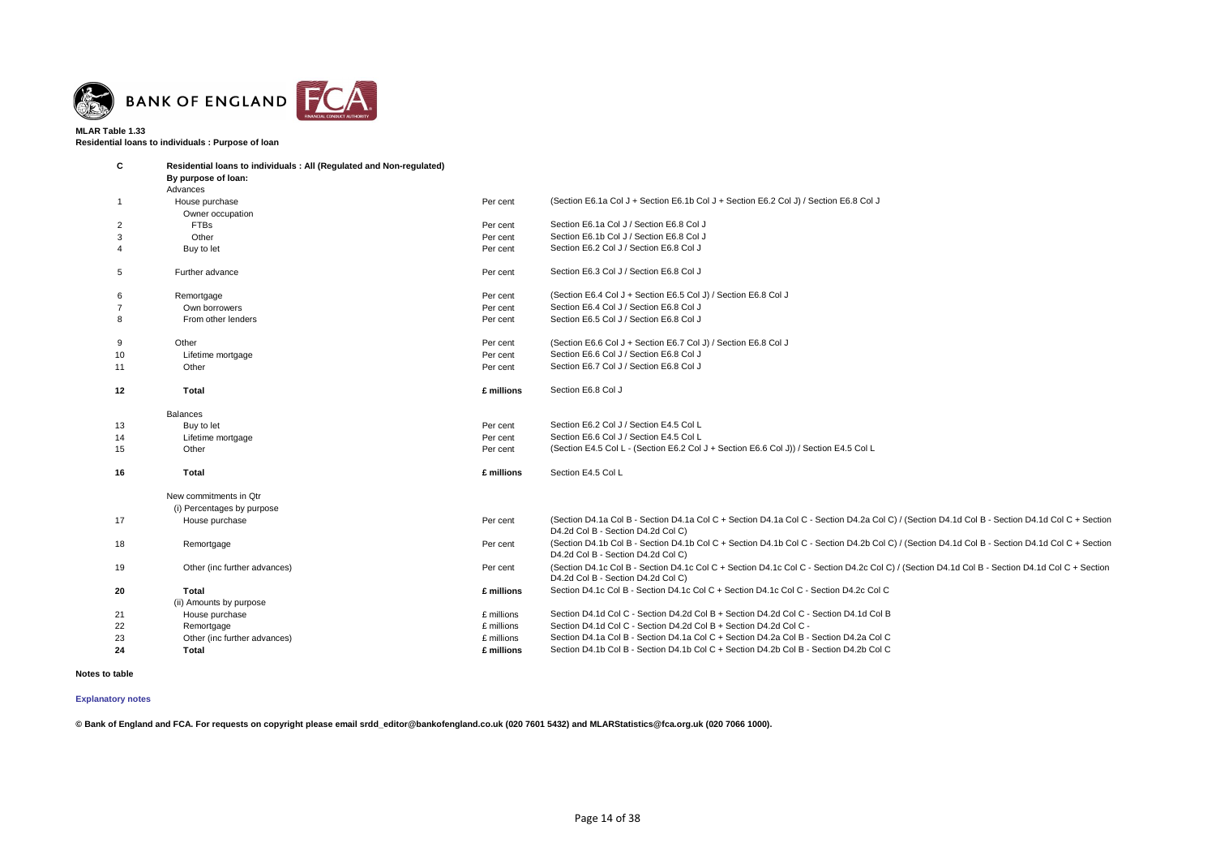

**Residential loans to individuals : Purpose of loan**

| C               | Residential loans to individuals : All (Regulated and Non-regulated) |            |                                                                                                                                                                                      |
|-----------------|----------------------------------------------------------------------|------------|--------------------------------------------------------------------------------------------------------------------------------------------------------------------------------------|
|                 | By purpose of loan:                                                  |            |                                                                                                                                                                                      |
|                 | Advances                                                             |            |                                                                                                                                                                                      |
| $\overline{1}$  | House purchase                                                       | Per cent   | (Section E6.1a Col J + Section E6.1b Col J + Section E6.2 Col J) / Section E6.8 Col J                                                                                                |
|                 | Owner occupation                                                     |            |                                                                                                                                                                                      |
| 2               | <b>FTBs</b>                                                          | Per cent   | Section E6.1a Col J / Section E6.8 Col J                                                                                                                                             |
| 3               | Other                                                                | Per cent   | Section E6.1b Col J / Section E6.8 Col J                                                                                                                                             |
| 4               | Buy to let                                                           | Per cent   | Section E6.2 Col J / Section E6.8 Col J                                                                                                                                              |
| $5\overline{5}$ | Further advance                                                      | Per cent   | Section E6.3 Col J / Section E6.8 Col J                                                                                                                                              |
| 6               | Remortgage                                                           | Per cent   | (Section E6.4 Col J + Section E6.5 Col J) / Section E6.8 Col J                                                                                                                       |
| $\overline{7}$  | Own borrowers                                                        | Per cent   | Section E6.4 Col J / Section E6.8 Col J                                                                                                                                              |
| 8               | From other lenders                                                   | Per cent   | Section E6.5 Col J / Section E6.8 Col J                                                                                                                                              |
| 9               | Other                                                                | Per cent   | (Section E6.6 Col J + Section E6.7 Col J) / Section E6.8 Col J                                                                                                                       |
| 10              | Lifetime mortgage                                                    | Per cent   | Section E6.6 Col J / Section E6.8 Col J                                                                                                                                              |
| 11              | Other                                                                | Per cent   | Section E6.7 Col J / Section E6.8 Col J                                                                                                                                              |
| 12              | Total                                                                | £ millions | Section E6.8 Col J                                                                                                                                                                   |
|                 | <b>Balances</b>                                                      |            |                                                                                                                                                                                      |
| 13              | Buy to let                                                           | Per cent   | Section E6.2 Col J / Section E4.5 Col L                                                                                                                                              |
| 14              | Lifetime mortgage                                                    | Per cent   | Section E6.6 Col J / Section E4.5 Col L                                                                                                                                              |
| 15              | Other                                                                | Per cent   | (Section E4.5 Col L - (Section E6.2 Col J + Section E6.6 Col J)) / Section E4.5 Col L                                                                                                |
| 16              | <b>Total</b>                                                         | £ millions | Section E4.5 Col L                                                                                                                                                                   |
|                 | New commitments in Qtr                                               |            |                                                                                                                                                                                      |
|                 | (i) Percentages by purpose                                           |            |                                                                                                                                                                                      |
| 17              | House purchase                                                       | Per cent   | (Section D4.1a Col B - Section D4.1a Col C + Section D4.1a Col C - Section D4.2a Col C) / (Section D4.1d Col B - Section D4.1d Col C + Section<br>D4.2d Col B - Section D4.2d Col C) |
| 18              | Remortgage                                                           | Per cent   | (Section D4.1b Col B - Section D4.1b Col C + Section D4.1b Col C - Section D4.2b Col C) / (Section D4.1d Col B - Section D4.1d Col C + Section<br>D4.2d Col B - Section D4.2d Col C) |
| 19              | Other (inc further advances)                                         | Per cent   | (Section D4.1c Col B - Section D4.1c Col C + Section D4.1c Col C - Section D4.2c Col C) / (Section D4.1d Col B - Section D4.1d Col C + Section<br>D4.2d Col B - Section D4.2d Col C) |
| 20              | <b>Total</b>                                                         | £ millions | Section D4.1c Col B - Section D4.1c Col C + Section D4.1c Col C - Section D4.2c Col C                                                                                                |
|                 | (ii) Amounts by purpose                                              |            |                                                                                                                                                                                      |
| 21              | House purchase                                                       | £ millions | Section D4.1d Col C - Section D4.2d Col B + Section D4.2d Col C - Section D4.1d Col B                                                                                                |
| 22              | Remortgage                                                           | £ millions | Section D4.1d Col C - Section D4.2d Col B + Section D4.2d Col C -                                                                                                                    |
| 23              | Other (inc further advances)                                         | £ millions | Section D4.1a Col B - Section D4.1a Col C + Section D4.2a Col B - Section D4.2a Col C                                                                                                |
| 24              | Total                                                                | £ millions | Section D4.1b Col B - Section D4.1b Col C + Section D4.2b Col B - Section D4.2b Col C                                                                                                |

# **Notes to table**

#### **[Explanatory notes](http://www.bankofengland.co.uk/statistics/Pages/iadb/notesiadb/capital_issues.aspx)**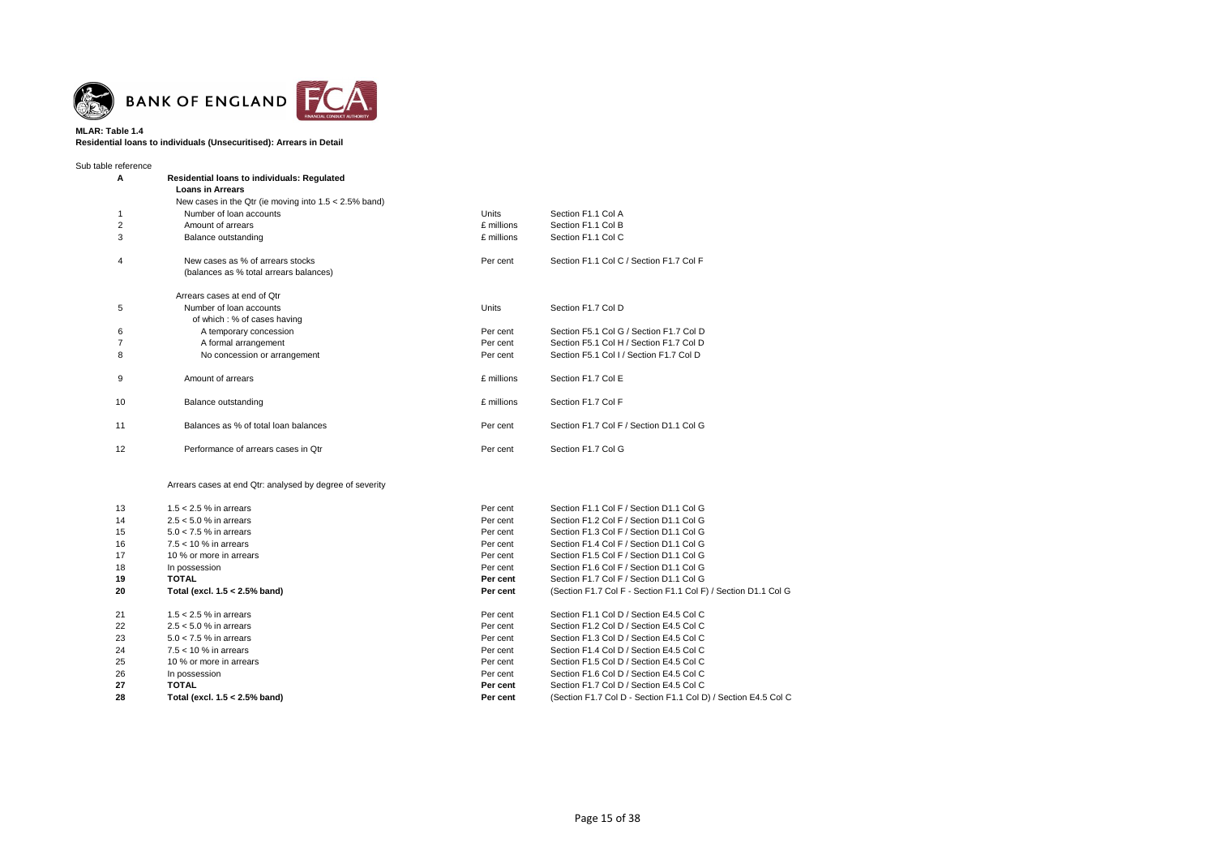

### **MLAR: Table 1.4 Residential loans to individuals (Unsecuritised): Arrears in Detail**

| Sub table reference |                                                          |              |                                         |
|---------------------|----------------------------------------------------------|--------------|-----------------------------------------|
| A                   | <b>Residential loans to individuals: Regulated</b>       |              |                                         |
|                     | <b>Loans in Arrears</b>                                  |              |                                         |
|                     | New cases in the Qtr (ie moving into $1.5 < 2.5\%$ band) |              |                                         |
| 1                   | Number of loan accounts                                  | <b>Units</b> | Section F1.1 Col A                      |
| 2                   | Amount of arrears                                        | £ millions   | Section F1.1 Col B                      |
| 3                   | Balance outstanding                                      | £ millions   | Section F1.1 Col C                      |
| 4                   | New cases as % of arrears stocks                         | Per cent     | Section F1.1 Col C / Section F1.7 Col F |
|                     | (balances as % total arrears balances)                   |              |                                         |
|                     | Arrears cases at end of Qtr                              |              |                                         |
| 5                   | Number of loan accounts                                  | Units        | Section F1.7 Col D                      |
|                     | of which: % of cases having                              |              |                                         |
| 6                   | A temporary concession                                   | Per cent     | Section F5.1 Col G / Section F1.7 Col D |
| $\overline{7}$      | A formal arrangement                                     | Per cent     | Section F5.1 Col H / Section F1.7 Col D |
| 8                   | No concession or arrangement                             | Per cent     | Section F5.1 Col I / Section F1.7 Col D |
| 9                   | Amount of arrears                                        | £ millions   | Section F1.7 Col E                      |
| 10                  | Balance outstanding                                      | £ millions   | Section F1.7 Col F                      |
| 11                  | Balances as % of total loan balances                     | Per cent     | Section F1.7 Col F / Section D1.1 Col G |
| 12                  | Performance of arrears cases in Otr                      | Per cent     | Section F1.7 Col G                      |
|                     | Arrears cases at end Qtr: analysed by degree of severity |              |                                         |
| 13                  | $1.5 < 2.5$ % in arrears                                 | Per cent     | Section F1.1 Col F / Section D1.1 Col G |
| 14                  | $2.5 < 5.0$ % in arrears                                 | Per cent     | Section F1.2 Col F / Section D1.1 Col G |
| 15                  | $50 < 75\%$ in arrears                                   | Per cent     | Section E1.3 Col E / Section D1.1 Col G |

| 15 | $5.0 < 7.5$ % in arrears      | Per cent | Section F1.3 Col F / Section D1.1 Col G                        |
|----|-------------------------------|----------|----------------------------------------------------------------|
| 16 | $7.5 < 10$ % in arrears       | Per cent | Section F1.4 Col F / Section D1.1 Col G                        |
| 17 | 10 % or more in arrears       | Per cent | Section F1.5 Col F / Section D1.1 Col G                        |
| 18 | In possession                 | Per cent | Section F1.6 Col F / Section D1.1 Col G                        |
| 19 | TOTAL                         | Per cent | Section F1.7 Col F / Section D1.1 Col G                        |
| 20 | Total (excl. 1.5 < 2.5% band) | Per cent | (Section F1.7 Col F - Section F1.1 Col F) / Section D1.1 Col G |
| 21 | 1.5 $<$ 2.5 % in arrears      | Per cent | Section F1.1 Col D / Section E4.5 Col C                        |
| 22 | $2.5 < 5.0$ % in arrears      | Per cent | Section F1.2 Col D / Section E4.5 Col C                        |
| 23 | $5.0 < 7.5$ % in arrears      | Per cent | Section F1.3 Col D / Section E4.5 Col C                        |
| 24 | $7.5 < 10$ % in arrears       | Per cent | Section F1.4 Col D / Section E4.5 Col C                        |
| 25 | 10 % or more in arrears       | Per cent | Section F1.5 Col D / Section E4.5 Col C                        |
| 26 | In possession                 | Per cent | Section F1.6 Col D / Section E4.5 Col C                        |
| 27 | <b>TOTAL</b>                  | Per cent | Section F1.7 Col D / Section E4.5 Col C                        |
| 28 | Total (excl. 1.5 < 2.5% band) | Per cent | (Section F1.7 Col D - Section F1.1 Col D) / Section E4.5 Col C |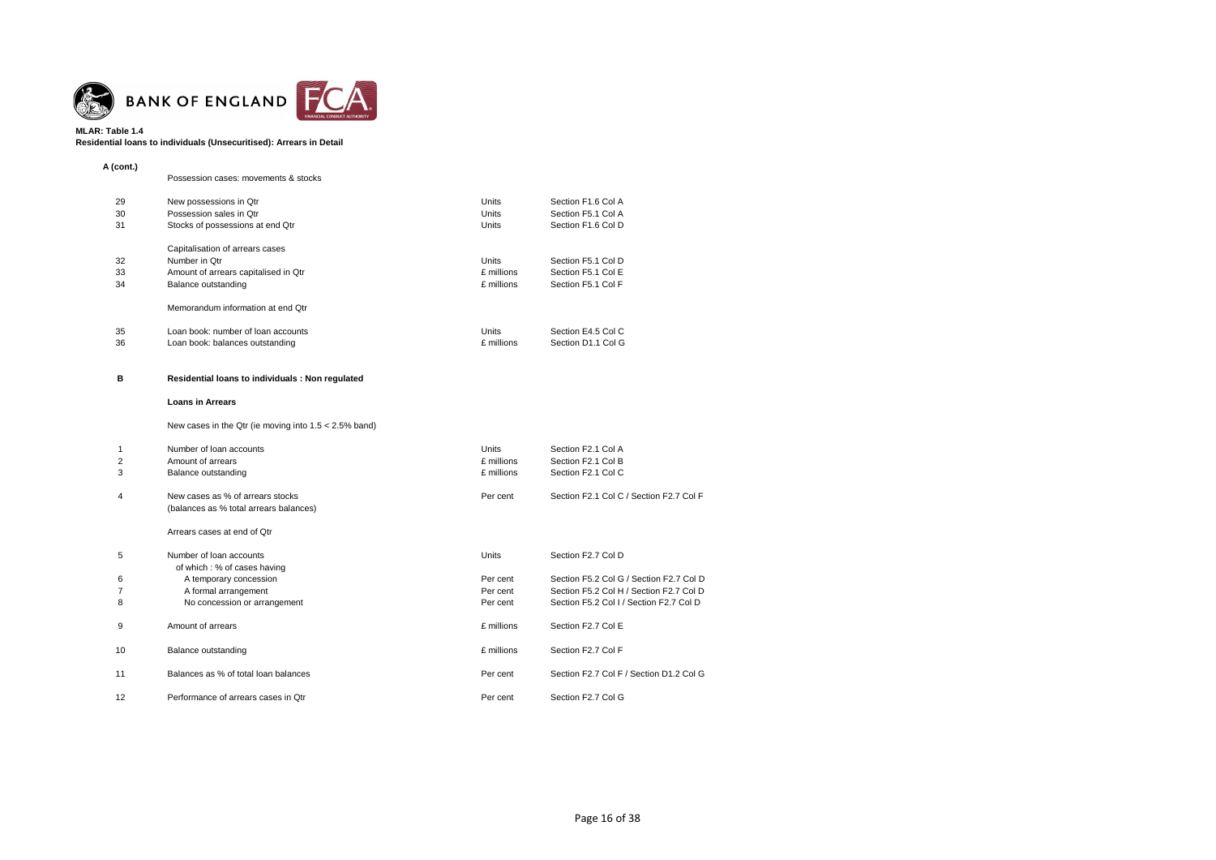

# **Residential loans to individuals (Unsecuritised): Arrears in Detail**

| A (cont.) |                                      |            |                    |
|-----------|--------------------------------------|------------|--------------------|
|           | Possession cases: movements & stocks |            |                    |
| 29        | New possessions in Qtr               | Units      | Section F1.6 Col A |
| 30        | Possession sales in Otr              | Units      | Section F5.1 Col A |
| 31        | Stocks of possessions at end Qtr     | Units      | Section F1.6 Col D |
|           | Capitalisation of arrears cases      |            |                    |
| 32        | Number in Otr                        | Units      | Section F5.1 Col D |
| 33        | Amount of arrears capitalised in Qtr | f millions | Section F5.1 Col E |
| 34        | Balance outstanding                  | £ millions | Section F5.1 Col F |
|           | Memorandum information at end Otr    |            |                    |
| 35        | Loan book: number of loan accounts   | Units      | Section E4.5 Col C |
| 36        | Loan book: balances outstanding      | £ millions | Section D1.1 Col G |

# **B Residential loans to individuals : Non regulated**

### **Loans in Arrears**

# New cases in the Qtr (ie moving into 1.5 < 2.5% band)

| 1<br>2<br>3    | Number of loan accounts<br>Amount of arrears<br>Balance outstanding        | Units<br>£ millions<br>£ millions | Section F2.1 Col A<br>Section F2.1 Col B<br>Section F2.1 Col C |
|----------------|----------------------------------------------------------------------------|-----------------------------------|----------------------------------------------------------------|
| $\overline{4}$ | New cases as % of arrears stocks<br>(balances as % total arrears balances) | Per cent                          | Section F2.1 Col C / Section F2.7 Col F                        |
|                | Arrears cases at end of Qtr                                                |                                   |                                                                |
| 5              | Number of loan accounts<br>of which: % of cases having                     | Units                             | Section F2.7 Col D                                             |
| 6              | A temporary concession                                                     | Per cent                          | Section F5.2 Col G / Section F2.7 Col D                        |
| 7              | A formal arrangement                                                       | Per cent                          | Section F5.2 Col H / Section F2.7 Col D                        |
| 8              | No concession or arrangement                                               | Per cent                          | Section F5.2 Col I / Section F2.7 Col D                        |
| 9              | Amount of arrears                                                          | £ millions                        | Section F2.7 Col E                                             |
| 10             | Balance outstanding                                                        | £ millions                        | Section F2.7 Col F                                             |
| 11             | Balances as % of total loan balances                                       | Per cent                          | Section F2.7 Col F / Section D1.2 Col G                        |
| 12             | Performance of arrears cases in Qtr                                        | Per cent                          | Section F2.7 Col G                                             |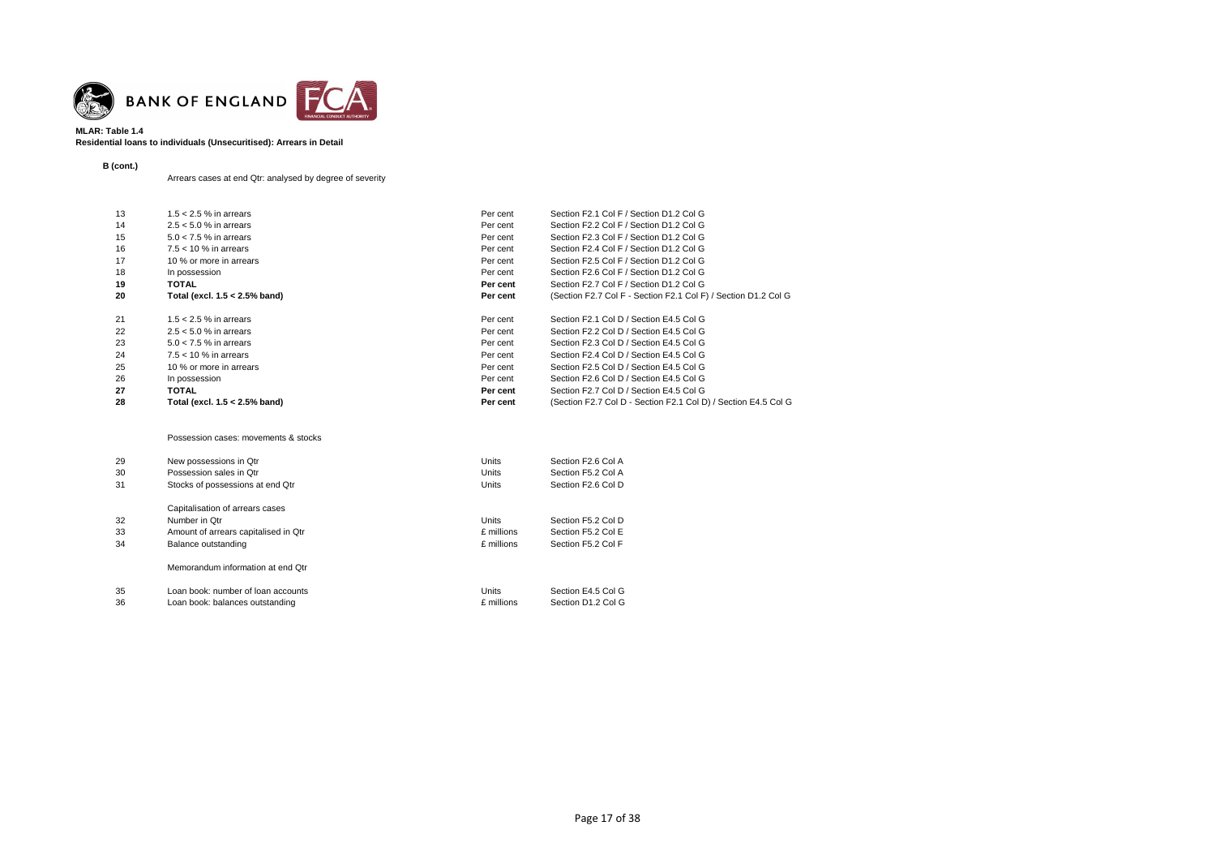

# **MLAR: Table 1.4 Residential loans to individuals (Unsecuritised): Arrears in Detail**

**B (cont.)**

Arrears cases at end Qtr: analysed by degree of severity

| 13 | $1.5 < 2.5$ % in arrears         | Per cent | Section F2.1 Col F / Section D1.2 Col G                        |
|----|----------------------------------|----------|----------------------------------------------------------------|
| 14 | $2.5 < 5.0$ % in arrears         | Per cent | Section F2.2 Col F / Section D1.2 Col G                        |
|    |                                  |          |                                                                |
| 15 | $5.0 < 7.5$ % in arrears         | Per cent | Section F2.3 Col F / Section D1.2 Col G                        |
| 16 | $7.5 < 10$ % in arrears          | Per cent | Section F2.4 Col F / Section D1.2 Col G                        |
| 17 | 10 % or more in arrears          | Per cent | Section F2.5 Col F / Section D1.2 Col G                        |
| 18 | In possession                    | Per cent | Section F2.6 Col F / Section D1.2 Col G                        |
| 19 | <b>TOTAL</b>                     | Per cent | Section F2.7 Col F / Section D1.2 Col G                        |
| 20 | Total (excl. $1.5 < 2.5\%$ band) | Per cent | (Section F2.7 Col F - Section F2.1 Col F) / Section D1.2 Col G |
| 21 | $1.5 < 2.5$ % in arrears         | Per cent | Section F2.1 Col D / Section E4.5 Col G                        |
| 22 | $2.5 < 5.0$ % in arrears         | Per cent | Section F2.2 Col D / Section E4.5 Col G                        |
| 23 | $5.0 < 7.5$ % in arrears         | Per cent | Section F2.3 Col D / Section E4.5 Col G                        |
| 24 | $7.5 < 10$ % in arrears          | Per cent | Section F2.4 Col D / Section E4.5 Col G                        |
| 25 | 10 % or more in arrears          | Per cent | Section F2.5 Col D / Section E4.5 Col G                        |
| 26 | In possession                    | Per cent | Section F2.6 Col D / Section E4.5 Col G                        |
| 27 | <b>TOTAL</b>                     | Per cent | Section F2.7 Col D / Section E4.5 Col G                        |
| 28 | Total (excl. 1.5 < 2.5% band)    | Per cent | (Section F2.7 Col D - Section F2.1 Col D) / Section E4.5 Col G |

### Possession cases: movements & stocks

| 29<br>30<br>31 | New possessions in Qtr<br>Possession sales in Otr<br>Stocks of possessions at end Qtr | Units<br><b>Units</b><br>Units | Section F2.6 Col A<br>Section F5.2 Col A<br>Section F2.6 Col D |
|----------------|---------------------------------------------------------------------------------------|--------------------------------|----------------------------------------------------------------|
|                | Capitalisation of arrears cases                                                       |                                |                                                                |
| 32             | Number in Otr                                                                         | <b>Units</b>                   | Section F5.2 Col D                                             |
| 33             | Amount of arrears capitalised in Qtr                                                  | £ millions                     | Section F5.2 Col E                                             |
| 34             | Balance outstanding                                                                   | £ millions                     | Section F5.2 Col F                                             |
|                | Memorandum information at end Otr                                                     |                                |                                                                |
| 35<br>36       | Loan book: number of loan accounts<br>Loan book: balances outstanding                 | <b>Units</b><br>£ millions     | Section E4.5 Col G<br>Section D1.2 Col G                       |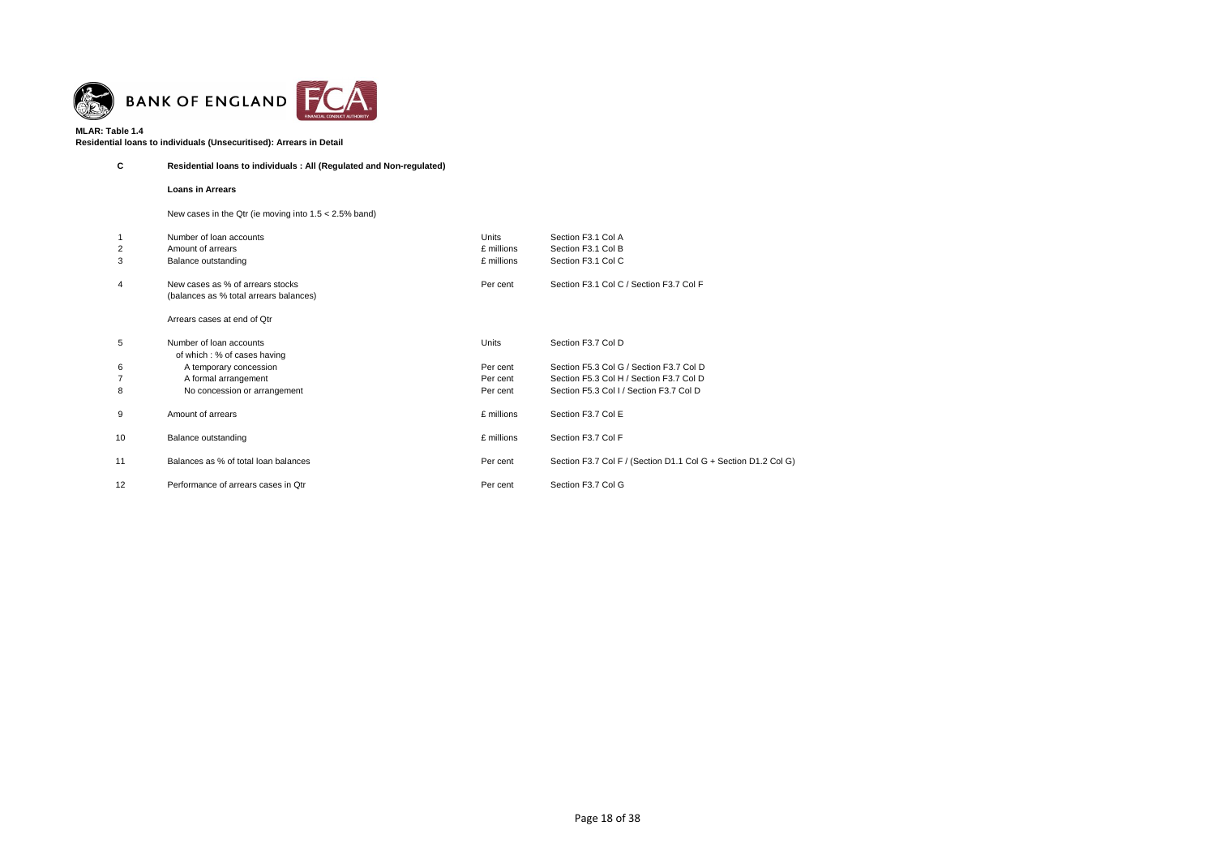

# **Residential loans to individuals (Unsecuritised): Arrears in Detail**

# **C Residential loans to individuals : All (Regulated and Non-regulated)**

**Loans in Arrears**

# New cases in the Qtr (ie moving into 1.5 < 2.5% band)

| $\overline{2}$<br>3 | Number of loan accounts<br>Amount of arrears<br>Balance outstanding        | Units<br>£ millions<br>£ millions | Section F3.1 Col A<br>Section F3.1 Col B<br>Section F3.1 Col C |
|---------------------|----------------------------------------------------------------------------|-----------------------------------|----------------------------------------------------------------|
| 4                   | New cases as % of arrears stocks<br>(balances as % total arrears balances) | Per cent                          | Section F3.1 Col C / Section F3.7 Col F                        |
|                     | Arrears cases at end of Qtr                                                |                                   |                                                                |
| 5                   | Number of loan accounts<br>of which: % of cases having                     | Units                             | Section F3.7 Col D                                             |
| 6                   | A temporary concession                                                     | Per cent                          | Section F5.3 Col G / Section F3.7 Col D                        |
|                     | A formal arrangement                                                       | Per cent                          | Section F5.3 Col H / Section F3.7 Col D                        |
| 8                   | No concession or arrangement                                               | Per cent                          | Section F5.3 Col I / Section F3.7 Col D                        |
| 9                   | Amount of arrears                                                          | £ millions                        | Section F3.7 Col E                                             |
| 10                  | Balance outstanding                                                        | £ millions                        | Section F3.7 Col F                                             |
| 11                  | Balances as % of total loan balances                                       | Per cent                          | Section F3.7 Col F / (Section D1.1 Col G + Section D1.2 Col G) |
| 12                  | Performance of arrears cases in Qtr                                        | Per cent                          | Section F3.7 Col G                                             |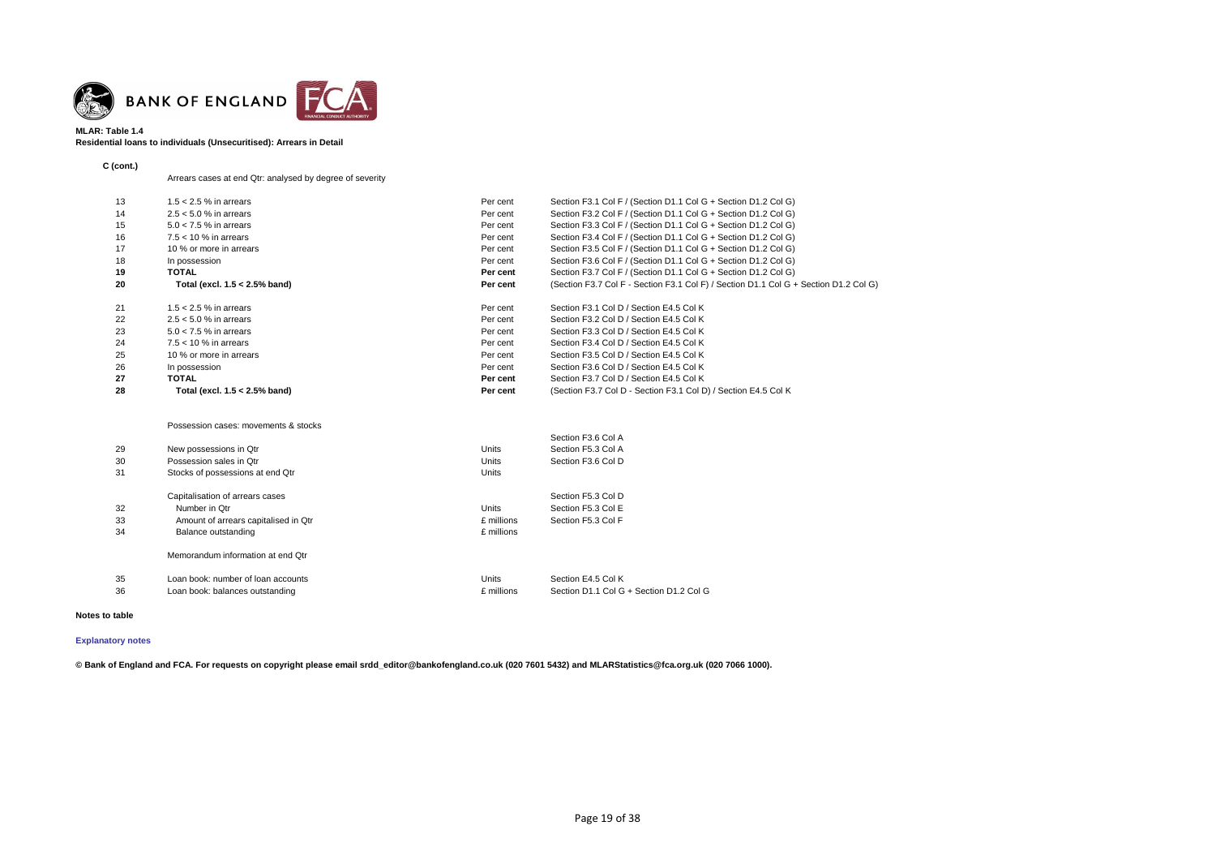

### **MLAR: Table 1.4 Residential loans to individuals (Unsecuritised): Arrears in Detail**

**C (cont.)**

Arrears cases at end Qtr: analysed by degree of severity

| 13 | 1.5 $<$ 2.5 % in arrears         | Per cent | Section F3.1 Col F / (Section D1.1 Col G + Section D1.2 Col G)                       |
|----|----------------------------------|----------|--------------------------------------------------------------------------------------|
| 14 | $2.5 < 5.0$ % in arrears         | Per cent | Section F3.2 Col F / (Section D1.1 Col G + Section D1.2 Col G)                       |
| 15 | $5.0 < 7.5$ % in arrears         | Per cent | Section F3.3 Col F / (Section D1.1 Col G + Section D1.2 Col G)                       |
| 16 | $7.5 < 10 \%$ in arrears         | Per cent | Section F3.4 Col F / (Section D1.1 Col G + Section D1.2 Col G)                       |
| 17 | 10 % or more in arrears          | Per cent | Section F3.5 Col F / (Section D1.1 Col G + Section D1.2 Col G)                       |
| 18 | In possession                    | Per cent | Section F3.6 Col F / (Section D1.1 Col G + Section D1.2 Col G)                       |
| 19 | <b>TOTAL</b>                     | Per cent | Section F3.7 Col F / (Section D1.1 Col G + Section D1.2 Col G)                       |
| 20 | Total (excl. $1.5 < 2.5\%$ band) | Per cent | (Section F3.7 Col F - Section F3.1 Col F) / Section D1.1 Col G + Section D1.2 Col G) |
| 21 | $1.5 < 2.5$ % in arrears         | Per cent | Section F3.1 Col D / Section E4.5 Col K                                              |
| 22 | $2.5 < 5.0$ % in arrears         | Per cent | Section F3.2 Col D / Section E4.5 Col K                                              |
| 23 | $5.0 < 7.5$ % in arrears         | Per cent | Section F3.3 Col D / Section E4.5 Col K                                              |
| 24 | $7.5 < 10 \%$ in arrears         | Per cent | Section F3.4 Col D / Section E4.5 Col K                                              |
| 25 | 10 % or more in arrears          | Per cent | Section F3.5 Col D / Section E4.5 Col K                                              |
| 26 | In possession                    | Per cent | Section F3.6 Col D / Section E4.5 Col K                                              |
| 27 | <b>TOTAL</b>                     | Per cent | Section F3.7 Col D / Section E4.5 Col K                                              |
| 28 | Total (excl. $1.5 < 2.5\%$ band) | Per cent | (Section F3.7 Col D - Section F3.1 Col D) / Section E4.5 Col K                       |
|    |                                  |          |                                                                                      |

#### Possession cases: movements & stocks

|                                      |              | Section F3.6 Col A                      |
|--------------------------------------|--------------|-----------------------------------------|
| New possessions in Qtr               | Units        | Section F5.3 Col A                      |
| Possession sales in Otr              | <b>Units</b> | Section F3.6 Col D                      |
| Stocks of possessions at end Qtr     | <b>Units</b> |                                         |
| Capitalisation of arrears cases      |              | Section F5.3 Col D                      |
| Number in Otr                        | Units        | Section F5.3 Col E                      |
| Amount of arrears capitalised in Qtr | £ millions   | Section F5.3 Col F                      |
| Balance outstanding                  | £ millions   |                                         |
| Memorandum information at end Qtr    |              |                                         |
| Loan book: number of loan accounts   | <b>Units</b> | Section E4.5 Col K                      |
| Loan book: balances outstanding      | £ millions   | Section D1.1 Col G + Section D1.2 Col G |
|                                      |              |                                         |

### **Notes to table**

# **[Explanatory notes](http://www.bankofengland.co.uk/statistics/Pages/iadb/notesiadb/capital_issues.aspx)**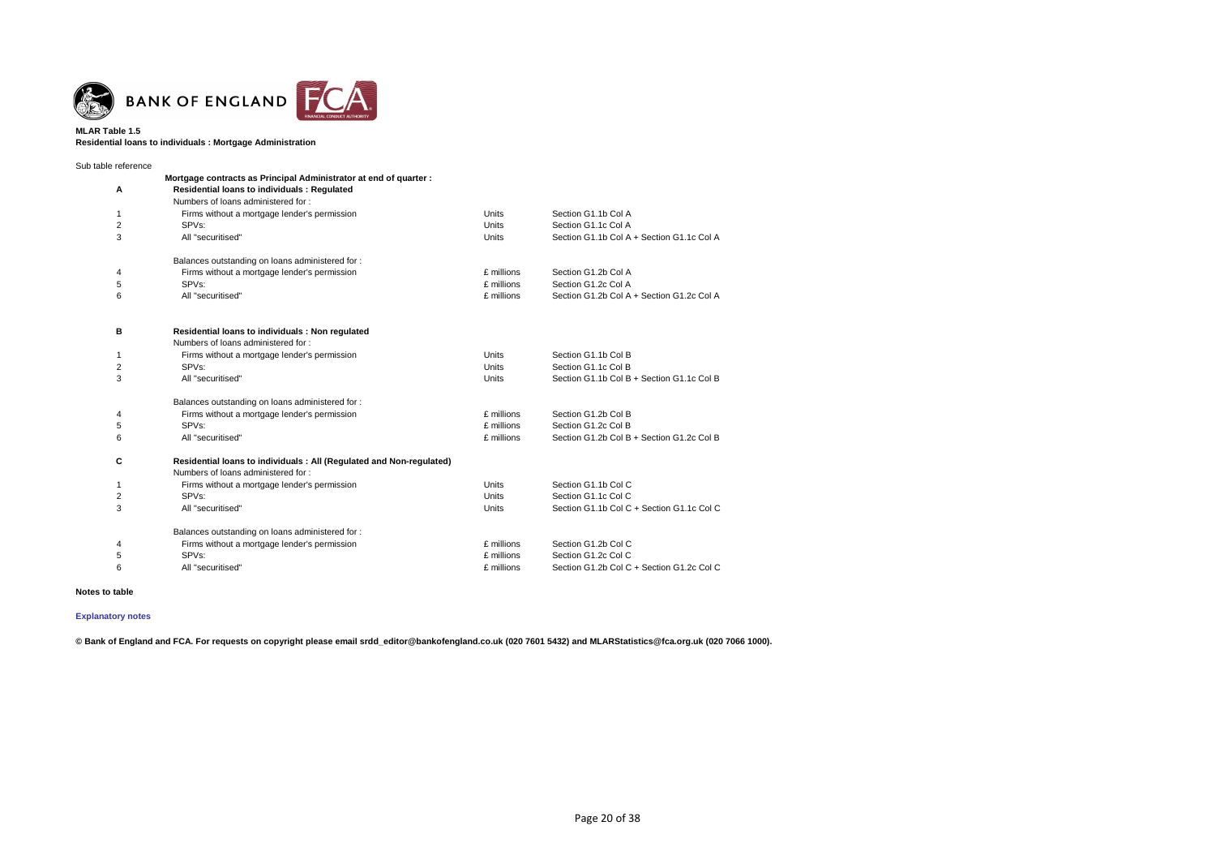

**Residential loans to individuals : Mortgage Administration**

| Sub table reference |                                                                      |              |                                           |
|---------------------|----------------------------------------------------------------------|--------------|-------------------------------------------|
|                     | Mortgage contracts as Principal Administrator at end of quarter :    |              |                                           |
| Α                   | Residential loans to individuals : Regulated                         |              |                                           |
|                     | Numbers of loans administered for:                                   |              |                                           |
| 1                   | Firms without a mortgage lender's permission                         | <b>Units</b> | Section G1.1b Col A                       |
| 2                   | SPV <sub>s</sub> :                                                   | <b>Units</b> | Section G1.1c Col A                       |
| 3                   | All "securitised"                                                    | <b>Units</b> | Section G1.1b Col A + Section G1.1c Col A |
|                     | Balances outstanding on loans administered for:                      |              |                                           |
| 4                   | Firms without a mortgage lender's permission                         | £ millions   | Section G1.2b Col A                       |
| 5                   | SPVs:                                                                | £ millions   | Section G1.2c Col A                       |
| 6                   | All "securitised"                                                    | £ millions   | Section G1.2b Col A + Section G1.2c Col A |
| в                   | Residential loans to individuals : Non regulated                     |              |                                           |
|                     | Numbers of loans administered for:                                   |              |                                           |
| 1                   | Firms without a mortgage lender's permission                         | <b>Units</b> | Section G1.1b Col B                       |
| 2                   | SPVs:                                                                | <b>Units</b> | Section G1.1c Col B                       |
| 3                   | All "securitised"                                                    | <b>Units</b> | Section G1.1b Col B + Section G1.1c Col B |
|                     | Balances outstanding on loans administered for :                     |              |                                           |
| 4                   | Firms without a mortgage lender's permission                         | £ millions   | Section G1.2b Col B                       |
| 5                   | SPVs:                                                                | £ millions   | Section G1.2c Col B                       |
| 6                   | All "securitised"                                                    | £ millions   | Section G1.2b Col B + Section G1.2c Col B |
| С                   | Residential loans to individuals : All (Regulated and Non-regulated) |              |                                           |
|                     | Numbers of loans administered for:                                   |              |                                           |
| 1                   | Firms without a mortgage lender's permission                         | <b>Units</b> | Section G1.1b Col C                       |
| 2                   | SPV <sub>s</sub> :                                                   | <b>Units</b> | Section G1.1c Col C                       |
| 3                   | All "securitised"                                                    | <b>Units</b> | Section G1.1b Col C + Section G1.1c Col C |
|                     | Balances outstanding on loans administered for:                      |              |                                           |
| 4                   | Firms without a mortgage lender's permission                         | £ millions   | Section G1.2b Col C                       |
| 5                   | SPV <sub>s</sub> :                                                   | £ millions   | Section G1.2c Col C                       |
| 6                   | All "securitised"                                                    | £ millions   | Section G1.2b Col C + Section G1.2c Col C |

# **Notes to table**

# **[Explanatory notes](http://www.bankofengland.co.uk/statistics/Pages/iadb/notesiadb/capital_issues.aspx)**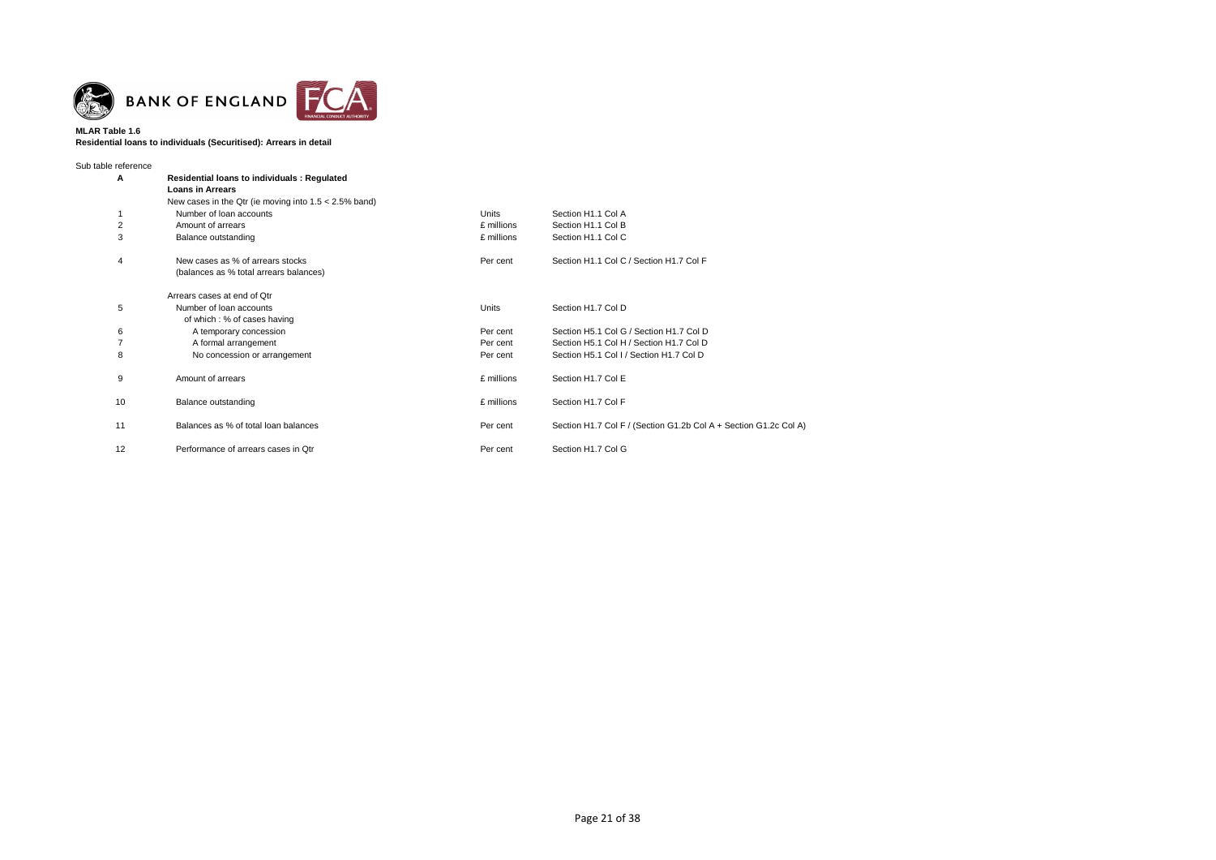

### **MLAR Table 1.6 Residential loans to individuals (Securitised): Arrears in detail**

| Sub table reference     |                                                          |            |                                                                  |
|-------------------------|----------------------------------------------------------|------------|------------------------------------------------------------------|
| Α                       | <b>Residential loans to individuals: Regulated</b>       |            |                                                                  |
|                         | <b>Loans in Arrears</b>                                  |            |                                                                  |
|                         | New cases in the Qtr (ie moving into $1.5 < 2.5\%$ band) |            |                                                                  |
|                         | Number of loan accounts                                  | Units      | Section H1.1 Col A                                               |
| $\overline{\mathbf{c}}$ | Amount of arrears                                        | £ millions | Section H1.1 Col B                                               |
| 3                       | Balance outstanding                                      | £ millions | Section H1.1 Col C                                               |
| 4                       | New cases as % of arrears stocks                         | Per cent   | Section H1.1 Col C / Section H1.7 Col F                          |
|                         | (balances as % total arrears balances)                   |            |                                                                  |
|                         | Arrears cases at end of Otr                              |            |                                                                  |
| 5                       | Number of loan accounts                                  | Units      | Section H1.7 Col D                                               |
|                         | of which: % of cases having                              |            |                                                                  |
| 6                       | A temporary concession                                   | Per cent   | Section H5.1 Col G / Section H1.7 Col D                          |
| 7                       | A formal arrangement                                     | Per cent   | Section H5.1 Col H / Section H1.7 Col D                          |
| 8                       | No concession or arrangement                             | Per cent   | Section H5.1 Col I / Section H1.7 Col D                          |
| 9                       | Amount of arrears                                        | £ millions | Section H1.7 Col E                                               |
| 10                      | Balance outstanding                                      | £ millions | Section H1.7 Col F                                               |
| 11                      | Balances as % of total loan balances                     | Per cent   | Section H1.7 Col F / (Section G1.2b Col A + Section G1.2c Col A) |
| 12                      | Performance of arrears cases in Otr                      | Per cent   | Section H1.7 Col G                                               |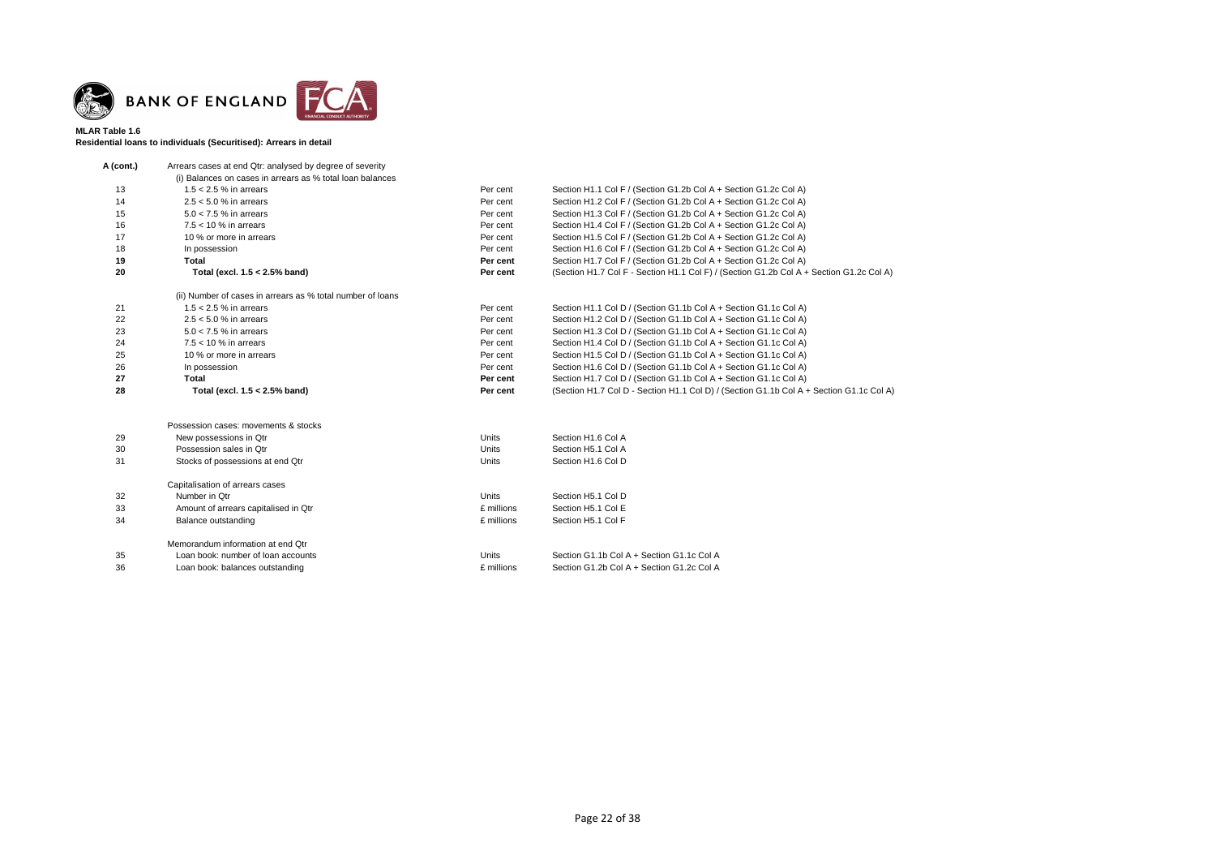

### **MLAR Table 1.6 Residential loans to individuals (Securitised): Arrears in detail**

| A (cont.) | Arrears cases at end Qtr: analysed by degree of severity   |              |                                                                                         |
|-----------|------------------------------------------------------------|--------------|-----------------------------------------------------------------------------------------|
|           | (i) Balances on cases in arrears as % total loan balances  |              |                                                                                         |
| 13        | $1.5 < 2.5$ % in arrears                                   | Per cent     | Section H1.1 Col F / (Section G1.2b Col A + Section G1.2c Col A)                        |
| 14        | $2.5 < 5.0$ % in arrears                                   | Per cent     | Section H1.2 Col F / (Section G1.2b Col A + Section G1.2c Col A)                        |
| 15        | $5.0 < 7.5$ % in arrears                                   | Per cent     | Section H1.3 Col F / (Section G1.2b Col A + Section G1.2c Col A)                        |
| 16        | $7.5 < 10$ % in arrears                                    | Per cent     | Section H1.4 Col F / (Section G1.2b Col A + Section G1.2c Col A)                        |
| 17        | 10 % or more in arrears                                    | Per cent     | Section H1.5 Col F / (Section G1.2b Col A + Section G1.2c Col A)                        |
| 18        | In possession                                              | Per cent     | Section H1.6 Col F / (Section G1.2b Col A + Section G1.2c Col A)                        |
| 19        | <b>Total</b>                                               | Per cent     | Section H1.7 Col F / (Section G1.2b Col A + Section G1.2c Col A)                        |
| 20        | Total (excl. 1.5 < 2.5% band)                              | Per cent     | (Section H1.7 Col F - Section H1.1 Col F) / (Section G1.2b Col A + Section G1.2c Col A) |
|           | (ii) Number of cases in arrears as % total number of loans |              |                                                                                         |
| 21        | $1.5 < 2.5$ % in arrears                                   | Per cent     | Section H1.1 Col D / (Section G1.1b Col A + Section G1.1c Col A)                        |
| 22        | $2.5 < 5.0$ % in arrears                                   | Per cent     | Section H1.2 Col D / (Section G1.1b Col A + Section G1.1c Col A)                        |
| 23        | $5.0 < 7.5$ % in arrears                                   | Per cent     | Section H1.3 Col D / (Section G1.1b Col A + Section G1.1c Col A)                        |
| 24        | $7.5 < 10$ % in arrears                                    | Per cent     | Section H1.4 Col D / (Section G1.1b Col A + Section G1.1c Col A)                        |
| 25        | 10 % or more in arrears                                    | Per cent     | Section H1.5 Col D / (Section G1.1b Col A + Section G1.1c Col A)                        |
| 26        | In possession                                              | Per cent     | Section H1.6 Col D / (Section G1.1b Col A + Section G1.1c Col A)                        |
| 27        | <b>Total</b>                                               | Per cent     | Section H1.7 Col D / (Section G1.1b Col A + Section G1.1c Col A)                        |
| 28        | Total (excl. 1.5 < 2.5% band)                              | Per cent     | (Section H1.7 Col D - Section H1.1 Col D) / (Section G1.1b Col A + Section G1.1c Col A) |
|           | Possession cases: movements & stocks                       |              |                                                                                         |
| 29        | New possessions in Qtr                                     | <b>Units</b> | Section H1.6 Col A                                                                      |
| 30        | Possession sales in Qtr                                    | <b>Units</b> | Section H5.1 Col A                                                                      |
| 31        | Stocks of possessions at end Qtr                           | <b>Units</b> | Section H1.6 Col D                                                                      |
|           |                                                            |              |                                                                                         |
|           | Capitalisation of arrears cases                            |              |                                                                                         |
| 32        | Number in Qtr                                              | Units        | Section H5.1 Col D                                                                      |
| 33        | Amount of arrears capitalised in Qtr                       | £ millions   | Section H5.1 Col E                                                                      |
| 34        | Balance outstanding                                        | £ millions   | Section H5.1 Col F                                                                      |
|           | Memorandum information at end Qtr                          |              |                                                                                         |
| 35        | Loan book: number of loan accounts                         | <b>Units</b> | Section G1.1b Col A + Section G1.1c Col A                                               |
| 36        | Loan book: balances outstanding                            | £ millions   | Section G1.2b Col A + Section G1.2c Col A                                               |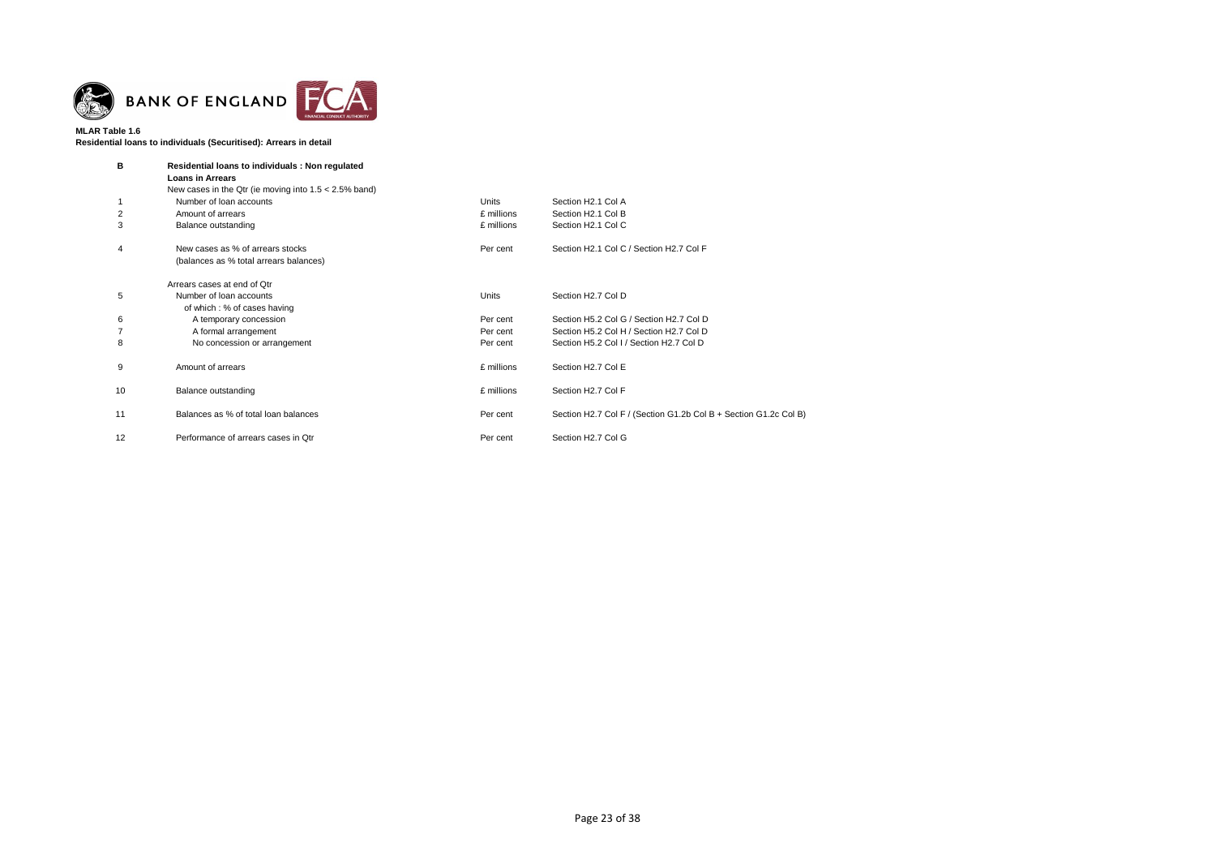

**Residential loans to individuals (Securitised): Arrears in detail**

| в  | Residential loans to individuals: Non regulated<br><b>Loans in Arrears</b> |              |                                                                  |  |  |  |
|----|----------------------------------------------------------------------------|--------------|------------------------------------------------------------------|--|--|--|
|    | New cases in the Qtr (ie moving into $1.5 < 2.5\%$ band)                   |              |                                                                  |  |  |  |
|    | Number of loan accounts                                                    | <b>Units</b> | Section H2.1 Col A                                               |  |  |  |
| 2  | Amount of arrears                                                          | £ millions   | Section H2.1 Col B                                               |  |  |  |
| 3  | Balance outstanding                                                        | £ millions   | Section H2.1 Col C                                               |  |  |  |
| 4  | New cases as % of arrears stocks                                           | Per cent     | Section H2.1 Col C / Section H2.7 Col F                          |  |  |  |
|    | (balances as % total arrears balances)                                     |              |                                                                  |  |  |  |
|    | Arrears cases at end of Otr                                                |              |                                                                  |  |  |  |
| 5  | Number of loan accounts                                                    | Units        | Section H2.7 Col D                                               |  |  |  |
|    | of which: % of cases having                                                |              |                                                                  |  |  |  |
| 6  | A temporary concession                                                     | Per cent     | Section H5.2 Col G / Section H2.7 Col D                          |  |  |  |
|    | A formal arrangement                                                       | Per cent     | Section H5.2 Col H / Section H2.7 Col D                          |  |  |  |
| 8  | No concession or arrangement                                               | Per cent     | Section H5.2 Col I / Section H2.7 Col D                          |  |  |  |
| 9  | Amount of arrears                                                          | £ millions   | Section H2.7 Col E                                               |  |  |  |
| 10 | Balance outstanding                                                        | £ millions   | Section H2.7 Col F                                               |  |  |  |
| 11 | Balances as % of total loan balances                                       | Per cent     | Section H2.7 Col F / (Section G1.2b Col B + Section G1.2c Col B) |  |  |  |
| 12 | Performance of arrears cases in Qtr                                        | Per cent     | Section H2.7 Col G                                               |  |  |  |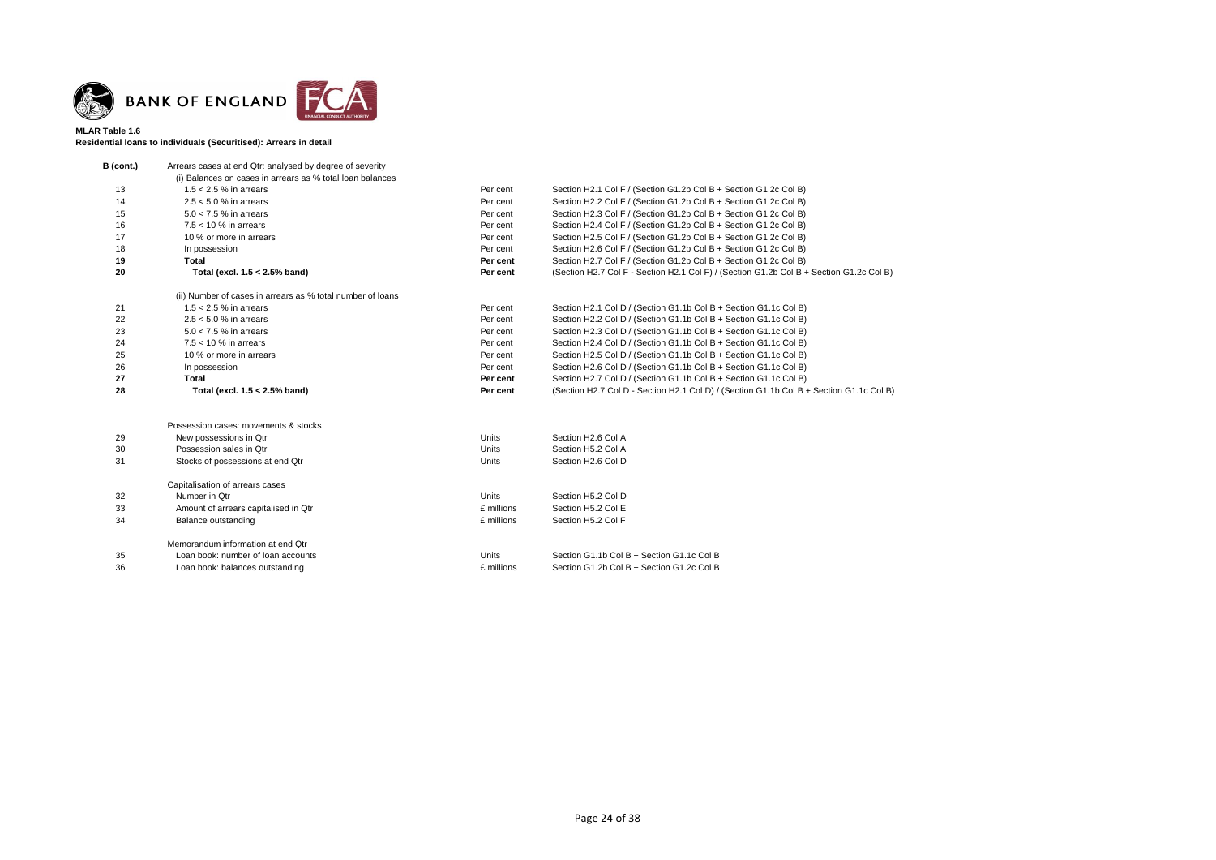

### **MLAR Table 1.6 Residential loans to individuals (Securitised): Arrears in detail**

| B (cont.) | Arrears cases at end Qtr: analysed by degree of severity   |              |                                                                                         |
|-----------|------------------------------------------------------------|--------------|-----------------------------------------------------------------------------------------|
|           | (i) Balances on cases in arrears as % total loan balances  |              |                                                                                         |
| 13        | $1.5 < 2.5$ % in arrears                                   | Per cent     | Section H2.1 Col F / (Section G1.2b Col B + Section G1.2c Col B)                        |
| 14        | $2.5 < 5.0 %$ in arrears                                   | Per cent     | Section H2.2 Col F / (Section G1.2b Col B + Section G1.2c Col B)                        |
| 15        | $5.0 < 7.5$ % in arrears                                   | Per cent     | Section H2.3 Col F / (Section G1.2b Col B + Section G1.2c Col B)                        |
| 16        | $7.5 < 10$ % in arrears                                    | Per cent     | Section H2.4 Col F / (Section G1.2b Col B + Section G1.2c Col B)                        |
| 17        | 10 % or more in arrears                                    | Per cent     | Section H2.5 Col F / (Section G1.2b Col B + Section G1.2c Col B)                        |
| 18        | In possession                                              | Per cent     | Section H2.6 Col F / (Section G1.2b Col B + Section G1.2c Col B)                        |
| 19        | <b>Total</b>                                               | Per cent     | Section H2.7 Col F / (Section G1.2b Col B + Section G1.2c Col B)                        |
| 20        | Total (excl. 1.5 < 2.5% band)                              | Per cent     | (Section H2.7 Col F - Section H2.1 Col F) / (Section G1.2b Col B + Section G1.2c Col B) |
|           | (ii) Number of cases in arrears as % total number of loans |              |                                                                                         |
| 21        | $1.5 < 2.5$ % in arrears                                   | Per cent     | Section H2.1 Col D / (Section G1.1b Col B + Section G1.1c Col B)                        |
| 22        | $2.5 < 5.0$ % in arrears                                   | Per cent     | Section H2.2 Col D / (Section G1.1b Col B + Section G1.1c Col B)                        |
| 23        | $5.0 < 7.5$ % in arrears                                   | Per cent     | Section H2.3 Col D / (Section G1.1b Col B + Section G1.1c Col B)                        |
| 24        | $7.5 < 10$ % in arrears                                    | Per cent     | Section H2.4 Col D / (Section G1.1b Col B + Section G1.1c Col B)                        |
| 25        | 10 % or more in arrears                                    | Per cent     | Section H2.5 Col D / (Section G1.1b Col B + Section G1.1c Col B)                        |
| 26        | In possession                                              | Per cent     | Section H2.6 Col D / (Section G1.1b Col B + Section G1.1c Col B)                        |
| 27        | <b>Total</b>                                               | Per cent     | Section H2.7 Col D / (Section G1.1b Col B + Section G1.1c Col B)                        |
| 28        | Total (excl. 1.5 < 2.5% band)                              | Per cent     | (Section H2.7 Col D - Section H2.1 Col D) / (Section G1.1b Col B + Section G1.1c Col B) |
|           | Possession cases: movements & stocks                       |              |                                                                                         |
| 29        | New possessions in Qtr                                     | <b>Units</b> | Section H2.6 Col A                                                                      |
| 30        | Possession sales in Otr                                    | <b>Units</b> | Section H5.2 Col A                                                                      |
| 31        |                                                            | <b>Units</b> | Section H2.6 Col D                                                                      |
|           | Stocks of possessions at end Qtr                           |              |                                                                                         |
|           | Capitalisation of arrears cases                            |              |                                                                                         |
| 32        | Number in Qtr                                              | <b>Units</b> | Section H5.2 Col D                                                                      |
| 33        | Amount of arrears capitalised in Qtr                       | £ millions   | Section H5.2 Col E                                                                      |
| 34        | Balance outstanding                                        | £ millions   | Section H5.2 Col F                                                                      |
|           | Memorandum information at end Qtr                          |              |                                                                                         |
| 35        | Loan book: number of loan accounts                         | <b>Units</b> | Section G1.1b Col B + Section G1.1c Col B                                               |
| 36        | Loan book: balances outstanding                            | £ millions   | Section G1.2b Col B + Section G1.2c Col B                                               |
|           |                                                            |              |                                                                                         |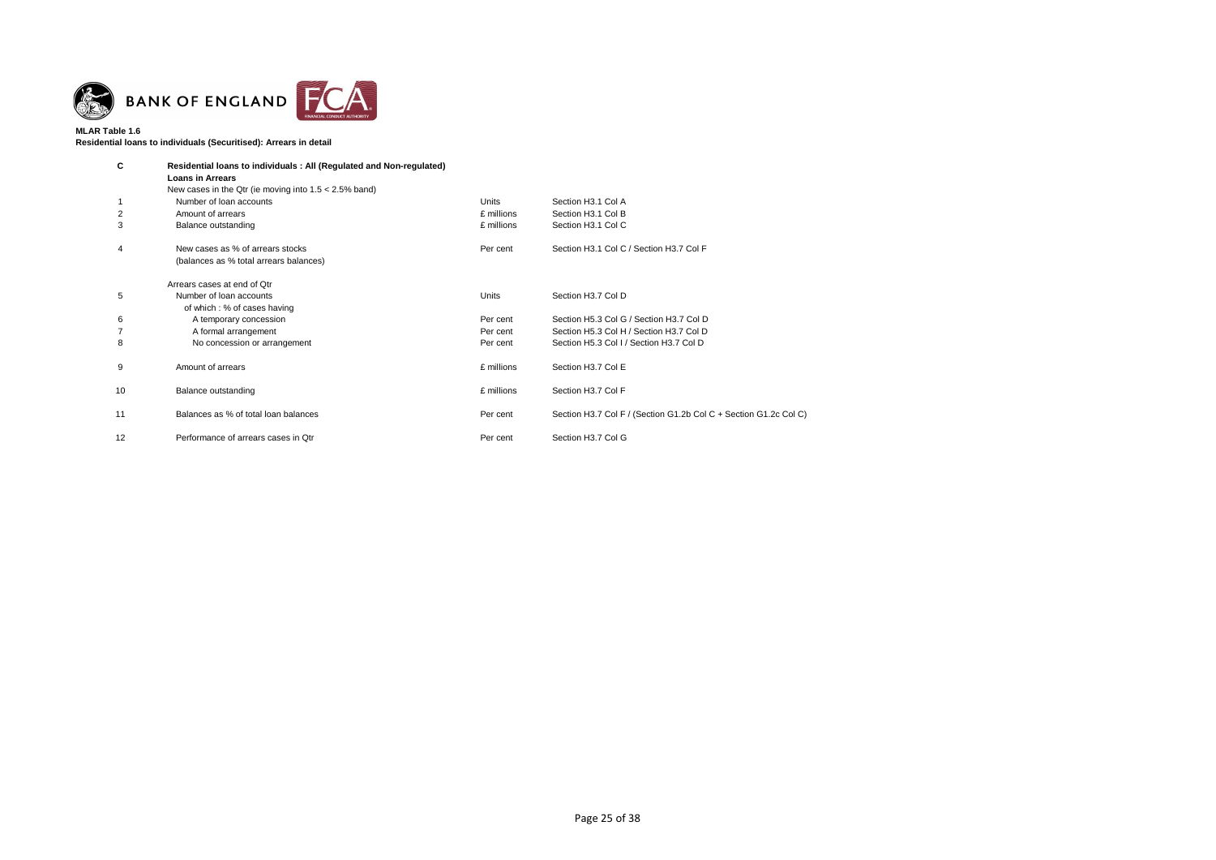

**Residential loans to individuals (Securitised): Arrears in detail**

| C  | Residential loans to individuals: All (Regulated and Non-regulated)<br><b>Loans in Arrears</b><br>New cases in the Qtr (ie moving into $1.5 < 2.5\%$ band) |              |                                                                  |
|----|------------------------------------------------------------------------------------------------------------------------------------------------------------|--------------|------------------------------------------------------------------|
|    | Number of loan accounts                                                                                                                                    | <b>Units</b> | Section H3.1 Col A                                               |
| 2  | Amount of arrears                                                                                                                                          | £ millions   | Section H3.1 Col B                                               |
| 3  | Balance outstanding                                                                                                                                        | £ millions   | Section H3.1 Col C                                               |
| 4  | New cases as % of arrears stocks<br>(balances as % total arrears balances)                                                                                 | Per cent     | Section H3.1 Col C / Section H3.7 Col F                          |
|    | Arrears cases at end of Otr                                                                                                                                |              |                                                                  |
| 5  | Number of loan accounts<br>of which : % of cases having                                                                                                    | Units        | Section H3.7 Col D                                               |
| 6  | A temporary concession                                                                                                                                     | Per cent     | Section H5.3 Col G / Section H3.7 Col D                          |
|    | A formal arrangement                                                                                                                                       | Per cent     | Section H5.3 Col H / Section H3.7 Col D                          |
| 8  | No concession or arrangement                                                                                                                               | Per cent     | Section H5.3 Col I / Section H3.7 Col D                          |
| 9  | Amount of arrears                                                                                                                                          | £ millions   | Section H3.7 Col E                                               |
| 10 | Balance outstanding                                                                                                                                        | £ millions   | Section H3.7 Col F                                               |
| 11 | Balances as % of total loan balances                                                                                                                       | Per cent     | Section H3.7 Col F / (Section G1.2b Col C + Section G1.2c Col C) |
| 12 | Performance of arrears cases in Qtr                                                                                                                        | Per cent     | Section H3.7 Col G                                               |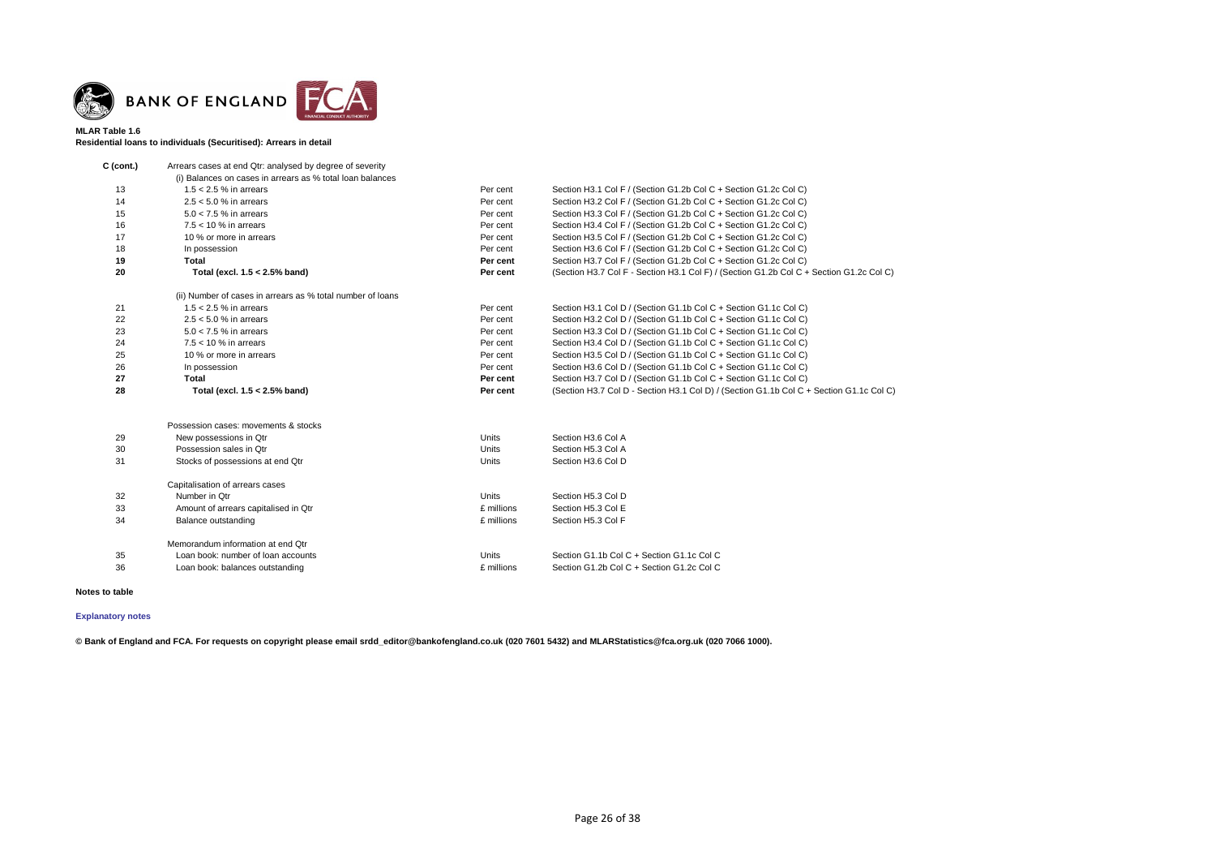

### **MLAR Table 1.6 Residential loans to individuals (Securitised): Arrears in detail**

| $C$ (cont.) | Arrears cases at end Qtr: analysed by degree of severity   |              |                                                                                         |
|-------------|------------------------------------------------------------|--------------|-----------------------------------------------------------------------------------------|
|             | (i) Balances on cases in arrears as % total loan balances  |              |                                                                                         |
| 13          | $1.5 < 2.5$ % in arrears                                   | Per cent     | Section H3.1 Col F / (Section G1.2b Col C + Section G1.2c Col C)                        |
| 14          | $2.5 < 5.0$ % in arrears                                   | Per cent     | Section H3.2 Col F / (Section G1.2b Col C + Section G1.2c Col C)                        |
| 15          | $5.0 < 7.5$ % in arrears                                   | Per cent     | Section H3.3 Col F / (Section G1.2b Col C + Section G1.2c Col C)                        |
| 16          | $7.5 < 10$ % in arrears                                    | Per cent     | Section H3.4 Col F / (Section G1.2b Col C + Section G1.2c Col C)                        |
| 17          | 10 % or more in arrears                                    | Per cent     | Section H3.5 Col F / (Section G1.2b Col C + Section G1.2c Col C)                        |
| 18          | In possession                                              | Per cent     | Section H3.6 Col F / (Section G1.2b Col C + Section G1.2c Col C)                        |
| 19          | <b>Total</b>                                               | Per cent     | Section H3.7 Col F / (Section G1.2b Col C + Section G1.2c Col C)                        |
| 20          | Total (excl. 1.5 < 2.5% band)                              | Per cent     | (Section H3.7 Col F - Section H3.1 Col F) / (Section G1.2b Col C + Section G1.2c Col C) |
|             | (ii) Number of cases in arrears as % total number of loans |              |                                                                                         |
| 21          | $1.5 < 2.5$ % in arrears                                   | Per cent     | Section H3.1 Col D / (Section G1.1b Col C + Section G1.1c Col C)                        |
| 22          | $2.5 < 5.0$ % in arrears                                   | Per cent     | Section H3.2 Col D / (Section G1.1b Col C + Section G1.1c Col C)                        |
| 23          | $5.0 < 7.5$ % in arrears                                   | Per cent     | Section H3.3 Col D / (Section G1.1b Col C + Section G1.1c Col C)                        |
| 24          | $7.5 < 10$ % in arrears                                    | Per cent     | Section H3.4 Col D / (Section G1.1b Col C + Section G1.1c Col C)                        |
| 25          | 10 % or more in arrears                                    | Per cent     | Section H3.5 Col D / (Section G1.1b Col C + Section G1.1c Col C)                        |
| 26          | In possession                                              | Per cent     | Section H3.6 Col D / (Section G1.1b Col C + Section G1.1c Col C)                        |
| 27          | <b>Total</b>                                               | Per cent     | Section H3.7 Col D / (Section G1.1b Col C + Section G1.1c Col C)                        |
| 28          | Total (excl. 1.5 < 2.5% band)                              | Per cent     | (Section H3.7 Col D - Section H3.1 Col D) / (Section G1.1b Col C + Section G1.1c Col C) |
|             | Possession cases: movements & stocks                       |              |                                                                                         |
| 29          |                                                            | <b>Units</b> | Section H3.6 Col A                                                                      |
| 30          | New possessions in Qtr<br>Possession sales in Qtr          | <b>Units</b> | Section H5.3 Col A                                                                      |
| 31          |                                                            | <b>Units</b> | Section H3.6 Col D                                                                      |
|             | Stocks of possessions at end Qtr                           |              |                                                                                         |
|             | Capitalisation of arrears cases                            |              |                                                                                         |
| 32          | Number in Qtr                                              | <b>Units</b> | Section H5.3 Col D                                                                      |
| 33          | Amount of arrears capitalised in Qtr                       | £ millions   | Section H5.3 Col E                                                                      |
| 34          | Balance outstanding                                        | £ millions   | Section H5.3 Col F                                                                      |
|             | Memorandum information at end Qtr                          |              |                                                                                         |
| 35          | Loan book: number of loan accounts                         | Units        | Section G1.1b Col C + Section G1.1c Col C                                               |
| 36          | Loan book: balances outstanding                            | £ millions   | Section G1.2b Col C + Section G1.2c Col C                                               |
|             |                                                            |              |                                                                                         |

# **Notes to table**

# **[Explanatory notes](http://www.bankofengland.co.uk/statistics/Pages/iadb/notesiadb/capital_issues.aspx)**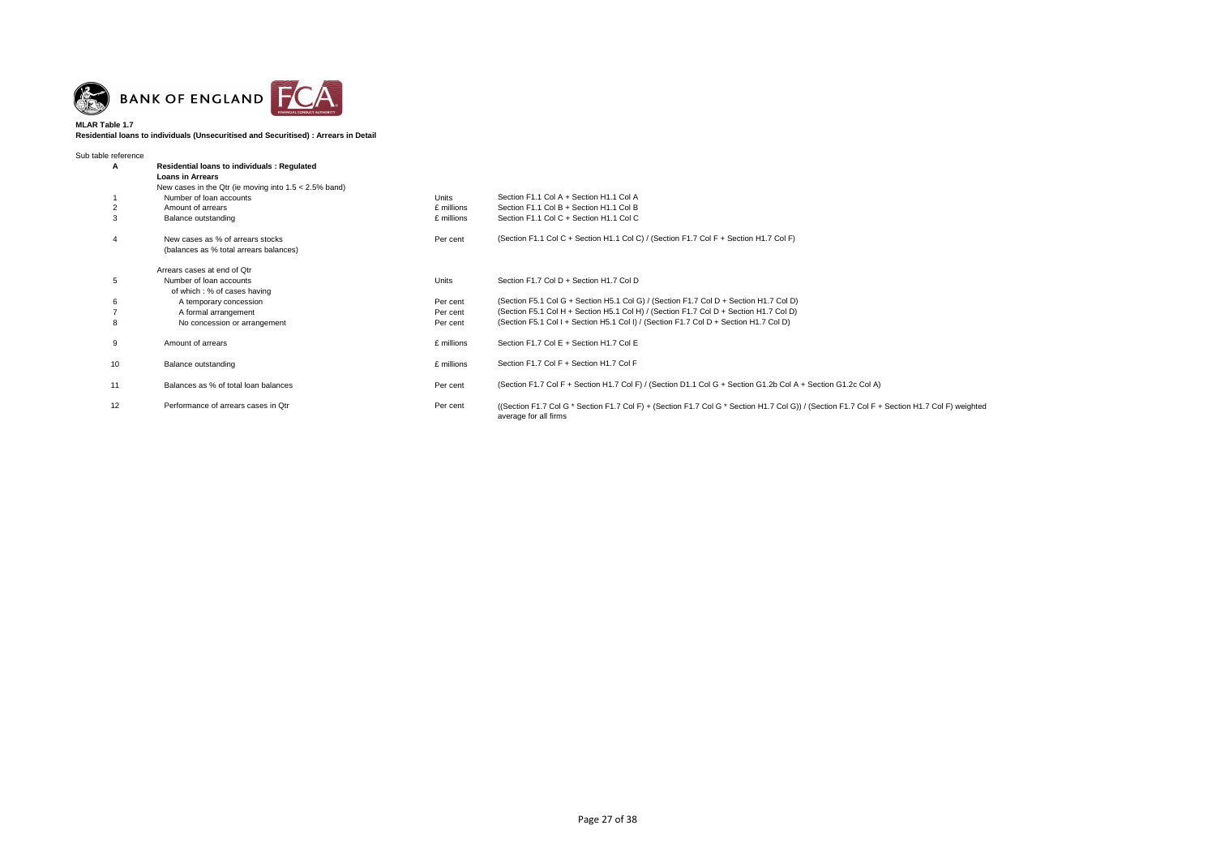

**Residential loans to individuals (Unsecuritised and Securitised) : Arrears in Detail**

| Sub table reference |                                                                                                                                           |            |                                                                                                                                          |
|---------------------|-------------------------------------------------------------------------------------------------------------------------------------------|------------|------------------------------------------------------------------------------------------------------------------------------------------|
| A                   | <b>Residential loans to individuals: Regulated</b><br><b>Loans in Arrears</b><br>New cases in the Qtr (ie moving into $1.5 < 2.5\%$ band) |            |                                                                                                                                          |
|                     | Number of loan accounts                                                                                                                   | Units      | Section F1.1 Col A + Section H1.1 Col A                                                                                                  |
| 2                   | Amount of arrears                                                                                                                         | £ millions | Section F1.1 Col B + Section H1.1 Col B                                                                                                  |
| 3                   | Balance outstanding                                                                                                                       | £ millions | Section F1.1 Col C + Section H1.1 Col C                                                                                                  |
| 4                   | New cases as % of arrears stocks<br>(balances as % total arrears balances)                                                                | Per cent   | (Section F1.1 Col C + Section H1.1 Col C) / (Section F1.7 Col F + Section H1.7 Col F)                                                    |
|                     | Arrears cases at end of Qtr                                                                                                               |            |                                                                                                                                          |
| 5                   | Number of loan accounts                                                                                                                   | Units      | Section F1.7 Col D + Section H1.7 Col D                                                                                                  |
|                     | of which : % of cases having                                                                                                              |            |                                                                                                                                          |
| 6                   | A temporary concession                                                                                                                    | Per cent   | (Section F5.1 Col G + Section H5.1 Col G) / (Section F1.7 Col D + Section H1.7 Col D)                                                    |
|                     | A formal arrangement                                                                                                                      | Per cent   | (Section F5.1 Col H + Section H5.1 Col H) / (Section F1.7 Col D + Section H1.7 Col D)                                                    |
| 8                   | No concession or arrangement                                                                                                              | Per cent   | (Section F5.1 Col I + Section H5.1 Col I) / (Section F1.7 Col D + Section H1.7 Col D)                                                    |
| 9                   | Amount of arrears                                                                                                                         | £ millions | Section F1.7 Col E + Section H1.7 Col E                                                                                                  |
| 10                  | Balance outstanding                                                                                                                       | £ millions | Section F1.7 Col F + Section H1.7 Col F                                                                                                  |
| 11                  | Balances as % of total loan balances                                                                                                      | Per cent   | (Section F1.7 Col F + Section H1.7 Col F) / (Section D1.1 Col G + Section G1.2b Col A + Section G1.2c Col A)                             |
| 12                  | Performance of arrears cases in Otr                                                                                                       | Per cent   | ((Section F1.7 Col G * Section F1.7 Col F) + (Section F1.7 Col G * Section H1.7 Col G)) / (Section F1.7 Col F -<br>average for all firms |

 $F +$  Section H1.7 Col F) weighted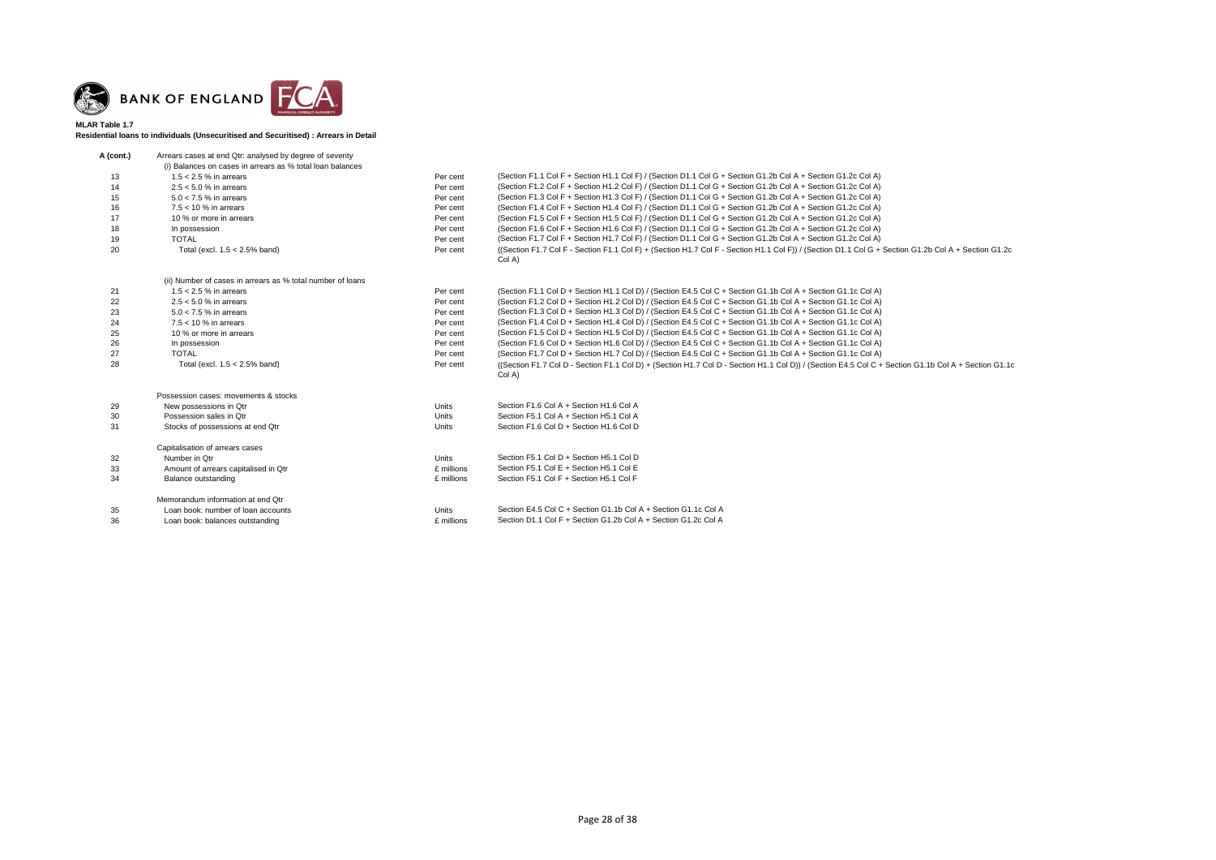

**Residential loans to individuals (Unsecuritised and Securitised) : Arrears in Detail**

| A (cont.) | Arrears cases at end Qtr: analysed by degree of severity   |              |                                                                                                                           |
|-----------|------------------------------------------------------------|--------------|---------------------------------------------------------------------------------------------------------------------------|
|           | (i) Balances on cases in arrears as % total loan balances  |              |                                                                                                                           |
| 13        | $1.5 < 2.5$ % in arrears                                   | Per cent     | (Section F1.1 Col F + Section H1.1 Col F) / (Section D1.1 Col G + Section G1.2b Col A + Section G1.2c Col A)              |
| 14        | $2.5 < 5.0$ % in arrears                                   | Per cent     | (Section F1.2 Col F + Section H1.2 Col F) / (Section D1.1 Col G + Section G1.2b Col A + Section G1.2c Col A)              |
| 15        | $5.0 < 7.5$ % in arrears                                   | Per cent     | (Section F1.3 Col F + Section H1.3 Col F) / (Section D1.1 Col G + Section G1.2b Col A + Section G1.2c Col A)              |
| 16        | $7.5 < 10$ % in arrears                                    | Per cent     | (Section F1.4 Col F + Section H1.4 Col F) / (Section D1.1 Col G + Section G1.2b Col A + Section G1.2c Col A)              |
| 17        | 10 % or more in arrears                                    | Per cent     | (Section F1.5 Col F + Section H1.5 Col F) / (Section D1.1 Col G + Section G1.2b Col A + Section G1.2c Col A)              |
| 18        | In possession                                              | Per cent     | (Section F1.6 Col F + Section H1.6 Col F) / (Section D1.1 Col G + Section G1.2b Col A + Section G1.2c Col A)              |
| 19        | <b>TOTAL</b>                                               | Per cent     | (Section F1.7 Col F + Section H1.7 Col F) / (Section D1.1 Col G + Section G1.2b Col A + Section G1.2c Col A)              |
| 20        | Total (excl. $1.5 < 2.5\%$ band)                           | Per cent     | ((Section F1.7 Col F - Section F1.1 Col F) + (Section H1.7 Col F - Section H1.1 Col F)) / (Section D1.1 Col G +<br>Col A) |
|           | (ii) Number of cases in arrears as % total number of loans |              |                                                                                                                           |
| 21        | $1.5 < 2.5$ % in arrears                                   | Per cent     | (Section F1.1 Col D + Section H1.1 Col D) / (Section E4.5 Col C + Section G1.1b Col A + Section G1.1c Col A)              |
| 22        | $2.5 < 5.0$ % in arrears                                   | Per cent     | (Section F1.2 Col D + Section H1.2 Col D) / (Section E4.5 Col C + Section G1.1b Col A + Section G1.1c Col A)              |
| 23        | $5.0 < 7.5$ % in arrears                                   | Per cent     | (Section F1.3 Col D + Section H1.3 Col D) / (Section E4.5 Col C + Section G1.1b Col A + Section G1.1c Col A)              |
| 24        | $7.5 < 10$ % in arrears                                    | Per cent     | (Section F1.4 Col D + Section H1.4 Col D) / (Section E4.5 Col C + Section G1.1b Col A + Section G1.1c Col A)              |
| 25        | 10 % or more in arrears                                    | Per cent     | (Section F1.5 Col D + Section H1.5 Col D) / (Section E4.5 Col C + Section G1.1b Col A + Section G1.1c Col A)              |
| 26        | In possession                                              | Per cent     | (Section F1.6 Col D + Section H1.6 Col D) / (Section E4.5 Col C + Section G1.1b Col A + Section G1.1c Col A)              |
| 27        | <b>TOTAL</b>                                               | Per cent     | (Section F1.7 Col D + Section H1.7 Col D) / (Section E4.5 Col C + Section G1.1b Col A + Section G1.1c Col A)              |
| 28        | Total (excl. $1.5 < 2.5\%$ band)                           | Per cent     | ((Section F1.7 Col D - Section F1.1 Col D) + (Section H1.7 Col D - Section H1.1 Col D)) / (Section E4.5 Col C +<br>Col A) |
|           | Possession cases: movements & stocks                       |              |                                                                                                                           |
| 29        | New possessions in Qtr                                     | Units        | Section F1.6 Col A + Section H1.6 Col A                                                                                   |
| 30        | Possession sales in Otr                                    | <b>Units</b> | Section F5.1 Col A + Section H5.1 Col A                                                                                   |
| 31        | Stocks of possessions at end Qtr                           | <b>Units</b> | Section F1.6 Col D + Section H1.6 Col D                                                                                   |
|           | Capitalisation of arrears cases                            |              |                                                                                                                           |
| 32        | Number in Otr                                              | <b>Units</b> | Section F5.1 Col D + Section H5.1 Col D                                                                                   |
| 33        | Amount of arrears capitalised in Qtr                       | £ millions   | Section F5.1 Col E + Section H5.1 Col E                                                                                   |
| 34        | Balance outstanding                                        | £ millions   | Section F5.1 Col F + Section H5.1 Col F                                                                                   |
|           | Memorandum information at end Qtr                          |              |                                                                                                                           |
| 35        | Loan book: number of loan accounts                         | <b>Units</b> | Section E4.5 Col C + Section G1.1b Col A + Section G1.1c Col A                                                            |
| 36        | Loan book: balances outstanding                            | £ millions   | Section D1.1 Col F + Section G1.2b Col A + Section G1.2c Col A                                                            |

-<br>Fection G1.2b Col A + Section G1.2c

+ Section G1.1b Col A + Section G1.1c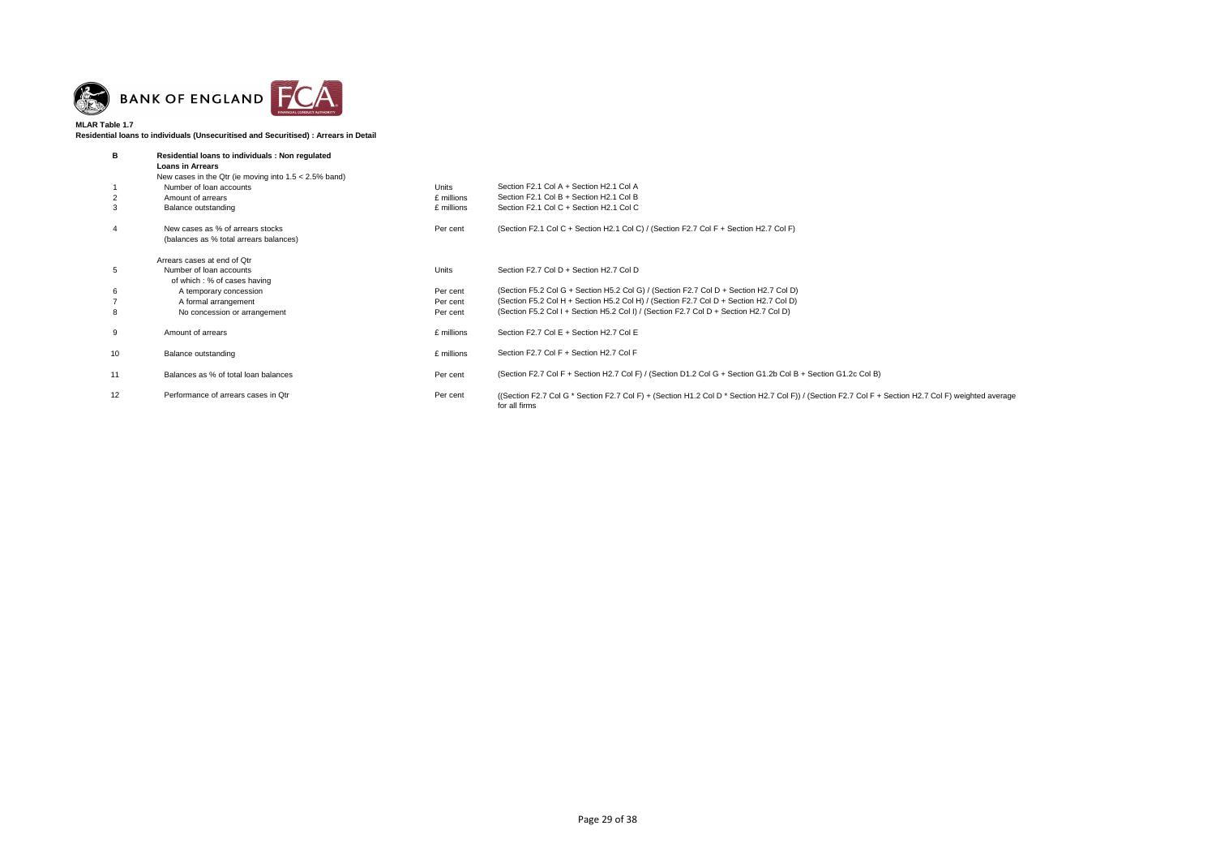

**Residential loans to individuals (Unsecuritised and Securitised) : Arrears in Detail**

| в  | Residential loans to individuals : Non regulated<br><b>Loans in Arrears</b> |              |                                                                                                                                  |
|----|-----------------------------------------------------------------------------|--------------|----------------------------------------------------------------------------------------------------------------------------------|
|    | New cases in the Qtr (ie moving into $1.5 < 2.5\%$ band)                    |              |                                                                                                                                  |
|    | Number of loan accounts                                                     | <b>Units</b> | Section F2.1 Col A + Section H2.1 Col A                                                                                          |
| 2  | Amount of arrears                                                           | £ millions   | Section F2.1 Col B + Section H2.1 Col B                                                                                          |
| 3  | Balance outstanding                                                         | £ millions   | Section F2.1 Col C + Section H2.1 Col C                                                                                          |
| 4  | New cases as % of arrears stocks<br>(balances as % total arrears balances)  | Per cent     | (Section F2.1 Col C + Section H2.1 Col C) / (Section F2.7 Col F + Section H2.7 Col F)                                            |
|    | Arrears cases at end of Otr                                                 |              |                                                                                                                                  |
| 5  | Number of loan accounts                                                     | Units        | Section F2.7 Col D + Section H2.7 Col D                                                                                          |
|    | of which : % of cases having                                                |              |                                                                                                                                  |
| 6  | A temporary concession                                                      | Per cent     | (Section F5.2 Col G + Section H5.2 Col G) / (Section F2.7 Col D + Section H2.7 Col D)                                            |
|    | A formal arrangement                                                        | Per cent     | (Section F5.2 Col H + Section H5.2 Col H) / (Section F2.7 Col D + Section H2.7 Col D)                                            |
| 8  | No concession or arrangement                                                | Per cent     | (Section F5.2 Col I + Section H5.2 Col I) / (Section F2.7 Col D + Section H2.7 Col D)                                            |
| 9  | Amount of arrears                                                           | £ millions   | Section F2.7 Col E + Section H2.7 Col E                                                                                          |
| 10 | Balance outstanding                                                         | £ millions   | Section F2.7 Col F + Section H2.7 Col F                                                                                          |
| 11 | Balances as % of total loan balances                                        | Per cent     | (Section F2.7 Col F + Section H2.7 Col F) / (Section D1.2 Col G + Section G1.2b Col B + Section G1.2c Col B)                     |
| 12 | Performance of arrears cases in Otr                                         | Per cent     | ((Section F2.7 Col G * Section F2.7 Col F) + (Section H1.2 Col D * Section H2.7 Col F)) / (Section F2.7 Col F +<br>for all firms |

 $F +$  Section H2.7 Col F) weighted average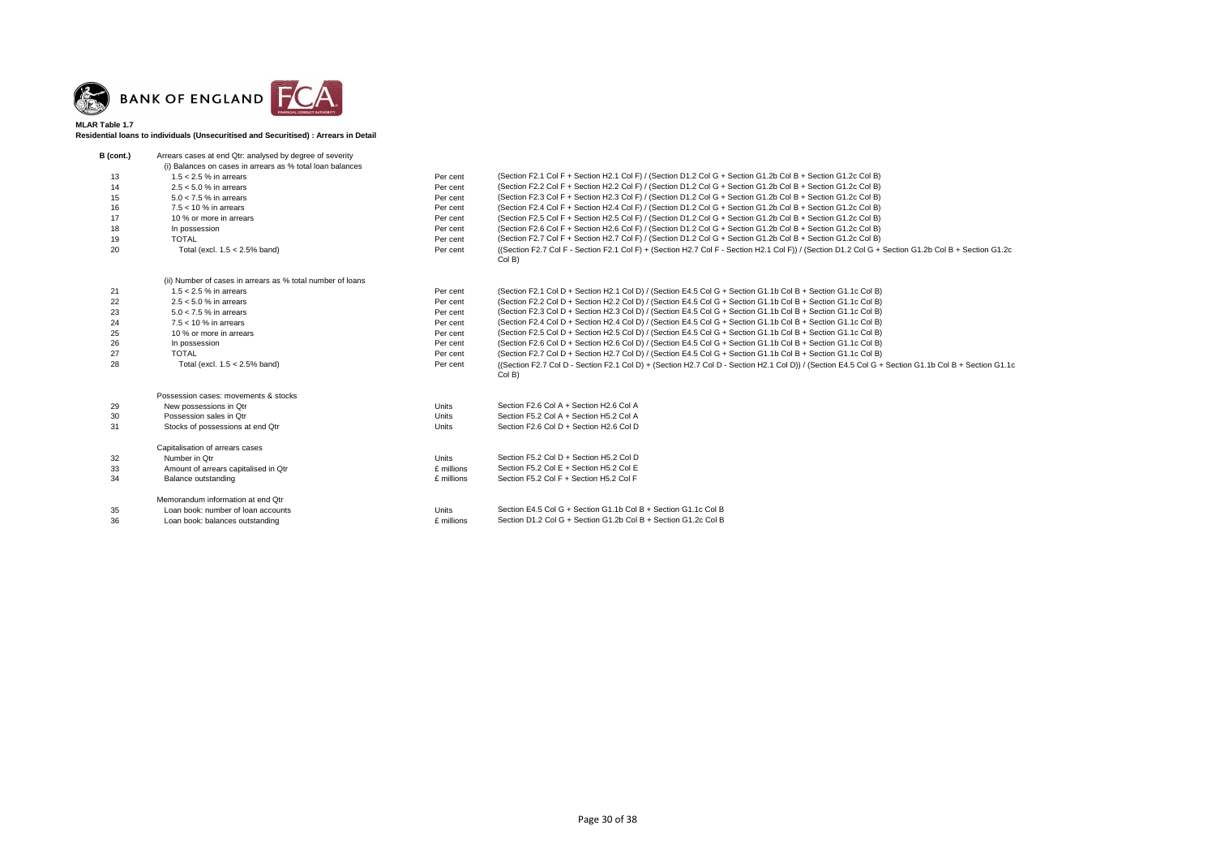

**Residential loans to individuals (Unsecuritised and Securitised) : Arrears in Detail**

Total (excl. 1.5 < 2.5% band) Per cent ((Section F2.7 Col F - Section F2.1 Col F) + (Section H2.7 Col F - Section H2.1 Col F)) / (Section D1.2 Col G + Section G1.2b Col B + Section G1.2c

+ Section G1.1b Col B + Section G1.1c

| B (cont.) | Arrears cases at end Qtr: analysed by degree of severity   |              |                                                                                                                           |
|-----------|------------------------------------------------------------|--------------|---------------------------------------------------------------------------------------------------------------------------|
|           | (i) Balances on cases in arrears as % total loan balances  |              |                                                                                                                           |
| 13        | $1.5 < 2.5$ % in arrears                                   | Per cent     | (Section F2.1 Col F + Section H2.1 Col F) / (Section D1.2 Col G + Section G1.2b Col B + Section G1.2c Col B)              |
| 14        | $2.5 < 5.0$ % in arrears                                   | Per cent     | (Section F2.2 Col F + Section H2.2 Col F) / (Section D1.2 Col G + Section G1.2b Col B + Section G1.2c Col B)              |
| 15        | $5.0 < 7.5$ % in arrears                                   | Per cent     | (Section F2.3 Col F + Section H2.3 Col F) / (Section D1.2 Col G + Section G1.2b Col B + Section G1.2c Col B)              |
| 16        | $7.5 < 10$ % in arrears                                    | Per cent     | (Section F2.4 Col F + Section H2.4 Col F) / (Section D1.2 Col G + Section G1.2b Col B + Section G1.2c Col B)              |
| 17        | 10 % or more in arrears                                    | Per cent     | (Section F2.5 Col F + Section H2.5 Col F) / (Section D1.2 Col G + Section G1.2b Col B + Section G1.2c Col B)              |
| 18        | In possession                                              | Per cent     | (Section F2.6 Col F + Section H2.6 Col F) / (Section D1.2 Col G + Section G1.2b Col B + Section G1.2c Col B)              |
| 19        | <b>TOTAL</b>                                               | Per cent     | (Section F2.7 Col F + Section H2.7 Col F) / (Section D1.2 Col G + Section G1.2b Col B + Section G1.2c Col B)              |
| 20        | Total (excl. $1.5 < 2.5\%$ band)                           | Per cent     | ((Section F2.7 Col F - Section F2.1 Col F) + (Section H2.7 Col F - Section H2.1 Col F)) / (Section D1.2 Col G +<br>Col B) |
|           | (ii) Number of cases in arrears as % total number of loans |              |                                                                                                                           |
| 21        | $1.5 < 2.5$ % in arrears                                   | Per cent     | (Section F2.1 Col D + Section H2.1 Col D) / (Section E4.5 Col G + Section G1.1b Col B + Section G1.1c Col B)              |
| 22        | $2.5 < 5.0$ % in arrears                                   | Per cent     | (Section F2.2 Col D + Section H2.2 Col D) / (Section E4.5 Col G + Section G1.1b Col B + Section G1.1c Col B)              |
| 23        | $5.0 < 7.5$ % in arrears                                   | Per cent     | (Section F2.3 Col D + Section H2.3 Col D) / (Section E4.5 Col G + Section G1.1b Col B + Section G1.1c Col B)              |
| 24        | $7.5 < 10$ % in arrears                                    | Per cent     | (Section F2.4 Col D + Section H2.4 Col D) / (Section E4.5 Col G + Section G1.1b Col B + Section G1.1c Col B)              |
| 25        | 10 % or more in arrears                                    | Per cent     | (Section F2.5 Col D + Section H2.5 Col D) / (Section E4.5 Col G + Section G1.1b Col B + Section G1.1c Col B)              |
| 26        | In possession                                              | Per cent     | (Section F2.6 Col D + Section H2.6 Col D) / (Section E4.5 Col G + Section G1.1b Col B + Section G1.1c Col B)              |
| 27        | <b>TOTAL</b>                                               | Per cent     | (Section F2.7 Col D + Section H2.7 Col D) / (Section E4.5 Col G + Section G1.1b Col B + Section G1.1c Col B)              |
| 28        | Total (excl. $1.5 < 2.5\%$ band)                           | Per cent     | ((Section F2.7 Col D - Section F2.1 Col D) + (Section H2.7 Col D - Section H2.1 Col D)) / (Section E4.5 Col G +<br>Col B) |
|           | Possession cases: movements & stocks                       |              |                                                                                                                           |
| 29        | New possessions in Qtr                                     | Units        | Section F2.6 Col A + Section H2.6 Col A                                                                                   |
| 30        | Possession sales in Qtr                                    | <b>Units</b> | Section F5.2 Col A + Section H5.2 Col A                                                                                   |
| 31        | Stocks of possessions at end Qtr                           | <b>Units</b> | Section F2.6 Col D + Section H2.6 Col D                                                                                   |
|           | Capitalisation of arrears cases                            |              |                                                                                                                           |
| 32        | Number in Qtr                                              | <b>Units</b> | Section F5.2 Col D + Section H5.2 Col D                                                                                   |
| 33        | Amount of arrears capitalised in Qtr                       | £ millions   | Section F5.2 Col E + Section H5.2 Col E                                                                                   |
| 34        | Balance outstanding                                        | £ millions   | Section F5.2 Col F + Section H5.2 Col F                                                                                   |
|           | Memorandum information at end Qtr                          |              |                                                                                                                           |
| 35        | Loan book: number of loan accounts                         | Units        | Section E4.5 Col G + Section G1.1b Col B + Section G1.1c Col B                                                            |
| 36        | Loan book: balances outstanding                            | £ millions   | Section D1.2 Col G + Section G1.2b Col B + Section G1.2c Col B                                                            |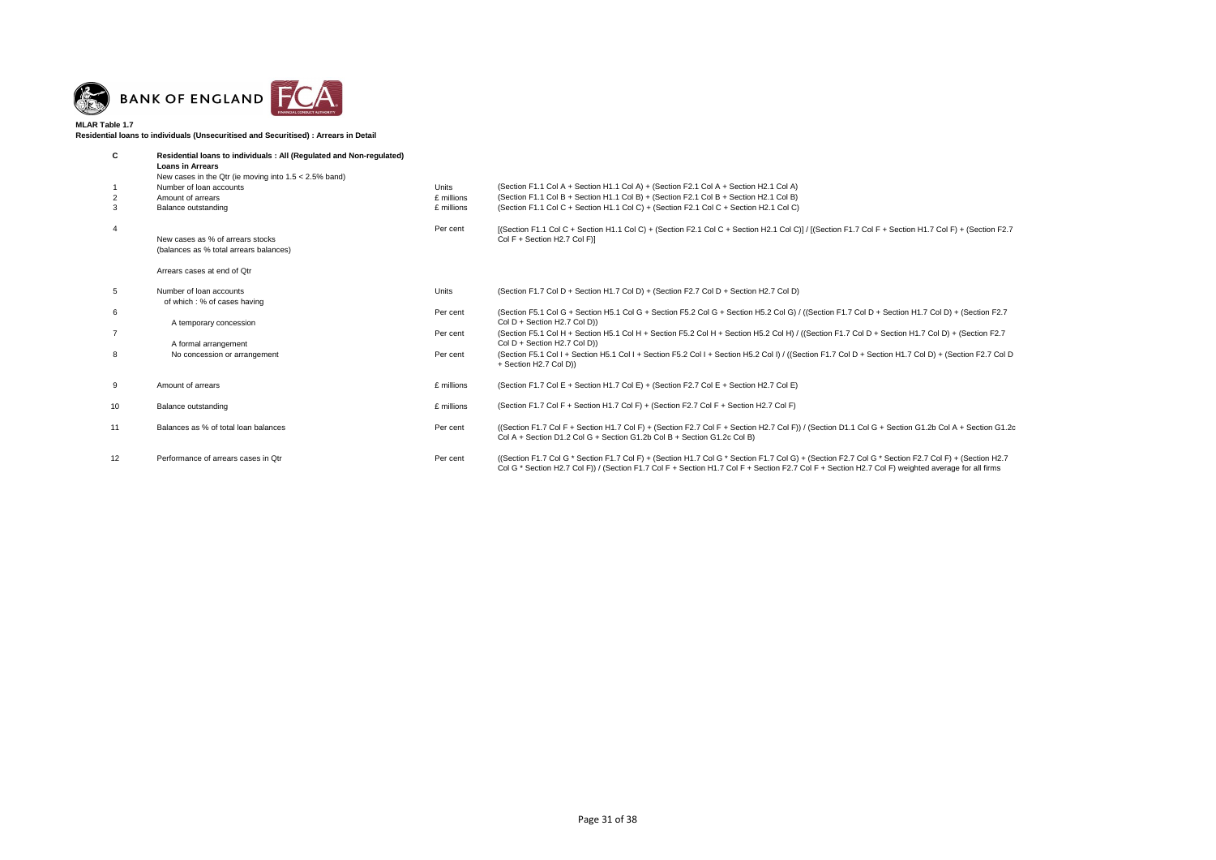

**Residential loans to individuals (Unsecuritised and Securitised) : Arrears in Detail**

| C                 | Residential loans to individuals: All (Regulated and Non-regulated)<br><b>Loans in Arrears</b><br>New cases in the Qtr (ie moving into $1.5 < 2.5\%$ band) |            |                                                                                                                                                                                                                                                                                                        |
|-------------------|------------------------------------------------------------------------------------------------------------------------------------------------------------|------------|--------------------------------------------------------------------------------------------------------------------------------------------------------------------------------------------------------------------------------------------------------------------------------------------------------|
|                   | Number of loan accounts                                                                                                                                    | Units      | (Section F1.1 Col A + Section H1.1 Col A) + (Section F2.1 Col A + Section H2.1 Col A)                                                                                                                                                                                                                  |
| 2                 | Amount of arrears                                                                                                                                          | £ millions | (Section F1.1 Col B + Section H1.1 Col B) + (Section F2.1 Col B + Section H2.1 Col B)                                                                                                                                                                                                                  |
| 3                 | Balance outstanding                                                                                                                                        | £ millions | (Section F1.1 Col C + Section H1.1 Col C) + (Section F2.1 Col C + Section H2.1 Col C)                                                                                                                                                                                                                  |
|                   |                                                                                                                                                            | Per cent   | [(Section F1.1 Col C + Section H1.1 Col C) + (Section F2.1 Col C + Section H2.1 Col C)] / [(Section F1.7 Col F + Section H1.7 Col F) + (Section F2.1 Col C) + (Section H2.1 Col C)] /                                                                                                                  |
|                   | New cases as % of arrears stocks                                                                                                                           |            | Col F + Section H2.7 Col F)]                                                                                                                                                                                                                                                                           |
|                   | (balances as % total arrears balances)                                                                                                                     |            |                                                                                                                                                                                                                                                                                                        |
|                   | Arrears cases at end of Qtr                                                                                                                                |            |                                                                                                                                                                                                                                                                                                        |
| 5                 | Number of loan accounts<br>of which: % of cases having                                                                                                     | Units      | (Section F1.7 Col D + Section H1.7 Col D) + (Section F2.7 Col D + Section H2.7 Col D)                                                                                                                                                                                                                  |
| 6                 | A temporary concession                                                                                                                                     | Per cent   | (Section F5.1 Col G + Section H5.1 Col G + Section F5.2 Col G + Section H5.2 Col G) / ((Section F1.7 Col D + Section H1.7 Col D) + (Section F2.<br>Col $D +$ Section H2.7 Col D))                                                                                                                      |
|                   | A formal arrangement                                                                                                                                       | Per cent   | (Section F5.1 Col H + Section H5.1 Col H + Section F5.2 Col H + Section H5.2 Col H) / ((Section F1.7 Col D + Section H1.7 Col D) + (Section F2.7<br>Col D + Section H2.7 Col D))                                                                                                                       |
| 8                 | No concession or arrangement                                                                                                                               | Per cent   | (Section F5.1 Col I + Section H5.1 Col I + Section F5.2 Col I + Section H5.2 Col I) / ((Section F1.7 Col D + Section H1.7 Col D) + (Section F2.7 Co<br>+ Section H2.7 Col D))                                                                                                                          |
| 9                 | Amount of arrears                                                                                                                                          | £ millions | (Section F1.7 Col E + Section H1.7 Col E) + (Section F2.7 Col E + Section H2.7 Col E)                                                                                                                                                                                                                  |
| 10                | Balance outstanding                                                                                                                                        | £ millions | (Section F1.7 Col F + Section H1.7 Col F) + (Section F2.7 Col F + Section H2.7 Col F)                                                                                                                                                                                                                  |
| 11                | Balances as % of total loan balances                                                                                                                       | Per cent   | ((Section F1.7 Col F + Section H1.7 Col F) + (Section F2.7 Col F + Section H2.7 Col F)) / (Section D1.1 Col G + Section G1.2b Col A + Section G'<br>Col A + Section D1.2 Col G + Section G1.2b Col B + Section G1.2c Col B)                                                                            |
| $12 \overline{ }$ | Performance of arrears cases in Qtr                                                                                                                        | Per cent   | ((Section F1.7 Col G * Section F1.7 Col F) + (Section H1.7 Col G * Section F1.7 Col G) + (Section F2.7 Col G * Section F2.7 Col F) + (Section H2.<br>Col G * Section H2.7 Col F)) / (Section F1.7 Col F + Section H1.7 Col F + Section F2.7 Col F + Section H2.7 Col F) weighted average for all firms |

 $F +$  Section H1.7 Col F) + (Section F2.7

 $\frac{1}{100}$  H1.7 Col D) + (Section F2.7 Col D

+ Section G1.2b Col A + Section G1.2c

 $*$  Section F2.7 Col F) + (Section H2.7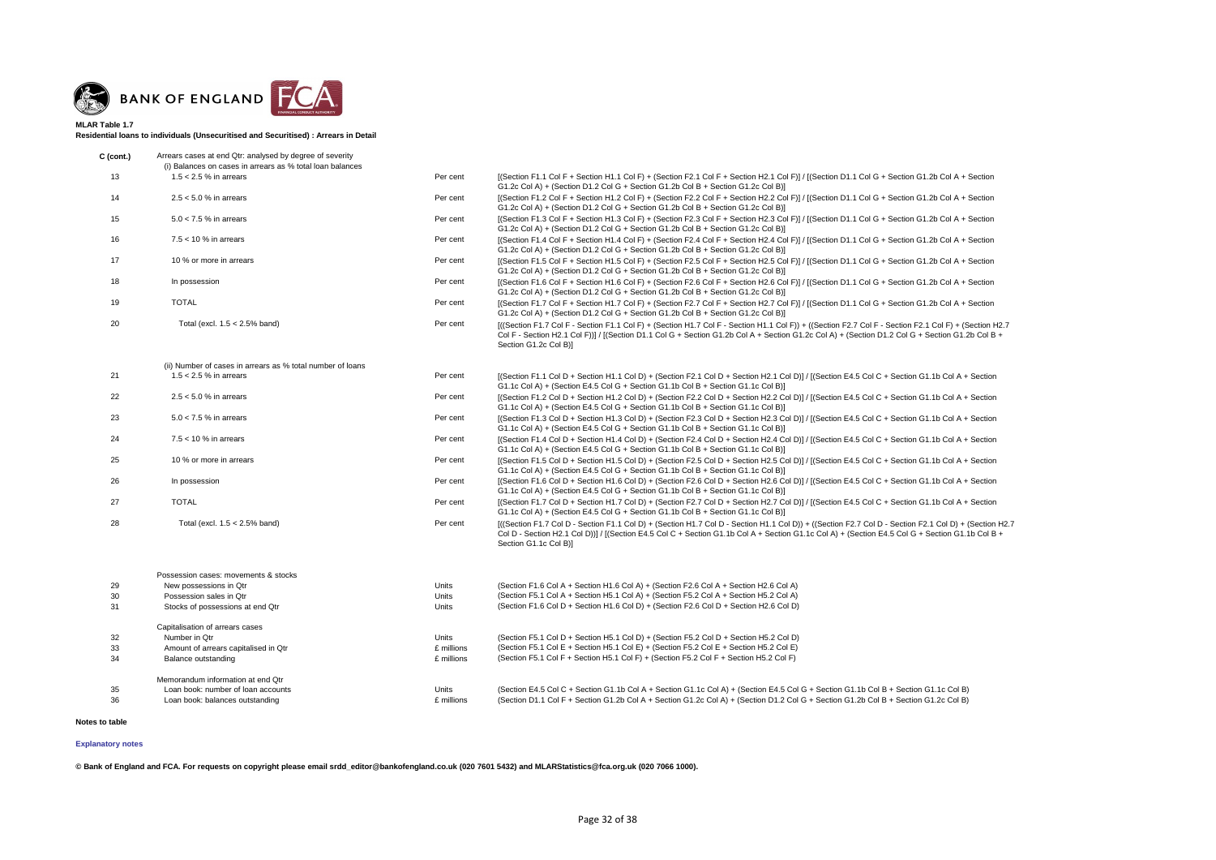

**Residential loans to individuals (Unsecuritised and Securitised) : Arrears in Detail**

| $C$ (cont.) | Arrears cases at end Qtr: analysed by degree of severity   |          |                                                                                                                                                                                                                                                                     |
|-------------|------------------------------------------------------------|----------|---------------------------------------------------------------------------------------------------------------------------------------------------------------------------------------------------------------------------------------------------------------------|
|             | (i) Balances on cases in arrears as % total loan balances  |          |                                                                                                                                                                                                                                                                     |
| 13          | $1.5 < 2.5$ % in arrears                                   | Per cent | [(Section F1.1 Col F + Section H1.1 Col F) + (Section F2.1 Col F + Section H2.1 Col F)] / [(Section D1.1 Col G<br>G1.2c Col A) + (Section D1.2 Col G + Section G1.2b Col B + Section G1.2c Col B)]                                                                  |
| 14          | $2.5 < 5.0$ % in arrears                                   | Per cent | [(Section F1.2 Col F + Section H1.2 Col F) + (Section F2.2 Col F + Section H2.2 Col F)] / [(Section D1.1 Col G<br>G1.2c Col A) + (Section D1.2 Col G + Section G1.2b Col B + Section G1.2c Col B)]                                                                  |
| 15          | $5.0 < 7.5$ % in arrears                                   | Per cent | [(Section F1.3 Col F + Section H1.3 Col F) + (Section F2.3 Col F + Section H2.3 Col F)] / [(Section D1.1 Col G<br>G1.2c Col A) + (Section D1.2 Col G + Section G1.2b Col B + Section G1.2c Col B)]                                                                  |
| 16          | $7.5 < 10$ % in arrears                                    | Per cent | [(Section F1.4 Col F + Section H1.4 Col F) + (Section F2.4 Col F + Section H2.4 Col F)] / [(Section D1.1 Col G<br>G1.2c Col A) + (Section D1.2 Col G + Section G1.2b Col B + Section G1.2c Col B)]                                                                  |
| 17          | 10 % or more in arrears                                    | Per cent | [(Section F1.5 Col F + Section H1.5 Col F) + (Section F2.5 Col F + Section H2.5 Col F)] / [(Section D1.1 Col G<br>G1.2c Col A) + (Section D1.2 Col G + Section G1.2b Col B + Section G1.2c Col B)]                                                                  |
| 18          | In possession                                              | Per cent | [(Section F1.6 Col F + Section H1.6 Col F) + (Section F2.6 Col F + Section H2.6 Col F)] / [(Section D1.1 Col G<br>G1.2c Col A) + (Section D1.2 Col G + Section G1.2b Col B + Section G1.2c Col B)]                                                                  |
| 19          | <b>TOTAL</b>                                               | Per cent | [(Section F1.7 Col F + Section H1.7 Col F) + (Section F2.7 Col F + Section H2.7 Col F)] / [(Section D1.1 Col G<br>G1.2c Col A) + (Section D1.2 Col G + Section G1.2b Col B + Section G1.2c Col B)]                                                                  |
| 20          | Total (excl. $1.5 < 2.5\%$ band)                           | Per cent | $[($ Section F1.7 Col F - Section F1.1 Col F) + (Section H1.7 Col F - Section H1.1 Col F)) + ((Section F2.7 Col F $\cdot$<br>Col F - Section H2.1 Col F)] / [(Section D1.1 Col G + Section G1.2b Col A + Section G1.2c Col A) + (Section D<br>Section G1.2c Col B)] |
|             | (ii) Number of cases in arrears as % total number of loans |          |                                                                                                                                                                                                                                                                     |
| 21          | 1.5 $<$ 2.5 % in arrears                                   | Per cent | [(Section F1.1 Col D + Section H1.1 Col D) + (Section F2.1 Col D + Section H2.1 Col D)] / [(Section E4.5 Col C<br>G1.1c Col A) + (Section E4.5 Col G + Section G1.1b Col B + Section G1.1c Col B)]                                                                  |
| 22          | $2.5 < 5.0$ % in arrears                                   | Per cent | $[(Section F1.2 Col D + Section H1.2 Col D) + (Section F2.2 Col D + Section H2.2 Col D)] / [(Section F4.5 Col C)$                                                                                                                                                   |

G1.1c Col A) + (Section E4.5 Col G + Section G1.1b Col B + Section G1.1c Col B)]

- + Section G1.2b Col A + Section
- + Section G1.2b Col A + Section
- + Section G1.2b Col A + Section
- + Section G1.2b Col A + Section
- + Section G1.2b Col A + Section
- + Section G1.2b Col A + Section
- + Section G1.2b Col A + Section
- Section F2.1 Col F) + (Section H2.7  $D1.2$  Col G + Section G1.2b Col B +
- + Section G1.1b Col A + Section
- $22$  2.5 Col C + Section G1.1b Col A + Section H2.2 Col A + Section
	- + Section G1.1b Col A + Section
	- + Section G1.1b Col A + Section
	- + Section G1.1b Col A + Section
	- + Section G1.1b Col A + Section
	- + Section G1.1b Col A + Section
	- $0 Section F2.1 Col D) + (Section H2.7)$
	- $E4.5$  Col G + Section G1.1b Col B +

| 23 | $5.0 < 7.5$ % in arrears         | Per cent | [(Section F1.3 Col D + Section H1.3 Col D) + (Section F2.3 Col D + Section H2.3 Col D)] / [(Section E4.5 Col C<br>G1.1c Col A) + (Section E4.5 Col G + Section G1.1b Col B + Section G1.1c Col B)]                                                         |
|----|----------------------------------|----------|------------------------------------------------------------------------------------------------------------------------------------------------------------------------------------------------------------------------------------------------------------|
| 24 | $7.5 < 10 \%$ in arrears         | Per cent | [(Section F1.4 Col D + Section H1.4 Col D) + (Section F2.4 Col D + Section H2.4 Col D)] / [(Section E4.5 Col C<br>G1.1c Col A) + (Section E4.5 Col G + Section G1.1b Col B + Section G1.1c Col B)]                                                         |
| 25 | 10 % or more in arrears          | Per cent | [(Section F1.5 Col D + Section H1.5 Col D) + (Section F2.5 Col D + Section H2.5 Col D)] / [(Section E4.5 Col C<br>G1.1c Col A) + (Section E4.5 Col G + Section G1.1b Col B + Section G1.1c Col B)]                                                         |
| 26 | In possession                    | Per cent | [(Section F1.6 Col D + Section H1.6 Col D) + (Section F2.6 Col D + Section H2.6 Col D)] / [(Section E4.5 Col C<br>G1.1c Col A) + (Section E4.5 Col G + Section G1.1b Col B + Section G1.1c Col B)]                                                         |
|    | <b>TOTAL</b>                     | Per cent | [(Section F1.7 Col D + Section H1.7 Col D) + (Section F2.7 Col D + Section H2.7 Col D)] / [(Section E4.5 Col C<br>G1.1c Col A) + (Section E4.5 Col G + Section G1.1b Col B + Section G1.1c Col B)]                                                         |
| 28 | Total (excl. $1.5 < 2.5\%$ band) | Per cent | [((Section F1.7 Col D - Section F1.1 Col D) + (Section H1.7 Col D - Section H1.1 Col D)) + ((Section F2.7 Col D<br>Col D - Section H2.1 Col D))] / [(Section E4.5 Col C + Section G1.1b Col A + Section G1.1c Col A) + (Section E<br>Section G1.1c Col B)1 |

| 29<br>30<br>31 | Possession cases: movements & stocks<br>New possessions in Qtr<br>Possession sales in Otr<br>Stocks of possessions at end Qtr | Units<br>Units<br>Units | (Section F1.6 Col A + Section H1.6 Col A) + (Section F2.6 Col A + Section H2.6 Col A)<br>(Section F5.1 Col A + Section H5.1 Col A) + (Section F5.2 Col A + Section H5.2 Col A)<br>(Section F1.6 Col D + Section H1.6 Col D) + (Section F2.6 Col D + Section H2.6 Col D) |
|----------------|-------------------------------------------------------------------------------------------------------------------------------|-------------------------|-------------------------------------------------------------------------------------------------------------------------------------------------------------------------------------------------------------------------------------------------------------------------|
|                | Capitalisation of arrears cases                                                                                               |                         |                                                                                                                                                                                                                                                                         |
| 32             | Number in Otr                                                                                                                 | Units                   | (Section F5.1 Col D + Section H5.1 Col D) + (Section F5.2 Col D + Section H5.2 Col D)                                                                                                                                                                                   |
| 33             | Amount of arrears capitalised in Qtr                                                                                          | £ millions              | (Section F5.1 Col E + Section H5.1 Col E) + (Section F5.2 Col E + Section H5.2 Col E)                                                                                                                                                                                   |
| 34             | Balance outstanding                                                                                                           | £ millions              | (Section F5.1 Col F + Section H5.1 Col F) + (Section F5.2 Col F + Section H5.2 Col F)                                                                                                                                                                                   |
|                | Memorandum information at end Qtr                                                                                             |                         |                                                                                                                                                                                                                                                                         |
| 35             | Loan book: number of loan accounts                                                                                            | Units                   | (Section E4.5 Col C + Section G1.1b Col A + Section G1.1c Col A) + (Section E4.5 Col G + Section G1.1b Col B + Section G1.1c Col B)                                                                                                                                     |
| 36             | Loan book: balances outstanding                                                                                               | £ millions              | (Section D1.1 Col F + Section G1.2b Col A + Section G1.2c Col A) + (Section D1.2 Col G + Section G1.2b Col B + Section G1.2c Col B)                                                                                                                                     |

**Notes to table**

**© Bank of England and FCA. For requests on copyright please email srdd\_editor@bankofengland.co.uk (020 7601 5432) and MLARStatistics@fca.org.uk (020 7066 1000).**

### **[Explanatory notes](http://www.bankofengland.co.uk/statistics/Pages/iadb/notesiadb/capital_issues.aspx)**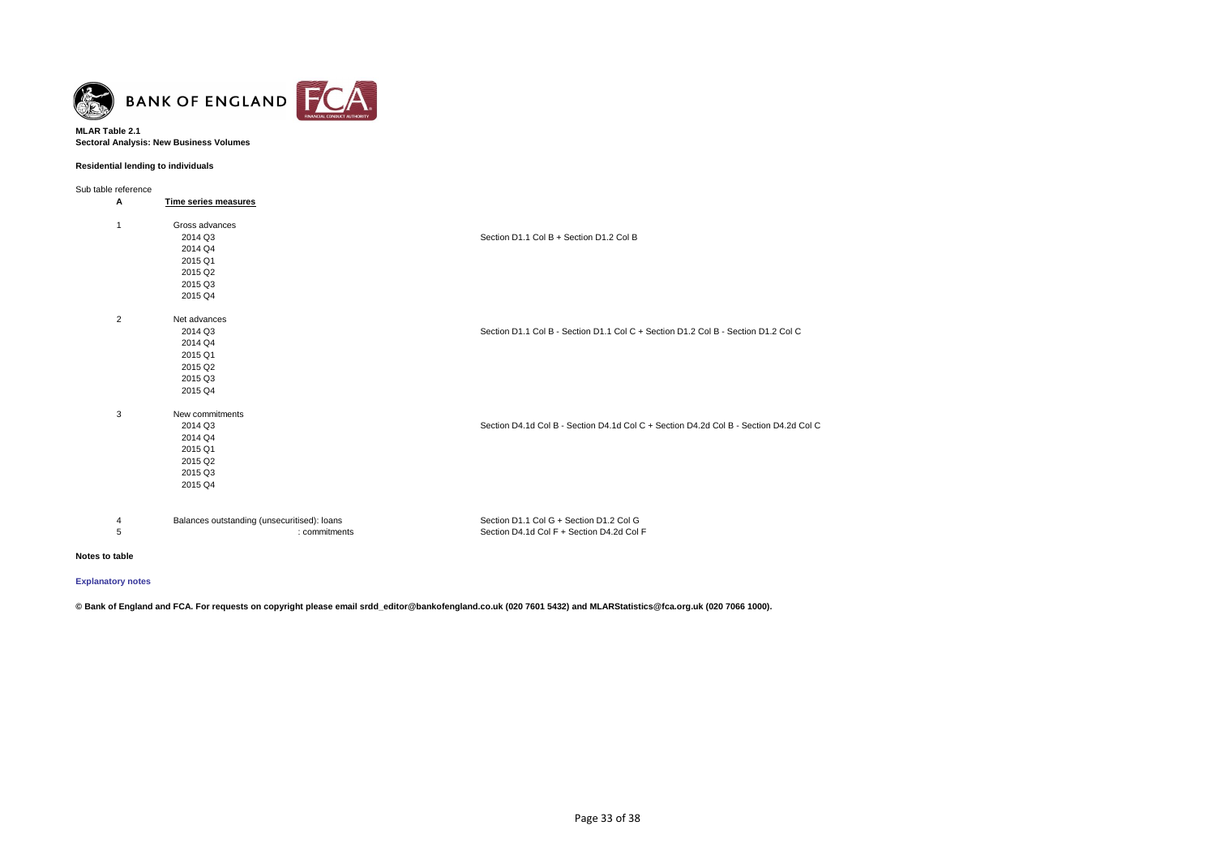

### **MLAR Table 2.1 Sectoral Analysis: New Business Volumes**

# **Residential lending to individuals**

Sub table reference

| Α              | Time series measures                        |                                                                                       |
|----------------|---------------------------------------------|---------------------------------------------------------------------------------------|
| $\mathbf{1}$   | Gross advances                              |                                                                                       |
|                | 2014 Q3                                     | Section D1.1 Col B + Section D1.2 Col B                                               |
|                | 2014 Q4                                     |                                                                                       |
|                | 2015 Q1                                     |                                                                                       |
|                | 2015 Q2                                     |                                                                                       |
|                | 2015 Q3                                     |                                                                                       |
|                | 2015 Q4                                     |                                                                                       |
| $\overline{2}$ | Net advances                                |                                                                                       |
|                | 2014 Q3                                     | Section D1.1 Col B - Section D1.1 Col C + Section D1.2 Col B - Section D1.2 Col C     |
|                | 2014 Q4                                     |                                                                                       |
|                | 2015 Q1                                     |                                                                                       |
|                | 2015 Q2                                     |                                                                                       |
|                | 2015 Q3                                     |                                                                                       |
|                | 2015 Q4                                     |                                                                                       |
| 3              | New commitments                             |                                                                                       |
|                | 2014 Q3                                     | Section D4.1d Col B - Section D4.1d Col C + Section D4.2d Col B - Section D4.2d Col C |
|                | 2014 Q4                                     |                                                                                       |
|                | 2015 Q1                                     |                                                                                       |
|                | 2015 Q2                                     |                                                                                       |
|                | 2015 Q3                                     |                                                                                       |
|                | 2015 Q4                                     |                                                                                       |
| 4              | Balances outstanding (unsecuritised): loans | Section D1.1 Col G + Section D1.2 Col G                                               |
| $\mathbf 5$    | : commitments                               | Section D4.1d Col F + Section D4.2d Col F                                             |
|                |                                             |                                                                                       |

#### **Notes to table**

# **[Explanatory notes](http://www.bankofengland.co.uk/statistics/Pages/iadb/notesiadb/capital_issues.aspx)**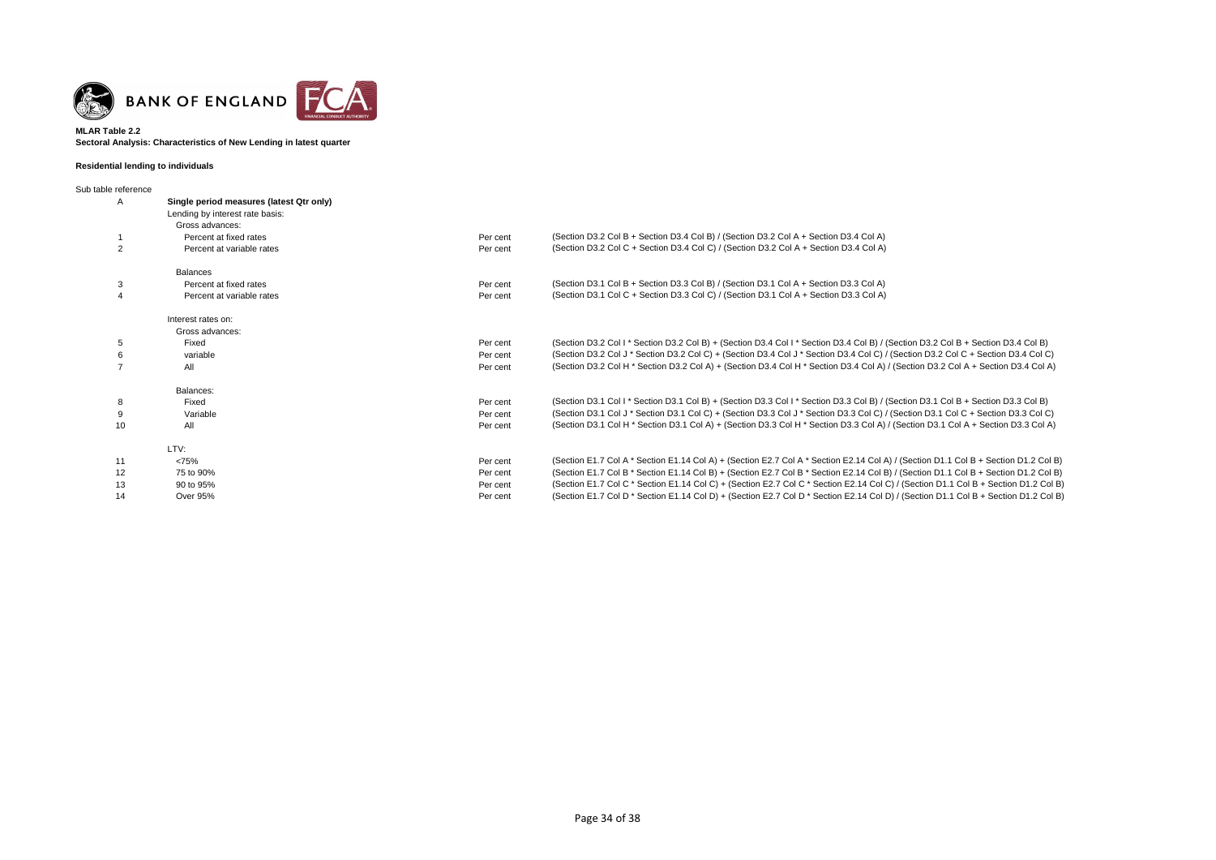

### **Sectoral Analysis: Characteristics of New Lending in latest quarter MLAR Table 2.2**

# **Residential lending to individuals**

| Sub table reference |                                          |          |                                                                                                                                     |  |  |  |
|---------------------|------------------------------------------|----------|-------------------------------------------------------------------------------------------------------------------------------------|--|--|--|
| A                   | Single period measures (latest Qtr only) |          |                                                                                                                                     |  |  |  |
|                     | Lending by interest rate basis:          |          |                                                                                                                                     |  |  |  |
|                     | Gross advances:                          |          |                                                                                                                                     |  |  |  |
|                     | Percent at fixed rates                   | Per cent | (Section D3.2 Col B + Section D3.4 Col B) / (Section D3.2 Col A + Section D3.4 Col A)                                               |  |  |  |
| 2                   | Percent at variable rates                | Per cent | (Section D3.2 Col C + Section D3.4 Col C) / (Section D3.2 Col A + Section D3.4 Col A)                                               |  |  |  |
|                     | <b>Balances</b>                          |          |                                                                                                                                     |  |  |  |
| 3                   | Percent at fixed rates                   | Per cent | (Section D3.1 Col B + Section D3.3 Col B) / (Section D3.1 Col A + Section D3.3 Col A)                                               |  |  |  |
|                     | Percent at variable rates                | Per cent | (Section D3.1 Col C + Section D3.3 Col C) / (Section D3.1 Col A + Section D3.3 Col A)                                               |  |  |  |
|                     | Interest rates on:                       |          |                                                                                                                                     |  |  |  |
|                     | Gross advances:                          |          |                                                                                                                                     |  |  |  |
| 5                   | Fixed                                    | Per cent | (Section D3.2 Col I * Section D3.2 Col B) + (Section D3.4 Col I * Section D3.4 Col B) / (Section D3.2 Col B + Section D3.4 Col B)   |  |  |  |
| 6                   | variable                                 | Per cent | (Section D3.2 Col J * Section D3.2 Col C) + (Section D3.4 Col J * Section D3.4 Col C) / (Section D3.2 Col C + Section D3.4 Col C)   |  |  |  |
|                     | All                                      | Per cent | (Section D3.2 Col H * Section D3.2 Col A) + (Section D3.4 Col H * Section D3.4 Col A) / (Section D3.2 Col A + Section D3.4 Col A)   |  |  |  |
|                     | Balances:                                |          |                                                                                                                                     |  |  |  |
| 8                   | Fixed                                    | Per cent | (Section D3.1 Col I * Section D3.1 Col B) + (Section D3.3 Col I * Section D3.3 Col B) / (Section D3.1 Col B + Section D3.3 Col B)   |  |  |  |
| 9                   | Variable                                 | Per cent | (Section D3.1 Col J * Section D3.1 Col C) + (Section D3.3 Col J * Section D3.3 Col C) / (Section D3.1 Col C + Section D3.3 Col C)   |  |  |  |
| 10                  | All                                      | Per cent | (Section D3.1 Col H * Section D3.1 Col A) + (Section D3.3 Col H * Section D3.3 Col A) / (Section D3.1 Col A + Section D3.3 Col A)   |  |  |  |
|                     | LTV:                                     |          |                                                                                                                                     |  |  |  |
| 11                  | <75%                                     | Per cent | (Section E1.7 Col A * Section E1.14 Col A) + (Section E2.7 Col A * Section E2.14 Col A) / (Section D1.1 Col B + Section D1.2 Col B) |  |  |  |
| 12                  | 75 to 90%                                | Per cent | (Section E1.7 Col B * Section E1.14 Col B) + (Section E2.7 Col B * Section E2.14 Col B) / (Section D1.1 Col B + Section D1.2 Col B) |  |  |  |
| 13                  | 90 to 95%                                | Per cent | (Section E1.7 Col C * Section E1.14 Col C) + (Section E2.7 Col C * Section E2.14 Col C) / (Section D1.1 Col B + Section D1.2 Col B) |  |  |  |
| 14                  | Over 95%                                 | Per cent | (Section E1.7 Col D * Section E1.14 Col D) + (Section E2.7 Col D * Section E2.14 Col D) / (Section D1.1 Col B + Section D1.2 Col B) |  |  |  |
|                     |                                          |          |                                                                                                                                     |  |  |  |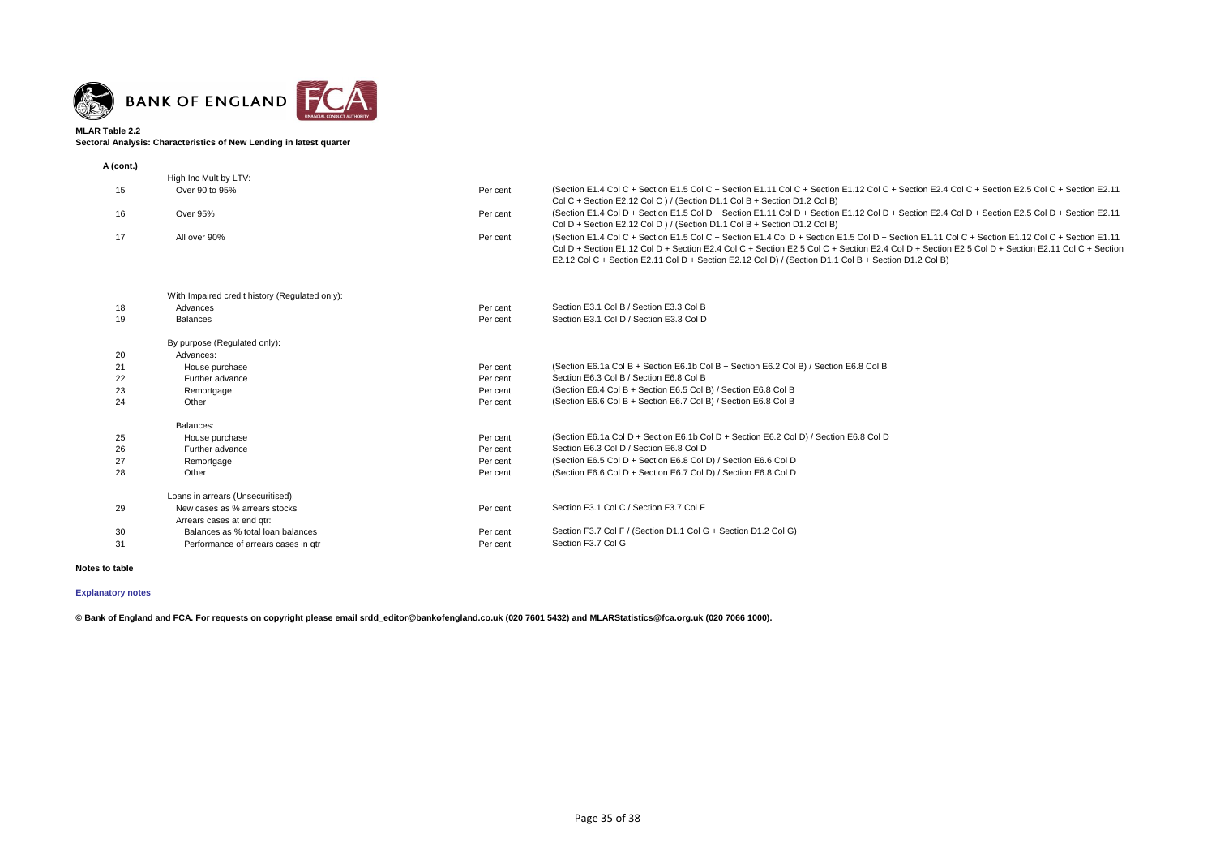

# **Sectoral Analysis: Characteristics of New Lending in latest quarter**

| A (cont.) |                                                |          |                                                                                                                                                                                                                                                                                                                                                                                                           |
|-----------|------------------------------------------------|----------|-----------------------------------------------------------------------------------------------------------------------------------------------------------------------------------------------------------------------------------------------------------------------------------------------------------------------------------------------------------------------------------------------------------|
|           | High Inc Mult by LTV:                          |          |                                                                                                                                                                                                                                                                                                                                                                                                           |
| 15        | Over 90 to 95%                                 | Per cent | (Section E1.4 Col C + Section E1.5 Col C + Section E1.11 Col C + Section E1.12 Col C + Section E2.4 Col C + Section E2.5 Col C + Section E2.11<br>Col C + Section E2.12 Col C ) / (Section D1.1 Col B + Section D1.2 Col B)                                                                                                                                                                               |
| 16        | <b>Over 95%</b>                                | Per cent | (Section E1.4 Col D + Section E1.5 Col D + Section E1.11 Col D + Section E1.12 Col D + Section E2.4 Col D + Section E2.5 Col D + Section E2.11<br>Col D + Section E2.12 Col D ) / (Section D1.1 Col B + Section D1.2 Col B)                                                                                                                                                                               |
| 17        | All over 90%                                   | Per cent | (Section E1.4 Col C + Section E1.5 Col C + Section E1.4 Col D + Section E1.5 Col D + Section E1.11 Col C + Section E1.12 Col C + Section E1.11<br>Col D + Section E1.12 Col D + Section E2.4 Col C + Section E2.5 Col C + Section E2.4 Col D + Section E2.5 Col D + Section E2.11 Col C + Section<br>E2.12 Col C + Section E2.11 Col D + Section E2.12 Col D) / (Section D1.1 Col B + Section D1.2 Col B) |
|           | With Impaired credit history (Regulated only): |          |                                                                                                                                                                                                                                                                                                                                                                                                           |
| 18        | Advances                                       | Per cent | Section E3.1 Col B / Section E3.3 Col B                                                                                                                                                                                                                                                                                                                                                                   |
| 19        | <b>Balances</b>                                | Per cent | Section E3.1 Col D / Section E3.3 Col D                                                                                                                                                                                                                                                                                                                                                                   |
|           | By purpose (Regulated only):                   |          |                                                                                                                                                                                                                                                                                                                                                                                                           |
| 20        | Advances:                                      |          |                                                                                                                                                                                                                                                                                                                                                                                                           |
| 21        | House purchase                                 | Per cent | (Section E6.1a Col B + Section E6.1b Col B + Section E6.2 Col B) / Section E6.8 Col B                                                                                                                                                                                                                                                                                                                     |
| 22        | Further advance                                | Per cent | Section E6.3 Col B / Section E6.8 Col B                                                                                                                                                                                                                                                                                                                                                                   |
| 23        | Remortgage                                     | Per cent | (Section E6.4 Col B + Section E6.5 Col B) / Section E6.8 Col B                                                                                                                                                                                                                                                                                                                                            |
| 24        | Other                                          | Per cent | (Section E6.6 Col B + Section E6.7 Col B) / Section E6.8 Col B                                                                                                                                                                                                                                                                                                                                            |
|           | Balances:                                      |          |                                                                                                                                                                                                                                                                                                                                                                                                           |
| 25        | House purchase                                 | Per cent | (Section E6.1a Col D + Section E6.1b Col D + Section E6.2 Col D) / Section E6.8 Col D                                                                                                                                                                                                                                                                                                                     |
| 26        | Further advance                                | Per cent | Section E6.3 Col D / Section E6.8 Col D                                                                                                                                                                                                                                                                                                                                                                   |
| 27        | Remortgage                                     | Per cent | (Section E6.5 Col D + Section E6.8 Col D) / Section E6.6 Col D                                                                                                                                                                                                                                                                                                                                            |
| 28        | Other                                          | Per cent | (Section E6.6 Col D + Section E6.7 Col D) / Section E6.8 Col D                                                                                                                                                                                                                                                                                                                                            |
|           | Loans in arrears (Unsecuritised):              |          |                                                                                                                                                                                                                                                                                                                                                                                                           |
| 29        | New cases as % arrears stocks                  | Per cent | Section F3.1 Col C / Section F3.7 Col F                                                                                                                                                                                                                                                                                                                                                                   |
|           | Arrears cases at end gtr:                      |          |                                                                                                                                                                                                                                                                                                                                                                                                           |
| 30        | Balances as % total loan balances              | Per cent | Section F3.7 Col F / (Section D1.1 Col G + Section D1.2 Col G)                                                                                                                                                                                                                                                                                                                                            |
| 31        | Performance of arrears cases in gtr            | Per cent | Section F3.7 Col G                                                                                                                                                                                                                                                                                                                                                                                        |

# **Notes to table**

# **[Explanatory notes](http://www.bankofengland.co.uk/statistics/Pages/iadb/notesiadb/capital_issues.aspx)**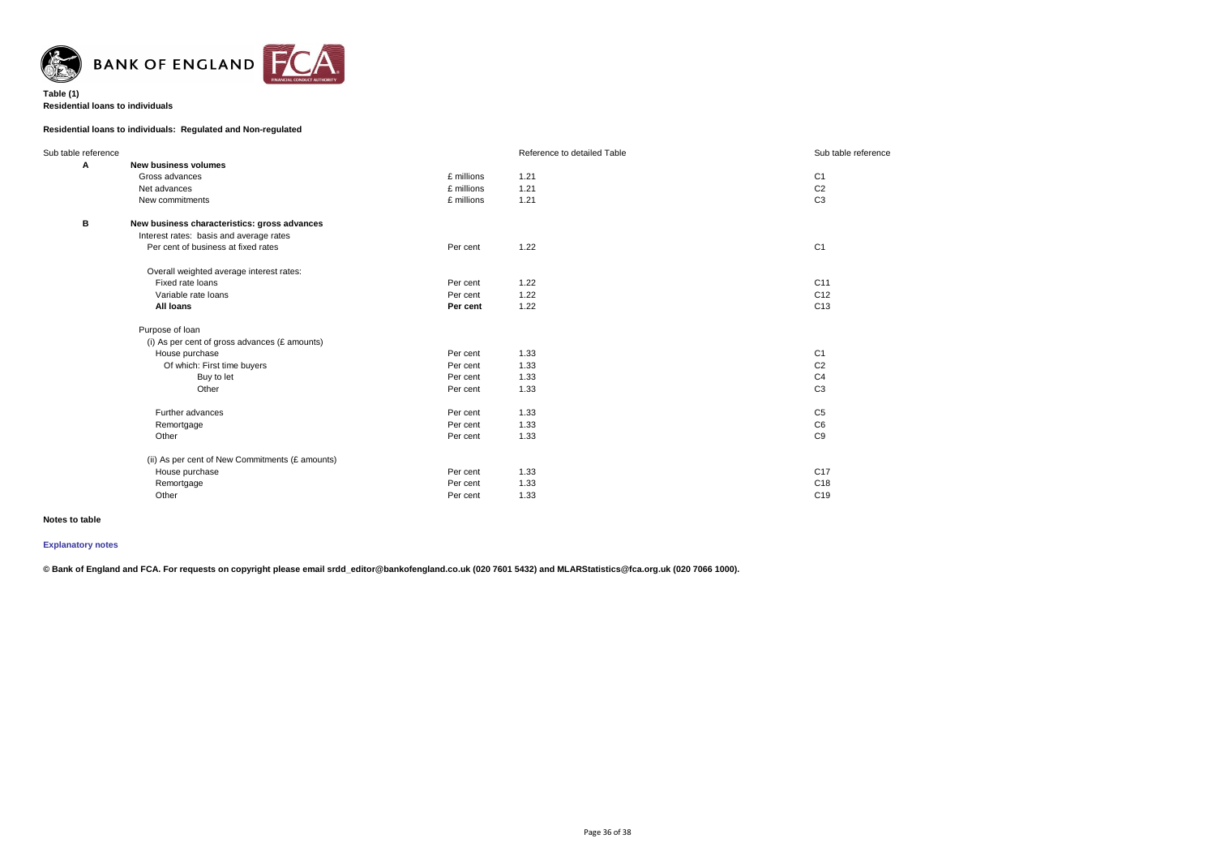

### **Table (1) Residential loans to individuals**

# **Residential loans to individuals: Regulated and Non-regulated**

| Sub table reference |                                                 |            | Reference to detailed Table | Sub table reference |
|---------------------|-------------------------------------------------|------------|-----------------------------|---------------------|
| Α                   | <b>New business volumes</b>                     |            |                             |                     |
|                     | Gross advances                                  | £ millions | 1.21                        | C <sub>1</sub>      |
|                     | Net advances                                    | £ millions | 1.21                        | C <sub>2</sub>      |
|                     | New commitments                                 | £ millions | 1.21                        | C <sub>3</sub>      |
| B                   | New business characteristics: gross advances    |            |                             |                     |
|                     | Interest rates: basis and average rates         |            |                             |                     |
|                     | Per cent of business at fixed rates             | Per cent   | 1.22                        | C <sub>1</sub>      |
|                     | Overall weighted average interest rates:        |            |                             |                     |
|                     | Fixed rate loans                                | Per cent   | 1.22                        | C11                 |
|                     | Variable rate loans                             | Per cent   | 1.22                        | C <sub>12</sub>     |
|                     | <b>All loans</b>                                | Per cent   | 1.22                        | C <sub>13</sub>     |
|                     | Purpose of Ioan                                 |            |                             |                     |
|                     | (i) As per cent of gross advances (£ amounts)   |            |                             |                     |
|                     | House purchase                                  | Per cent   | 1.33                        | C <sub>1</sub>      |
|                     | Of which: First time buyers                     | Per cent   | 1.33                        | C <sub>2</sub>      |
|                     | Buy to let                                      | Per cent   | 1.33                        | C <sub>4</sub>      |
|                     | Other                                           | Per cent   | 1.33                        | C <sub>3</sub>      |
|                     | Further advances                                | Per cent   | 1.33                        | C <sub>5</sub>      |
|                     | Remortgage                                      | Per cent   | 1.33                        | C6                  |
|                     | Other                                           | Per cent   | 1.33                        | C9                  |
|                     | (ii) As per cent of New Commitments (£ amounts) |            |                             |                     |
|                     | House purchase                                  | Per cent   | 1.33                        | C17                 |
|                     | Remortgage                                      | Per cent   | 1.33                        | C18                 |
|                     | Other                                           | Per cent   | 1.33                        | C <sub>19</sub>     |
|                     |                                                 |            |                             |                     |

### **Notes to table**

### **[Explanatory notes](http://www.bankofengland.co.uk/statistics/Pages/iadb/notesiadb/capital_issues.aspx)**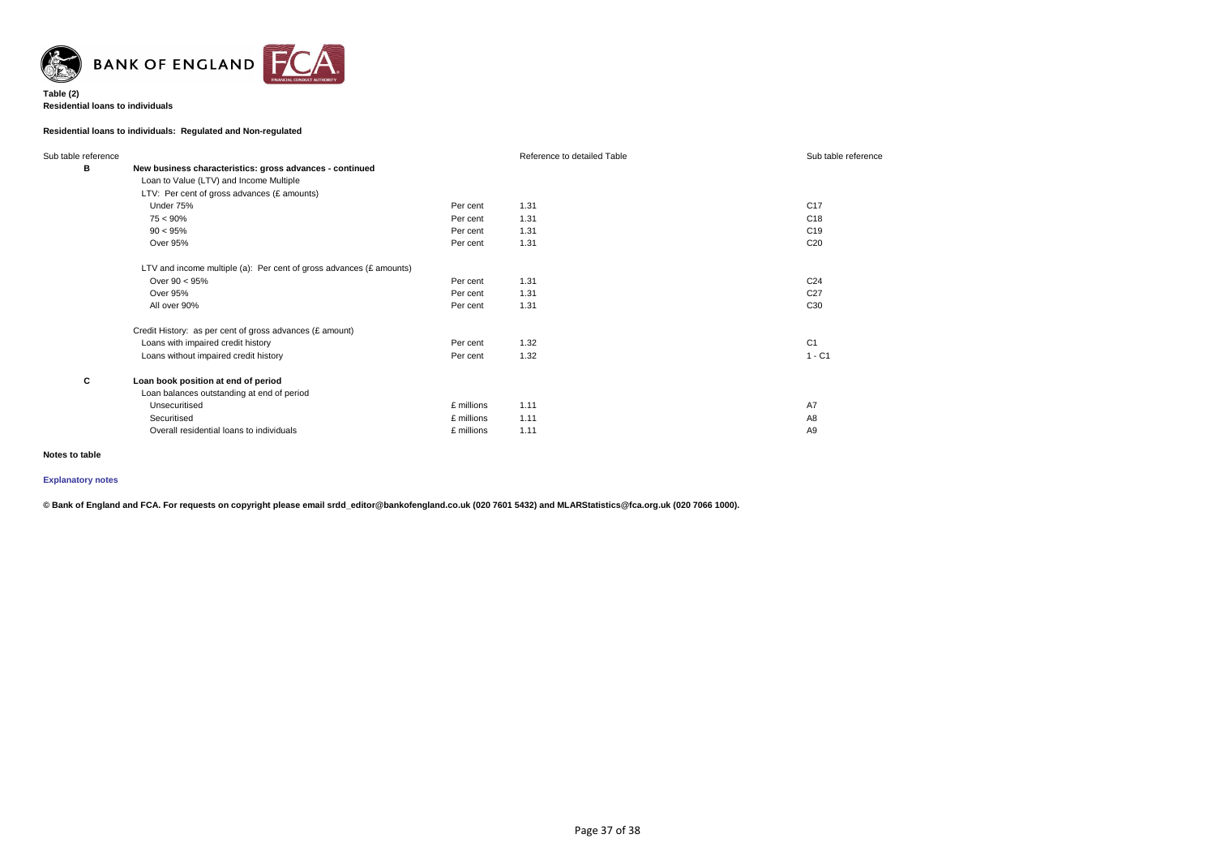

### **Table (2) Residential loans to individuals**

# **Residential loans to individuals: Regulated and Non-regulated**

| Sub table reference |                                                                        |            | Reference to detailed Table | Sub table reference |  |  |
|---------------------|------------------------------------------------------------------------|------------|-----------------------------|---------------------|--|--|
| В                   | New business characteristics: gross advances - continued               |            |                             |                     |  |  |
|                     | Loan to Value (LTV) and Income Multiple                                |            |                             |                     |  |  |
|                     | LTV: Per cent of gross advances (£ amounts)                            |            |                             |                     |  |  |
|                     | Under 75%                                                              | Per cent   | 1.31                        | C <sub>17</sub>     |  |  |
|                     | $75 < 90\%$                                                            | Per cent   | 1.31                        | C <sub>18</sub>     |  |  |
|                     | $90 < 95\%$                                                            | Per cent   | 1.31                        | C <sub>19</sub>     |  |  |
|                     | Over 95%                                                               | Per cent   | 1.31                        | C <sub>20</sub>     |  |  |
|                     | LTV and income multiple (a): Per cent of gross advances ( $E$ amounts) |            |                             |                     |  |  |
|                     | Over $90 < 95\%$                                                       | Per cent   | 1.31                        | C <sub>24</sub>     |  |  |
|                     | <b>Over 95%</b>                                                        | Per cent   | 1.31                        | C <sub>27</sub>     |  |  |
|                     | All over 90%                                                           | Per cent   | 1.31                        | C <sub>30</sub>     |  |  |
|                     | Credit History: as per cent of gross advances (£ amount)               |            |                             |                     |  |  |
|                     | Loans with impaired credit history                                     | Per cent   | 1.32                        | C <sub>1</sub>      |  |  |
|                     | Loans without impaired credit history                                  | Per cent   | 1.32                        | $1 - C1$            |  |  |
| C                   | Loan book position at end of period                                    |            |                             |                     |  |  |
|                     | Loan balances outstanding at end of period                             |            |                             |                     |  |  |
|                     | Unsecuritised                                                          | £ millions | 1.11                        | A7                  |  |  |
|                     | Securitised                                                            | £ millions | 1.11                        | A <sub>8</sub>      |  |  |
|                     | Overall residential loans to individuals                               | £ millions | 1.11                        | A <sub>9</sub>      |  |  |

### **Notes to table**

# **[Explanatory notes](http://www.bankofengland.co.uk/statistics/Pages/iadb/notesiadb/capital_issues.aspx)**